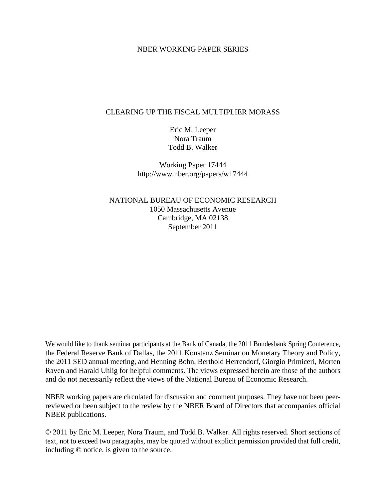#### NBER WORKING PAPER SERIES

### CLEARING UP THE FISCAL MULTIPLIER MORASS

Eric M. Leeper Nora Traum Todd B. Walker

Working Paper 17444 http://www.nber.org/papers/w17444

NATIONAL BUREAU OF ECONOMIC RESEARCH 1050 Massachusetts Avenue Cambridge, MA 02138 September 2011

We would like to thank seminar participants at the Bank of Canada, the 2011 Bundesbank Spring Conference, the Federal Reserve Bank of Dallas, the 2011 Konstanz Seminar on Monetary Theory and Policy, the 2011 SED annual meeting, and Henning Bohn, Berthold Herrendorf, Giorgio Primiceri, Morten Raven and Harald Uhlig for helpful comments. The views expressed herein are those of the authors and do not necessarily reflect the views of the National Bureau of Economic Research.

NBER working papers are circulated for discussion and comment purposes. They have not been peerreviewed or been subject to the review by the NBER Board of Directors that accompanies official NBER publications.

© 2011 by Eric M. Leeper, Nora Traum, and Todd B. Walker. All rights reserved. Short sections of text, not to exceed two paragraphs, may be quoted without explicit permission provided that full credit, including © notice, is given to the source.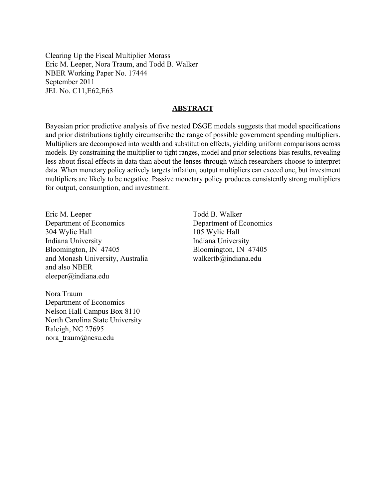Clearing Up the Fiscal Multiplier Morass Eric M. Leeper, Nora Traum, and Todd B. Walker NBER Working Paper No. 17444 September 2011 JEL No. C11,E62,E63

#### **ABSTRACT**

Bayesian prior predictive analysis of five nested DSGE models suggests that model specifications and prior distributions tightly circumscribe the range of possible government spending multipliers. Multipliers are decomposed into wealth and substitution effects, yielding uniform comparisons across models. By constraining the multiplier to tight ranges, model and prior selections bias results, revealing less about fiscal effects in data than about the lenses through which researchers choose to interpret data. When monetary policy actively targets inflation, output multipliers can exceed one, but investment multipliers are likely to be negative. Passive monetary policy produces consistently strong multipliers for output, consumption, and investment.

Eric M. Leeper Department of Economics 304 Wylie Hall Indiana University Bloomington, IN 47405 and Monash University, Australia and also NBER eleeper@indiana.edu

Todd B. Walker Department of Economics 105 Wylie Hall Indiana University Bloomington, IN 47405 walkertb@indiana.edu

Nora Traum Department of Economics Nelson Hall Campus Box 8110 North Carolina State University Raleigh, NC 27695 nora\_traum@ncsu.edu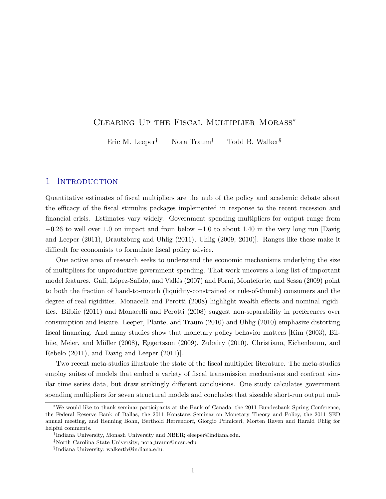# Clearing Up the Fiscal Multiplier Morass<sup>∗</sup>

Eric M. Leeper<sup>†</sup> Nora Traum<sup>‡</sup> Todd B. Walker<sup>§</sup>

### 1 INTRODUCTION

Quantitative estimates of fiscal multipliers are the nub of the policy and academic debate about the efficacy of the fiscal stimulus packages implemented in response to the recent recession and financial crisis. Estimates vary widely. Government spending multipliers for output range from  $-0.26$  to well over 1.[0 on impact and from below](#page-29-0)  $-1.0$  to about 1.40 in the very long run [Davig and Leeper [\(2011\)](#page-29-0), [Drautzburg and Uhlig](#page-29-1) [\(2011\)](#page-29-1), [Uhlig](#page-30-0) [\(2009](#page-30-0), [2010](#page-30-1))]. Ranges like these make it difficult for economists to formulate fiscal policy advice.

One active area of research seeks to understand the economic mechanisms underlying the size of multipliers for unproductive government spending. That work uncovers a long list of important model features. Galí, López-Salido, and Vallés [\(2007\)](#page-29-2) and [Forni, Monteforte, and Sessa](#page-29-3) [\(2009\)](#page-29-3) point to both the fraction of hand-to-mouth (liquidity-constrained or rule-of-thumb) consumers and the degree of real rigidities. [Monacelli and Perotti](#page-30-2) [\(2008\)](#page-30-2) highlight wealth effects and nominal rigidities. [Bilbiie](#page-28-0) [\(2011](#page-28-0)) and [Monacelli and Perotti](#page-30-2) [\(2008\)](#page-30-2) suggest non-separability in preferences over consumption and leisure. [Leeper, Plante, and Traum](#page-30-3) [\(2010](#page-30-3)) and [Uhlig](#page-30-1) [\(2010\)](#page-30-1) emphasize distorting fiscal financing. And m[any studies show that monetary policy behavior matters](#page-28-1) [\[Kim](#page-29-4)[\(2003](#page-29-4)[\),](#page-28-1) Bil-biie, [Meier,](#page-28-2) [and](#page-28-2) Müller [\(2008](#page-28-1)[\),](#page-28-2) [Eggertsson](#page-29-5) [\(2009](#page-29-5)), [Zubairy](#page-30-4) [\(2010](#page-30-4)), Christiano, Eichenbaum, and Rebelo [\(2011](#page-28-2)), and [Davig and Leeper](#page-29-0) [\(2011](#page-29-0))].

Two recent meta-studies illustrate the state of the fiscal multiplier literature. The meta-studies employ suites of models that embed a variety of fiscal transmission mechanisms and confront similar time series data, but draw strikingly different conclusions. One study calculates government spending multipliers for seven structural models and concludes that sizeable short-run output mul-

<sup>∗</sup>We would like to thank seminar participants at the Bank of Canada, the 2011 Bundesbank Spring Conference, the Federal Reserve Bank of Dallas, the 2011 Konstanz Seminar on Monetary Theory and Policy, the 2011 SED annual meeting, and Henning Bohn, Berthold Herrendorf, Giorgio Primiceri, Morten Raven and Harald Uhlig for helpful comments.

<sup>†</sup>Indiana University, Monash University and NBER; eleeper@indiana.edu.

<sup>‡</sup>North Carolina State University; nora traum@ncsu.edu

<sup>§</sup>Indiana University; walkertb@indiana.edu.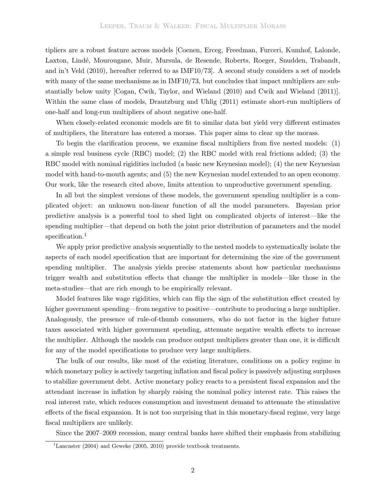tipliers are a robust feature across models [Coenen, Erceg, Freedman, Furceri, Kumhof, Lalonde, Laxton, Lindé, Mourougane, Muir, Mursula, de Resende, Roberts, Roeger, Snudden, Trabandt, and in't Veld [\(2010](#page-28-3)), hereafter referred to as IMF10/73]. A second study considers a set of models with many of the same mechanisms as in IMF10/73, but concludes that impact multipliers are substantially below unity [\[Cogan, Cwik, Taylor, and Wieland](#page-29-6) [\(2010](#page-29-6)) and [Cwik and Wieland](#page-29-7) [\(2011](#page-29-7))]. Within the same class of models, [Drautzburg and Uhlig](#page-29-1) [\(2011](#page-29-1)) estimate short-run multipliers of one-half and long-run multipliers of about negative one-half.

When closely-related economic models are fit to similar data but yield very different estimates of multipliers, the literature has entered a morass. This paper aims to clear up the morass.

To begin the clarification process, we examine fiscal multipliers from five nested models: (1) a simple real business cycle (RBC) model; (2) the RBC model with real frictions added; (3) the RBC model with nominal rigidities included (a basic new Keynesian model); (4) the new Keynesian model with hand-to-mouth agents; and (5) the new Keynesian model extended to an open economy. Our work, like the research cited above, limits attention to unproductive government spending.

In all but the simplest versions of these models, the government spending multiplier is a complicated object: an unknown non-linear function of all the model parameters. Bayesian prior predictive analysis is a powerful tool to shed light on complicated objects of interest—like the spending multiplier—that depend on both the joint prior distribution of parameters and the model specification.<sup>[1](#page-3-0)</sup>

We apply prior predictive analysis sequentially to the nested models to systematically isolate the aspects of each model specification that are important for determining the size of the government spending multiplier. The analysis yields precise statements about how particular mechanisms trigger wealth and substitution effects that change the multiplier in models—like those in the meta-studies—that are rich enough to be empirically relevant.

Model features like wage rigidities, which can flip the sign of the substitution effect created by higher government spending—from negative to positive—contribute to producing a large multiplier. Analogously, the presence of rule-of-thumb consumers, who do not factor in the higher future taxes associated with higher government spending, attenuate negative wealth effects to increase the multiplier. Although the models can produce output multipliers greater than one, it is difficult for any of the model specifications to produce very large multipliers.

The bulk of our results, like most of the existing literature, conditions on a policy regime in which monetary policy is actively targeting inflation and fiscal policy is passively adjusting surpluses to stabilize government debt. Active monetary policy reacts to a persistent fiscal expansion and the attendant increase in inflation by sharply raising the nominal policy interest rate. This raises the real interest rate, which reduces consumption and investment demand to attenuate the stimulative effects of the fiscal expansion. It is not too surprising that in this monetary-fiscal regime, very large fiscal multipliers are unlikely.

Since the 2007–2009 recession, many central banks have shifted their emphasis from stabilizing

<span id="page-3-0"></span><sup>&</sup>lt;sup>1</sup>[Lancaster](#page-30-5) [\(2004\)](#page-30-5) and [Geweke](#page-29-8) [\(2005,](#page-29-8) [2010\)](#page-29-9) provide textbook treatments.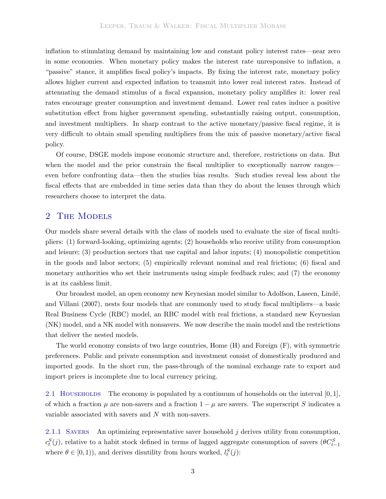inflation to stimulating demand by maintaining low and constant policy interest rates—near zero in some economies. When monetary policy makes the interest rate unresponsive to inflation, a "passive" stance, it amplifies fiscal policy's impacts. By fixing the interest rate, monetary policy allows higher current and expected inflation to transmit into lower real interest rates. Instead of attenuating the demand stimulus of a fiscal expansion, monetary policy amplifies it: lower real rates encourage greater consumption and investment demand. Lower real rates induce a positive substitution effect from higher government spending, substantially raising output, consumption, and investment multipliers. In sharp contrast to the active monetary/passive fiscal regime, it is very difficult to obtain small spending multipliers from the mix of passive monetary/active fiscal policy.

Of course, DSGE models impose economic structure and, therefore, restrictions on data. But when the model and the prior constrain the fiscal multiplier to exceptionally narrow ranges even before confronting data—then the studies bias results. Such studies reveal less about the fiscal effects that are embedded in time series data than they do about the lenses through which researchers choose to interpret the data.

### <span id="page-4-0"></span>2 THE MODELS

Our models share several details with the class of models used to evaluate the size of fiscal multipliers: (1) forward-looking, optimizing agents; (2) households who receive utility from consumption and leisure; (3) production sectors that use capital and labor inputs; (4) monopolistic competition in the goods and labor sectors; (5) empirically relevant nominal and real frictions; (6) fiscal and monetary authorities who set their instruments using simple feedback rules; and (7) the economy is at its cashless limit.

Our br[oadest](#page-28-4) [model,](#page-28-4) [an](#page-28-4) [open](#page-28-4) [economy](#page-28-4) [new](#page-28-4) [Keynesian](#page-28-4) [model](#page-28-4) [similar](#page-28-4) [to](#page-28-4) Adolfson, Laseen, Lind´e, and Villani [\(2007\)](#page-28-4), nests four models that are commonly used to study fiscal multipliers—a basic Real Business Cycle (RBC) model, an RBC model with real frictions, a standard new Keynesian (NK) model, and a NK model with nonsavers. We now describe the main model and the restrictions that deliver the nested models.

The world economy consists of two large countries, Home (H) and Foreign (F), with symmetric preferences. Public and private consumption and investment consist of domestically produced and imported goods. In the short run, the pass-through of the nominal exchange rate to export and import prices is incomplete due to local currency pricing.

2.1 HOUSEHOLDS The economy is populated by a continuum of households on the interval  $[0, 1]$ , of which a fraction  $\mu$  are non-savers and a fraction  $1 - \mu$  are savers. The superscript S indicates a variable associated with savers and N with non-savers.

2.1.1 SAVERS An optimizing representative saver household  $j$  derives utility from consumption,  $c_t^S(j)$ , relative to a habit stock defined in terms of lagged aggregate consumption of savers  $(\theta C_{t-1}^S)$ where  $\theta \in [0, 1)$ , and derives disutility from hours worked,  $l_t^S(j)$ :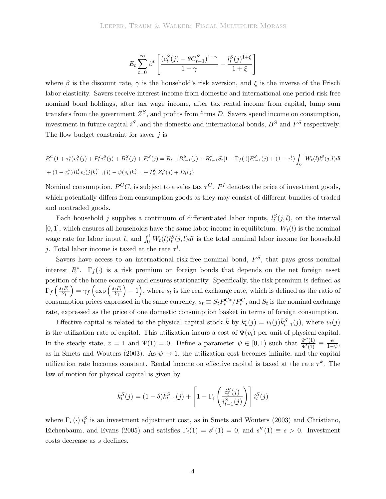<span id="page-5-0"></span>
$$
E_t\sum_{t=0}^{\infty}\beta^t\left[\frac{(c_t^S(j)-\theta C_{t-1}^S)^{1-\gamma}}{1-\gamma}-\frac{l_t^S(j)^{1+\xi}}{1+\xi}\right]
$$

where  $\beta$  is the discount rate,  $\gamma$  is the household's risk aversion, and  $\xi$  is the inverse of the Frisch labor elasticity. Savers receive interest income from domestic and international one-period risk free nominal bond holdings, after tax wage income, after tax rental income from capital, lump sum transfers from the government  $Z<sup>S</sup>$ , and profits from firms D. Savers spend income on consumption, investment in future capital  $i^S$ , and the domestic and international bonds,  $B^S$  and  $F^S$  respectively. The flow budget constraint for saver  $i$  is

$$
P_t^C(1+\tau_t^c)c_t^S(j) + P_t^I i_t^S(j) + B_t^S(j) + F_t^S(j) = R_{t-1}B_{t-1}^S(j) + R_{t-1}^*S_t[1-\Gamma_f(\cdot)]F_{t-1}^S(j) + (1-\tau_t^l)\int_0^1 W_t(l)l_t^S(j,l)dl
$$
  
+  $(1-\tau_t^k)R_t^kv_t(j)\bar{k}_{t-1}^S(j) - \psi(v_t)\bar{k}_{t-1}^S + P_t^CZ_t^S(j) + D_t(j)$ 

Nominal consumption,  $P^C C$ , is subject to a sales tax  $\tau^C$ .  $P^I$  denotes the price of investment goods, which potentially differs from consumption goods as they may consist of different bundles of traded and nontraded goods.

Each household j supplies a continuum of differentiated labor inputs,  $l_t^S(j, l)$ , on the interval [0, 1], which ensures all households have the same labor income in equilibrium.  $W_t(l)$  is the nominal wage rate for labor input l, and  $\int_0^1 W_t(l)l_t^S(j, l)dl$  is the total nominal labor income for household j. Total labor income is taxed at the rate  $\tau^l$ .

Savers have access to an international risk-free nominal bond,  $F^S$ , that pays gross nominal interest  $R^*$ .  $\Gamma_f(\cdot)$  is a risk premium on foreign bonds that depends on the net foreign asset position of the home economy and ensures stationarity. Specifically, the risk premium is defined as  $\Gamma_f\left(\frac{s_tF_t}{Y_t}\right) = \gamma_f\left(\exp\left(\frac{s_tF_t}{Y_t}\right)-1\right)$ , where  $s_t$  is the real exchange rate, which is defined as the ratio of consumption prices expressed in the same currency,  $s_t \equiv S_t P_t^{C*} / P_t^C$ , and  $S_t$  is the nominal exchange rate, expressed as the price of one domestic consumption basket in terms of foreign consumption.

Effective capital is related to the physical capital stock  $\bar{k}$  by  $k_t^s(j) = v_t(j)\bar{k}_{t-1}^S(j)$ , where  $v_t(j)$ is the utilization rate of capital. This utilization incurs a cost of  $\Psi(v_t)$  per unit of physical capital. In the steady state,  $v = 1$  and  $\Psi(1) = 0$ . Define a parameter  $\psi \in [0, 1)$  such that  $\frac{\Psi''(1)}{\Psi'(1)} \equiv \frac{\psi}{1-\psi}$ , as in [Smets and Wouters](#page-30-6) [\(2003\)](#page-30-6). As  $\psi \to 1$ , the utilization cost becomes infinite, and the capital utilization rate becomes constant. Rental income on effective capital is taxed at the rate  $\tau^k$ . The law of motion for physical capital is given by

$$
\bar{k}_t^S(j) = (1 - \delta)\bar{k}_{t-1}^S(j) + \left[1 - \Gamma_i\left(\frac{i_t^S(j)}{i_{t-1}^S(j)}\right)\right]i_t^S(j)
$$

where $\Gamma_i(\cdot) i_t^S$  is an inv[estment adjustment cost, as in](#page-28-5) [Smets and Wouters](#page-30-6) [\(2003](#page-30-6)[\) and](#page-28-5) Christiano, Eichenbaum, and Evans [\(2005](#page-28-5)) and satisfies  $\Gamma_i(1) = s'(1) = 0$ , and  $s''(1) \equiv s > 0$ . Investment costs decrease as s declines.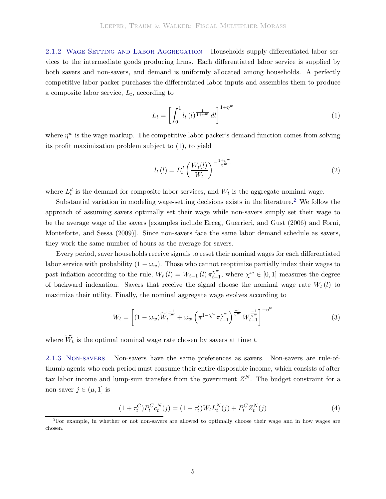2.1.2 WAGE SETTING AND LABOR AGGREGATION Households supply differentiated labor services to the intermediate goods producing firms. Each differentiated labor service is supplied by both savers and non-savers, and demand is uniformly allocated among households. A perfectly competitive labor packer purchases the differentiated labor inputs and assembles them to produce a composite labor service,  $L_t$ , according to

$$
L_t = \left[ \int_0^1 l_t(l)^{\frac{1}{1+\eta^w}} dl \right]^{1+\eta^w} \tag{1}
$$

where  $\eta^w$  is the wage markup. The competitive labor packer's demand function comes from solving its profit maximization problem subject to [\(1\)](#page-5-0), to yield

$$
l_t(l) = L_t^d \left(\frac{W_t(l)}{W_t}\right)^{-\frac{1+\eta^w}{\eta^w}}
$$
\n
$$
(2)
$$

where  $L_t^d$  is the demand for composite labor services, and  $W_t$  is the aggregate nominal wage.

Substantial variation in modeling wage-setting decisions exists in the literature.[2](#page-6-0) We follow the approach of assuming savers optimally set their wage while non-savers simply set their wage to be the average wage o[f the savers \[examples include](#page-29-3) [Erceg, Guerrieri, and Gust](#page-29-10)[\(2006](#page-29-10)[\) and](#page-29-3) Forni, Monteforte, and Sessa [\(2009\)](#page-29-3)]. Since non-savers face the same labor demand schedule as savers, they work the same number of hours as the average for savers.

Every period, saver households receive signals to reset their nominal wages for each differentiated labor service with probability  $(1 - \omega_w)$ . Those who cannot reoptimize partially index their wages to past inflation according to the rule,  $W_t(l) = W_{t-1}(l) \pi_{t-1}^{\chi^w}$ , where  $\chi^w \in [0, 1]$  measures the degree of backward indexation. Savers that receive the signal choose the nominal wage rate  $W_t(l)$  to maximize their utility. Finally, the nominal aggregate wage evolves according to

$$
W_t = \left[ (1 - \omega_w) \widetilde{W}_t^{\frac{-1}{\eta^w}} + \omega_w \left( \pi^{1 - \chi^w} \pi_{t-1}^{\chi^w} \right)^{\frac{-1}{\eta^w}} W_{t-1}^{\frac{-1}{\eta^w}} \right]^{-\eta^w}
$$
(3)

where  $\widetilde{W}_t$  is the optimal nominal wage rate chosen by savers at time t.

2.1.3 Non-savers Non-savers have the same preferences as savers. Non-savers are rule-ofthumb agents who each period must consume their entire disposable income, which consists of after tax labor income and lump-sum transfers from the government  $Z<sup>N</sup>$ . The budget constraint for a non-saver  $j \in (\mu, 1]$  is

<span id="page-6-1"></span>
$$
(1 + \tau_t^C) P_t^C c_t^N(j) = (1 - \tau_t^l) W_t L_t^N(j) + P_t^C Z_t^N(j)
$$
\n(4)

<span id="page-6-0"></span><sup>&</sup>lt;sup>2</sup>For example, in whether or not non-savers are allowed to optimally choose their wage and in how wages are chosen.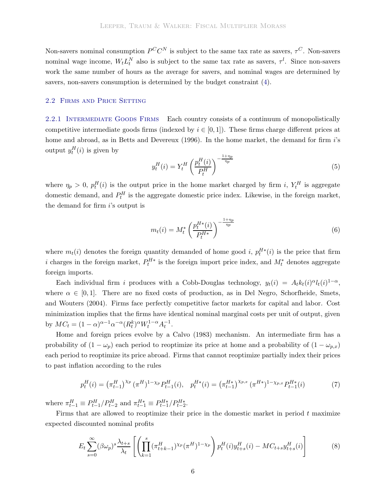Non-savers nominal consumption  $P^C C^N$  is subject to the same tax rate as savers,  $\tau^C$ . Non-savers nominal wage income,  $W_t L_t^N$  also is subject to the same tax rate as savers,  $\tau^l$ . Since non-savers work the same number of hours as the average for savers, and nominal wages are determined by savers, non-savers consumption is determined by the budget constraint [\(4\)](#page-6-1).

#### 2.2 Firms and Price Setting

2.2.1 INTERMEDIATE GOODS FIRMS Each country consists of a continuum of monopolistically competitive intermediate goods firms (indexed by  $i \in [0,1]$ ). These firms charge different prices at home and abroad, as in [Betts and Devereux](#page-28-6) [\(1996](#page-28-6)). In the home market, the demand for firm i's output  $y_t^H(i)$  is given by

<span id="page-7-0"></span>
$$
y_t^H(i) = Y_t^H \left(\frac{p_t^H(i)}{P_t^H}\right)^{-\frac{1+\eta_p}{\eta_p}}
$$
\n
$$
\tag{5}
$$

where  $\eta_p > 0$ ,  $p_t^H(i)$  is the output price in the home market charged by firm i,  $Y_t^H$  is aggregate domestic demand, and  $P_t^H$  is the aggregate domestic price index. Likewise, in the foreign market, the demand for firm i's output is

<span id="page-7-1"></span>
$$
m_t(i) = M_t^* \left(\frac{p_t^{H*}(i)}{P_t^{H*}}\right)^{-\frac{1+\eta_p}{\eta_p}}
$$
\n(6)

where  $m_t(i)$  denotes the foreign quantity demanded of home good i,  $p_t^{H*}(i)$  is the price that firm i charges in the foreign market,  $P_t^{H*}$  is the foreign import price index, and  $M_t^*$  denotes aggregate foreign imports.

Each individual firm i produces with a Cobb-Douglas technology,  $y_t(i) = A_t k_t(i)^{\alpha} l_t(i)^{1-\alpha}$ , where  $\alpha \in [0, 1]$ . There are no fixed costs of production, as in Del Negro, Schorfheide, Smets, and Wouters [\(2004](#page-29-11)). Firms face perfectly competitive factor markets for capital and labor. Cost minimization implies that the firms have identical nominal marginal costs per unit of output, given by  $MC_t = (1 - \alpha)^{\alpha - 1} \alpha^{-\alpha} (R_t^k)^{\alpha} W_t^{1 - \alpha} A_t^{-1}.$ 

Home and foreign prices evolve by a Calvo [\(1983](#page-28-7)) mechanism. An intermediate firm has a probability of  $(1 - \omega_p)$  each period to reoptimize its price at home and a probability of  $(1 - \omega_{p,x})$ each period to reoptimize its price abroad. Firms that cannot reoptimize partially index their prices to past inflation according to the rules

$$
p_t^H(i) = \left(\pi_{t-1}^H\right)^{\chi_p} \left(\pi^H\right)^{1-\chi_p} P_{t-1}^H(i), \quad p_t^{H*}(i) = \left(\pi_{t-1}^{H*}\right)^{\chi_{p,x}} \left(\pi^{H*}\right)^{1-\chi_{p,x}} P_{t-1}^{H*}(i) \tag{7}
$$

where  $\pi_{t-1}^H \equiv P_{t-1}^H / P_{t-2}^H$  and  $\pi_{t-1}^{H*} \equiv P_{t-1}^{H*} / P_{t-2}^{H*}$ .

Firms that are allowed to reoptimize their price in the domestic market in period  $t$  maximize expected discounted nominal profits

$$
E_t \sum_{s=0}^{\infty} (\beta \omega_p)^s \frac{\lambda_{t+s}}{\lambda_t} \left[ \left( \prod_{k=1}^s (\pi_{t+k-1}^H)^{\chi_p} (\pi^H)^{1-\chi_p} \right) p_t^H(i) y_{t+s}^H(i) - M C_{t+s} y_{t+s}^H(i) \right] \tag{8}
$$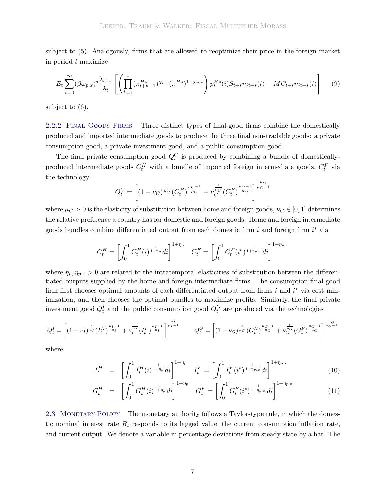subject to [\(5\)](#page-7-0). Analogously, firms that are allowed to reoptimize their price in the foreign market in period t maximize

$$
E_t \sum_{s=0}^{\infty} (\beta \omega_{p,x})^s \frac{\lambda_{t+s}}{\lambda_t} \left[ \left( \prod_{k=1}^s (\pi_{t+k-1}^{H*})^{\chi_{p,x}} (\pi^{H*})^{1-\chi_{p,x}} \right) p_t^{H*}(i) S_{t+s} m_{t+s}(i) - M C_{t+s} m_{t+s}(i) \right] \tag{9}
$$

subject to [\(6\)](#page-7-1).

2.2.2 FINAL GOODS FIRMS Three distinct types of final-good firms combine the domestically produced and imported intermediate goods to produce the three final non-tradable goods: a private consumption good, a private investment good, and a public consumption good.

The final private consumption good  $Q_t^C$  is produced by combining a bundle of domesticallyproduced intermediate goods  $C_t^H$  with a bundle of imported foreign intermediate goods,  $C_t^F$  via the technology

$$
Q_t^C = \left[ (1 - \nu_C)^{\frac{1}{\mu_C}} (C_t^H)^{\frac{\mu_C - 1}{\mu_C}} + \nu_C^{\frac{1}{\mu_C}} (C_t^F)^{\frac{\mu_C - 1}{\mu_C}} \right]^{\frac{\mu_C}{\mu_C - 1}}
$$

where  $\mu_C > 0$  is the elasticity of substitution between home and foreign goods,  $\nu_C \in [0, 1]$  determines the relative preference a country has for domestic and foreign goods. Home and foreign intermediate goods bundles combine differentiated output from each domestic firm  $i$  and foreign firm  $i^*$  via

$$
C_t^H = \left[ \int_0^1 C_t^H(i)^{\frac{1}{1+\eta_p}} di \right]^{1+\eta_p} C_t^F = \left[ \int_0^1 C_t^F(i^*)^{\frac{1}{1+\eta_{p,x}} } di \right]^{1+\eta_{p,x}}
$$

where  $\eta_p, \eta_{p,x} > 0$  are related to the intratemporal elasticities of substitution between the differentiated outputs supplied by the home and foreign intermediate firms. The consumption final good firm first chooses optimal amounts of each differentiated output from firms  $i$  and  $i^*$  via cost minimization, and then chooses the optimal bundles to maximize profits. Similarly, the final private investment good  $Q_t^I$  and the public consumption good  $Q_t^G$  are produced via the technologies

$$
Q_t^I = \left[ (1 - \nu_I)^{\frac{1}{\mu_I}} (I_t^H)^{\frac{\mu_I - 1}{\mu_I}} + \nu_I^{\frac{1}{\mu_I}} (I_t^F)^{\frac{\mu_I - 1}{\mu_I}} \right]^{\frac{\mu_I}{\mu_I - 1}} \qquad Q_t^G = \left[ (1 - \nu_G)^{\frac{1}{\mu_G}} (G_t^H)^{\frac{\mu_G - 1}{\mu_G}} + \nu_G^{\frac{1}{\mu_G}} (G_t^F)^{\frac{\mu_G - 1}{\mu_G}} \right]^{\frac{\mu_G}{\mu_G - 1}}
$$

where

$$
I_t^H = \left[ \int_0^1 I_t^H(i)^{\frac{1}{1+\eta p}} di \right]^{1+\eta p} I_t^F = \left[ \int_0^1 I_t^F(i^*)^{\frac{1}{1+\eta p,x}} di \right]^{1+\eta p,x}
$$
(10)

$$
G_t^H = \left[ \int_0^1 G_t^H(i)^{\frac{1}{1+\eta_p}} di \right]^{1+\eta_p} G_t^F = \left[ \int_0^1 G_t^F(i^*)^{\frac{1}{1+\eta_{p,x}}} di \right]^{1+\eta_{p,x}} \tag{11}
$$

2.3 MONETARY POLICY The monetary authority follows a Taylor-type rule, in which the domestic nominal interest rate  $R_t$  responds to its lagged value, the current consumption inflation rate, and current output. We denote a variable in percentage deviations from steady state by a hat. The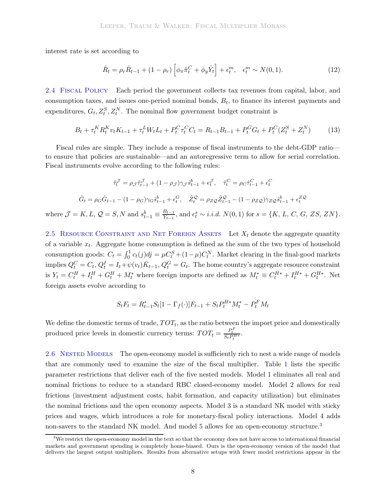interest rate is set according to

$$
\hat{R}_t = \rho_r \hat{R}_{t-1} + (1 - \rho_r) \left[ \phi_\pi \hat{\pi}_t^C + \phi_y \hat{Y}_t \right] + \epsilon_t^m, \quad \epsilon_t^m \sim N(0, 1). \tag{12}
$$

2.4 Fiscal Policy Each period the government collects tax revenues from capital, labor, and consumption taxes, and issues one-period nominal bonds,  $B_t$ , to finance its interest payments and expenditures,  $G_t, Z_t^S, Z_t^N$ . The nominal flow government budget constraint is

$$
B_t + \tau_t^K R_t^K v_t K_{t-1} + \tau_t^L W_t L_t + P_t^C \tau_t^C C_t = R_{t-1} B_{t-1} + P_t^G G_t + P_t^C (Z_t^S + Z_t^N) \tag{13}
$$

Fiscal rules are simple. They include a response of fiscal instruments to the debt-GDP ratio to ensure that policies are sustainable—and an autoregressive term to allow for serial correlation. Fiscal instruments evolve according to the following rules:

$$
\hat{\tau}_t^{\mathcal{J}} = \rho_{\mathcal{J}} \hat{\tau}_{t-1}^{\mathcal{J}} + (1 - \rho_{\mathcal{J}}) \gamma_{\mathcal{J}} \hat{s}_{t-1}^b + \epsilon_t^{\mathcal{J}}, \quad \hat{\tau}_t^C = \rho_C \hat{\tau}_{t-1}^C + \epsilon_t^C
$$
\n
$$
\hat{G}_t = \rho_G \hat{G}_{t-1} - (1 - \rho_G) \gamma_G \hat{s}_{t-1}^b + \epsilon_t^G, \quad \hat{Z}_t^Q = \rho_Z Q \hat{Z}_{t-1}^Q - (1 - \rho_Z Q) \gamma_Z Q \hat{s}_{t-1}^b + \epsilon_t^{ZQ}
$$
\n
$$
\text{where } \mathcal{J} = K, L, Q = S, N \text{ and } s_{t-1}^b \equiv \frac{B_{t-1}}{Y_{t-1}}, \text{ and } \epsilon_t^s \sim i.i.d. \ N(0, 1) \text{ for } s = \{K, L, C, G, ZS, ZN\}.
$$

2.5 RESOURCE CONSTRAINT AND NET FOREIGN ASSETS Let  $X_t$  denote the aggregate quantity of a variable  $x_t$ . Aggregate home consumption is defined as the sum of the two types of household consumption goods:  $C_t = \int_0^1 c_t(j)dj = \mu C_t^S + (1 - \mu)C_t^N$ . Market clearing in the final-good markets implies  $Q_t^C = C_t$ ,  $Q_t^I = I_t + \psi(v_t) \bar{K}_{t-1}$ ,  $Q_t^G = G_t$ . The home country's aggregate resource constraint is  $Y_t = C_t^H + I_t^H + G_t^H + M_t^*$  where foreign imports are defined as  $M_t^* \equiv C_t^{H*} + I_t^{H*} + G_t^{H*}$ . Net foreign assets evolve according to

$$
S_t F_t = R_{t-1}^* S_t [1 - \Gamma_f(\cdot)] F_{t-1} + S_t P_t^{H*} M_t^* - P_t^F M_t
$$

We define the domestic terms of trade,  $TOT_t$ , as the ratio between the import price and domestically produced price levels in domestic currency terms:  $TOT_t = \frac{P_t^F}{S_t P_t^{H*}}$ .

2.6 NESTED MODELS The open-economy model is sufficiently rich to nest a wide range of models that are commonly used to examine the size of the fiscal multiplier. Table [1](#page-10-0) lists the specific parameter restrictions that deliver each of the five nested models. Model 1 eliminates all real and nominal frictions to reduce to a standard RBC closed-economy model. Model 2 allows for real frictions (investment adjustment costs, habit formation, and capacity utilization) but eliminates the nominal frictions and the open economy aspects. Model 3 is a standard NK model with sticky prices and wages, which introduces a role for monetary-fiscal policy interactions. Model 4 adds non-savers to the standard NK model. And model 5 allows for an open-economy structure.<sup>[3](#page-9-0)</sup>

<span id="page-9-0"></span> $3W$ e restrict the open-economy model in the text so that the economy does not have access to international financial markets and government spending is completely home-biased. Ours is the open-economy version of the model that delivers the largest output multipliers. Results from alternative setups with fewer model restrictions appear in the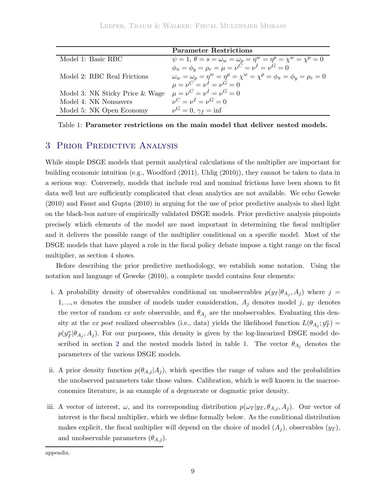|                                 | <b>Parameter Restrictions</b>                                                                 |
|---------------------------------|-----------------------------------------------------------------------------------------------|
| Model 1: Basic RBC              | $\psi = 1, \ \theta = s = \omega_w = \omega_p = \eta^w = \eta^p = \chi^w = \chi^p = 0$        |
|                                 | $\phi_{\pi} = \phi_{\nu} = \rho_r = \mu = \nu^C = \nu^I = \nu^G = 0$                          |
| Model 2: RBC Real Frictions     | $\omega_w = \omega_p = \eta^w = \eta^p = \chi^w = \chi^p = \phi_\pi = \phi_\eta = \rho_r = 0$ |
|                                 | $\mu = \nu^C = \nu^I = \nu^G = 0$                                                             |
| Model 3: NK Sticky Price & Wage | $\mu = \nu^C = \nu^I = \nu^G = 0$                                                             |
| Model 4: NK Nonsavers           | $\nu^C = \nu^I = \nu^G = 0$                                                                   |
| Model 5: NK Open Economy        | $\nu^G = 0, \gamma_f = \inf$                                                                  |

<span id="page-10-0"></span>Table 1: **Parameter restrictions on the main model that deliver nested models.**

# 3 Prior Predictive Analysis

While simple DSGE models that permit analytical calculations of the multiplier are important for building economic intuition (e.g., [Woodford](#page-30-7) [\(2011\)](#page-30-7), [Uhlig](#page-30-1) [\(2010](#page-30-1))), they cannot be taken to data in a serious way. Conversely, models that include real and nominal frictions have been shown to fit data well but are sufficiently complicated that clean analytics are not available. We echo [Geweke](#page-29-9) [\(2010\)](#page-29-9) and [Faust and Gupta](#page-29-12) [\(2010](#page-29-12)) in arguing for the use of prior predictive analysis to shed light on the black-box nature of empirically validated DSGE models. Prior predictive analysis pinpoints precisely which elements of the model are most important in determining the fiscal multiplier and it delivers the possible range of the multiplier conditional on a specific model. Most of the DSGE models that have played a role in the fiscal policy debate impose a tight range on the fiscal multiplier, as section [4](#page-12-0) shows.

Before describing the prior predictive methodology, we establish some notation. Using the notation and language of [Geweke](#page-29-9) [\(2010](#page-29-9)), a complete model contains four elements:

- i. A probability density of observables conditional on unobservables  $p(y_T | \theta_{A_j}, A_j)$  where  $j =$ 1, ..., *n* denotes the number of models under consideration,  $A_j$  denotes model j,  $y_T$  denotes the vector of random *ex ante* observable, and  $\theta_{A_i}$  are the unobservables. Evaluating this density at the *ex post* realized observables (i.e., data) yields the likelihood function  $L(\theta_{A_j}; y_T^o) =$  $p(y_T^o|\theta_{A_j}, A_j)$ . For our purposes, this density is given by the log-linearized DSGE model de-scribed in section [2](#page-4-0) and the nested models listed in table [1.](#page-10-0) The vector  $\theta_{A_i}$  denotes the parameters of the various DSGE models.
- ii. A prior density function  $p(\theta_{A,j}|A_j)$ , which specifies the range of values and the probabilities the unobserved parameters take those values. Calibration, which is well known in the macroeconomics literature, is an example of a degenerate or dogmatic prior density.
- iii. A vector of interest,  $\omega$ , and its corresponding distribution  $p(\omega_T | y_T, \theta_{A,j}, A_j)$ . Our vector of interest is the fiscal multiplier, which we define formally below. As the conditional distribution makes explicit, the fiscal multiplier will depend on the choice of model  $(A_i)$ , observables  $(y_T)$ , and unobservable parameters  $(\theta_{A,j})$ .

appendix.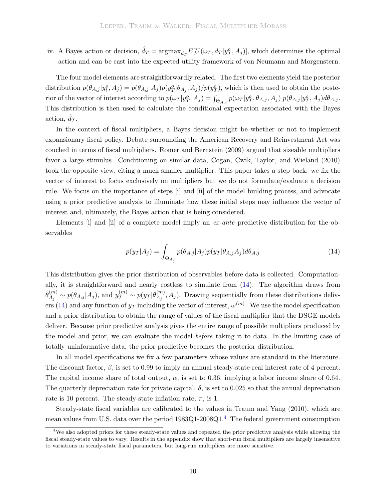iv. A Bayes action or decision,  $\hat{d}_T = \text{argmax}_{d_T} E[U(\omega_T, d_T | y_T^o, A_j)],$  which determines the optimal action and can be cast into the expected utility framework of von Neumann and Morgenstern.

The four model elements are straightforwardly related. The first two elements yield the posterior distribution  $p(\theta_{A,j}|y_i^o, A_j) = p(\theta_{A,j}|A_j)p(y_T^o|\theta_{A_j}, A_j)/p(y_T^o)$ , which is then used to obtain the posterior of the vector of interest according to  $p(\omega_T|y_T^o, A_j) = \int_{\Theta_{A,j}} p(\omega_T|y_T^o, \theta_{A,j}, A_j) p(\theta_{A,j}|y_T^o, A_j) d\theta_{A,j}$ . This distribution is then used to calculate the conditional expectation associated with the Bayes action,  $\hat{d}_T$ .

In the context of fiscal multipliers, a Bayes decision might be whether or not to implement expansionary fiscal policy. Debate surrounding the American Recovery and Reinvestment Act was couched in terms of fiscal multipliers. [Romer and Bernstein](#page-30-8) [\(2009](#page-30-8)) argued that sizeable multipliers favor a large stimulus. Conditioning on similar data, [Cogan, Cwik, Taylor, and Wieland](#page-29-6) [\(2010](#page-29-6)) took the opposite view, citing a much smaller multiplier. This paper takes a step back: we fix the vector of interest to focus exclusively on multipliers but we do not formulate/evaluate a decision rule. We focus on the importance of steps [i] and [ii] of the model building process, and advocate using a prior predictive analysis to illuminate how these initial steps may influence the vector of interest and, ultimately, the Bayes action that is being considered.

Elements [i] and [ii] of a complete model imply an *ex-ante* predictive distribution for the observables

<span id="page-11-0"></span>
$$
p(y_T|A_j) = \int_{\Theta_{A_j}} p(\theta_{A,j}|A_j) p(y_T|\theta_{A,j}A_j) d\theta_{A,j}
$$
\n(14)

This distribution gives the prior distribution of observables before data is collected. Computationally, it is straightforward and nearly costless to simulate from [\(14\)](#page-11-0). The algorithm draws from  $\theta_{A_j}^{(m)} \sim p(\theta_{A,j}|A_j)$ , and  $y_T^{(m)} \sim p(y_T|\theta_{A_j}^{(m)},A_j)$ . Drawing sequentially from these distributions deliv-ers [\(14\)](#page-11-0) and any function of  $y_T$  including the vector of interest,  $\omega^{(m)}$ . We use the model specification and a prior distribution to obtain the range of values of the fiscal multiplier that the DSGE models deliver. Because prior predictive analysis gives the entire range of possible multipliers produced by the model and prior, we can evaluate the model *before* taking it to data. In the limiting case of totally uninformative data, the prior predictive becomes the posterior distribution.

In all model specifications we fix a few parameters whose values are standard in the literature. The discount factor,  $\beta$ , is set to 0.99 to imply an annual steady-state real interest rate of 4 percent. The capital income share of total output,  $\alpha$ , is set to 0.36, implying a labor income share of 0.64. The quarterly depreciation rate for private capital,  $\delta$ , is set to 0.025 so that the annual depreciation rate is 10 percent. The steady-state inflation rate,  $\pi$ , is 1.

Steady-state fiscal variables are calibrated to the values in [Traum and Yang](#page-30-9) [\(2010\)](#page-30-9), which are mean values from U.S. data over the period 1983Q1-2008Q1.<sup>[4](#page-11-1)</sup> The federal government consumption

<span id="page-11-1"></span> $4$ We also adopted priors for these steady-state values and repeated the prior predictive analysis while allowing the fiscal steady-state values to vary. Results in the appendix show that short-run fiscal multipliers are largely insensitive to variations in steady-state fiscal parameters, but long-run multipliers are more sensitive.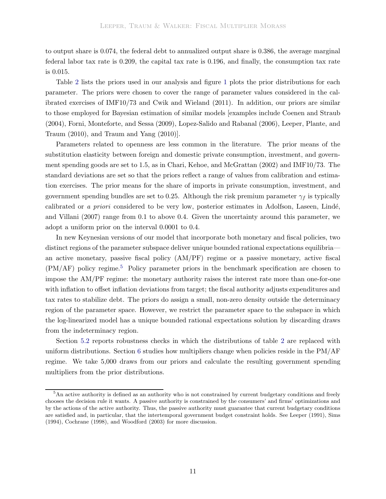to output share is 0.074, the federal debt to annualized output share is 0.386, the average marginal federal labor tax rate is 0.209, the capital tax rate is 0.196, and finally, the consumption tax rate is 0.015.

Table [2](#page-13-0) lists the priors used in our analysis and figure [1](#page-14-0) plots the prior distributions for each parameter. The priors were chosen to cover the range of parameter values considered in the calibrated exercises of IMF10/73 and [Cwik and Wieland](#page-29-7) [\(2011\)](#page-29-7). In addition, our priors are similar to those employed for Bayesian estimation of similar models [examples include [Coenen and Straub](#page-29-13) [\(2004\)](#page-29-13)[,](#page-30-3) [Forni, Monteforte, and Sessa](#page-29-3) [\(2009](#page-29-3)[\),](#page-30-3) [Lopez-Salido and Rabanal](#page-30-10) [\(2006\)](#page-30-10)[,](#page-30-3) Leeper, Plante, and Traum [\(2010](#page-30-3)), and [Traum and Yang](#page-30-9) [\(2010\)](#page-30-9)].

Parameters related to openness are less common in the literature. The prior means of the substitution elasticity between foreign and domestic private consumption, investment, and government spending goods are set to 1.5, as in [Chari, Kehoe, and McGrattan](#page-28-8) [\(2002\)](#page-28-8) and IMF10/73. The standard deviations are set so that the priors reflect a range of values from calibration and estimation exercises. The prior means for the share of imports in private consumption, investment, and government spending bundles are set to 0.25. Although the risk premium parameter  $\gamma_f$  is typically calibrated or *a priori* [considered to be very low, posterior estimates in](#page-28-4) Adolfson, Laseen, Lindé, and Villani [\(2007\)](#page-28-4) range from 0.1 to above 0.4. Given the uncertainty around this parameter, we adopt a uniform prior on the interval 0.0001 to 0.4.

In new Keynesian versions of our model that incorporate both monetary and fiscal policies, two distinct regions of the parameter subspace deliver unique bounded rational expectations equilibria an active monetary, passive fiscal policy (AM/PF) regime or a passive monetary, active fiscal  $(PM/AF)$  policy regime.<sup>[5](#page-12-1)</sup> Policy parameter priors in the benchmark specification are chosen to impose the AM/PF regime: the monetary authority raises the interest rate more than one-for-one with inflation to offset inflation deviations from target; the fiscal authority adjusts expenditures and tax rates to stabilize debt. The priors do assign a small, non-zero density outside the determinacy region of the parameter space. However, we restrict the parameter space to the subspace in which the log-linearized model has a unique bounded rational expectations solution by discarding draws from the indeterminacy region.

Section [5.2](#page-20-0) reports robustness checks in which the distributions of table [2](#page-13-0) are replaced with uniform distributions. Section [6](#page-23-0) studies how multipliers change when policies reside in the PM/AF regime. We take 5,000 draws from our priors and calculate the resulting government spending multipliers from the prior distributions.

<span id="page-12-1"></span><span id="page-12-0"></span><sup>&</sup>lt;sup>5</sup>An active authority is defined as an authority who is not constrained by current budgetary conditions and freely chooses the decision rule it wants. A passive authority is constrained by the consumers' and firms' optimizations and by the actions of the active authority. Thus, the passive authority must guarantee that current budgetary conditions are satisfied and, in particular, that the intertemporal government budget constraint holds. See [Leeper](#page-30-11) [\(1991\)](#page-30-11), [Sims](#page-30-12) [\(1994\)](#page-30-12), [Cochrane](#page-28-9) [\(1998](#page-28-9)), and [Woodford](#page-30-13) [\(2003](#page-30-13)) for more discussion.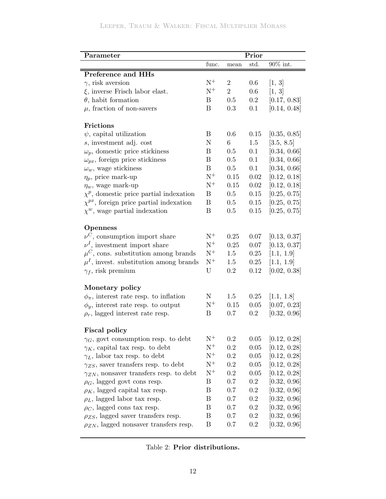# Leeper, Traum & Walker: Fiscal Multiplier Morass

| Parameter                                        |                  |                | Prior     |              |
|--------------------------------------------------|------------------|----------------|-----------|--------------|
|                                                  | func.            | mean           | std.      | 90% int.     |
| Preference and HHs                               |                  |                |           |              |
| $\gamma$ , risk aversion                         | $N^+$            | $\overline{2}$ | 0.6       | [1, 3]       |
| $\xi$ , inverse Frisch labor elast.              | $\mathrm{N}^{+}$ | $\overline{2}$ | 0.6       | [1, 3]       |
| $\theta$ , habit formation                       | Β                | 0.5            | $\rm 0.2$ | [0.17, 0.83] |
| $\mu$ , fraction of non-savers                   | B                | 0.3            | 0.1       | [0.14, 0.48] |
| Frictions                                        |                  |                |           |              |
| $\psi$ , capital utilization                     | Β                | 0.6            | 0.15      | [0.35, 0.85] |
| s, investment adj. cost                          | N                | 6              | 1.5       | [3.5, 8.5]   |
| $\omega_p$ , domestic price stickiness           | Β                | 0.5            | 0.1       | [0.34, 0.66] |
| $\omega_{px}$ , foreign price stickiness         | B                | 0.5            | 0.1       | [0.34, 0.66] |
| $\omega_w$ , wage stickiness                     | $\boldsymbol{B}$ | 0.5            | 0.1       | [0.34, 0.66] |
| $\eta_p$ , price mark-up                         | $\mathrm{N}^{+}$ | 0.15           | 0.02      | [0.12, 0.18] |
| $\eta_w$ , wage mark-up                          | $\mathrm{N}^{+}$ | 0.15           | 0.02      | [0.12, 0.18] |
| $\chi^p$ , domestic price partial indexation     | B                | 0.5            | 0.15      | [0.25, 0.75] |
| $\chi^{px}$ , foreign price partial indexation   | Β                | 0.5            | 0.15      | [0.25, 0.75] |
| $\chi^w$ , wage partial indexation               | Β                | 0.5            | 0.15      | [0.25, 0.75] |
| <b>Openness</b>                                  |                  |                |           |              |
| $\nu^C$ , consumption import share               | $\mathrm{N}^{+}$ | 0.25           | 0.07      | [0.13, 0.37] |
| $\nu^I$ , investment import share                | $N^+$            | 0.25           | 0.07      | [0.13, 0.37] |
| $\mu^C$ , cons. substitution among brands        | $\mathrm{N}^{+}$ | 1.5            | 0.25      | [1.1, 1.9]   |
| $\mu^I$ , invest. substitution among brands      | $N^+$            | 1.5            | 0.25      | [1.1, 1.9]   |
| $\gamma_f$ , risk premium                        | U                | 0.2            | 0.12      | [0.02, 0.38] |
| Monetary policy                                  |                  |                |           |              |
| $\phi_{\pi}$ , interest rate resp. to inflation  | N                | 1.5            | 0.25      | [1.1, 1.8]   |
| $\phi_y$ , interest rate resp. to output         | $\mathrm{N}^+$   | 0.15           | 0.05      | [0.07, 0.23] |
| $\rho_r$ , lagged interest rate resp.            | B                | 0.7            | 0.2       | [0.32, 0.96] |
| <b>Fiscal policy</b>                             |                  |                |           |              |
| $\gamma_G$ , govt consumption resp. to debt      | $\mathrm{N}^{+}$ | 0.2            | 0.05      | [0.12, 0.28] |
| $\gamma_K$ , capital tax resp. to debt           | $\mathrm{N}^{+}$ | 0.2            | 0.05      | [0.12, 0.28] |
| $\gamma_L$ , labor tax resp. to debt             | $\mathrm{N}^{+}$ | 0.2            | 0.05      | [0.12, 0.28] |
| $\gamma_{ZS}$ , saver transfers resp. to debt    | $\mathrm{N}^{+}$ | 0.2            | 0.05      | [0.12, 0.28] |
| $\gamma_{ZN}$ , nonsaver transfers resp. to debt | $N^+$            | $\rm 0.2$      | 0.05      | [0.12, 0.28] |
| $\rho_G$ , lagged govt cons resp.                | B                | 0.7            | 0.2       | [0.32, 0.96] |
| $\rho_K$ , lagged capital tax resp.              | B                | 0.7            | 0.2       | [0.32, 0.96] |
| $\rho_L$ , lagged labor tax resp.                | B                | 0.7            | $\rm 0.2$ | [0.32, 0.96] |
| $\rho_C$ , lagged cons tax resp.                 | Β                | 0.7            | 0.2       | [0.32, 0.96] |
| $\rho_{ZS}$ , lagged saver transfers resp.       | $\boldsymbol{B}$ | 0.7            | 0.2       | [0.32, 0.96] |
| $\rho_{ZN}$ , lagged nonsaver transfers resp.    | $\boldsymbol{B}$ | 0.7            | 0.2       | [0.32, 0.96] |
|                                                  |                  |                |           |              |

<span id="page-13-0"></span>

|  | Table 2: Prior distributions. |
|--|-------------------------------|
|  |                               |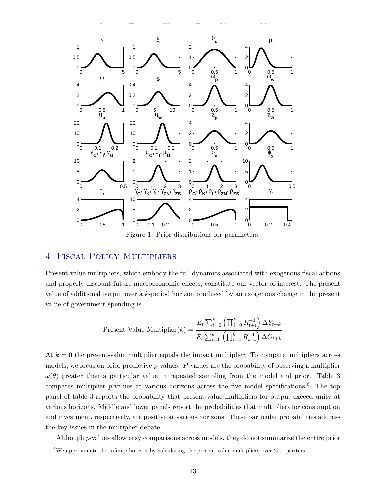

<span id="page-14-0"></span>Figure 1: Prior distributions for parameters.

# 4 Fiscal Policy Multipliers

Present-value multipliers, which embody the full dynamics associated with exogenous fiscal actions and properly discount future macroeconomic effects, constitute our vector of interest. The present value of additional output over a k-period horizon produced by an exogenous change in the present value of government spending is

Present Value Multiplier(k) = 
$$
\frac{E_t \sum_{t=0}^k \left(\prod_{i=0}^k R_{t+i}^{-1}\right) \Delta Y_{t+k}}{E_t \sum_{t=0}^k \left(\prod_{i=0}^k R_{t+i}^{-1}\right) \Delta G_{t+k}}
$$

At  $k = 0$  the present-value multiplier equals the impact multiplier. To compare multipliers across models, we focus on prior predictive p-values. P-values are the probability of observing a multiplier  $\omega(\theta)$  greater than a particular value in repeated sampling from the model and prior. Table [3](#page-17-0) compares multiplier  $p$ -values at various horizons across the five model specifications.<sup>[6](#page-14-1)</sup> The top panel of table [3](#page-17-0) reports the probability that present-value multipliers for output exceed unity at various horizons. Middle and lower panels report the probabilities that multipliers for consumption and investment, respectively, are positive at various horizons. These particular probabilities address the key issues in the multiplier debate.

Although p-values allow easy comparisons across models, they do not summarize the entire prior

<span id="page-14-1"></span>We approximate the infinite horizon by calculating the present value multipliers over 200 quarters.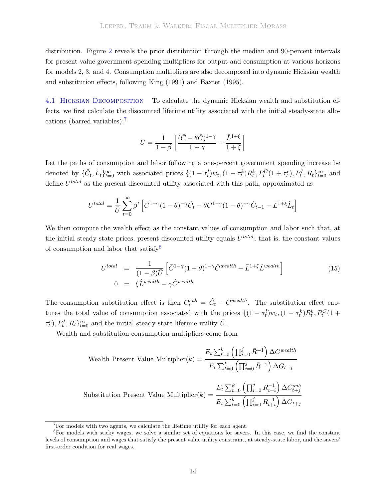distribution. Figure [2](#page-16-0) reveals the prior distribution through the median and 90-percent intervals for present-value government spending multipliers for output and consumption at various horizons for models 2, 3, and 4. Consumption multipliers are also decomposed into dynamic Hicksian wealth and substitution effects, following [King](#page-29-14) [\(1991\)](#page-29-14) and [Baxter](#page-28-10) [\(1995\)](#page-28-10).

4.1 Hicksian Decomposition To calculate the dynamic Hicksian wealth and substitution effects, we first calculate the discounted lifetime utility associated with the initial steady-state allocations (barred variables):[7](#page-15-0)

$$
\bar{U} = \frac{1}{1-\beta} \left[ \frac{(\bar{C} - \theta \bar{C})^{1-\gamma}}{1-\gamma} - \frac{\bar{L}^{1+\xi}}{1+\xi} \right]
$$

Let the paths of consumption and labor following a one-percent government spending increase be denoted by  $\{\hat{C}_t, \hat{L}_t\}_{t=0}^{\infty}$  with associated prices  $\{(1 - \tau_t^l)w_t, (1 - \tau_t^k)R_t^k, P_t^C(1 + \tau_t^c), P_t^I, R_t\}_{t=0}^{\infty}$  and define  $U^{total}$  as the present discounted utility associated with this path, approximated as

$$
U^{total} = \frac{1}{\bar{U}} \sum_{t=0}^{\infty} \beta^t \left[ \bar{C}^{1-\gamma} (1-\theta)^{-\gamma} \hat{C}_t - \theta \bar{C}^{1-\gamma} (1-\theta)^{-\gamma} \hat{C}_{t-1} - \bar{L}^{1+\xi} \hat{L}_t \right]
$$

We then compute the wealth effect as the constant values of consumption and labor such that, at the initial steady-state prices, present discounted utility equals  $U^{total}$ ; that is, the constant values of consumption and labor that satisfy  $8$ 

$$
U^{total} = \frac{1}{(1-\beta)\bar{U}} \left[ \bar{C}^{1-\gamma} (1-\theta)^{1-\gamma} \hat{C}^{weakth} - \bar{L}^{1+\xi} \hat{L}^{weakth} \right]
$$
  
\n
$$
0 = \xi \hat{L}^{weakth} - \gamma \hat{C}^{weakth}
$$
 (15)

The consumption substitution effect is then  $\hat{C}^{sub}_{t} = \hat{C}_{t} - \hat{C}^{wealth}$ . The substitution effect captures the total value of consumption associated with the prices  $\{(1 - \tau_t^l)w_t, (1 - \tau_t^k)R_t^k, P_t^C(1 +$  $\{\tau_t^c\}$ ,  $P_t^I$ ,  $R_t\}_{t=0}^{\infty}$  and the initial steady state lifetime utility  $\bar{U}$ .

Wealth and substitution consumption multipliers come from

Wealth Present Value Multiplier(k) = 
$$
\frac{E_t \sum_{t=0}^k \left(\prod_{i=0}^j \bar{R}^{-1}\right) \Delta C^{wealth}}{E_t \sum_{t=0}^k \left(\prod_{i=0}^j \bar{R}^{-1}\right) \Delta G_{t+j}}
$$
  
Substitution Present Value Multiplier(k) = 
$$
\frac{E_t \sum_{t=0}^k \left(\prod_{i=0}^j R_{t+i}^{-1}\right) \Delta C_{t+j}^{sub}}{E_t \sum_{t=0}^k \left(\prod_{i=0}^j R_{t+i}^{-1}\right) \Delta G_{t+j}}
$$

<span id="page-15-0"></span><sup>&</sup>lt;sup>7</sup>For models with two agents, we calculate the lifetime utility for each agent.

<span id="page-15-1"></span><sup>8</sup>For models with sticky wages, we solve a similar set of equations for savers. In this case, we find the constant levels of consumption and wages that satisfy the present value utility constraint, at steady-state labor, and the savers' first-order condition for real wages.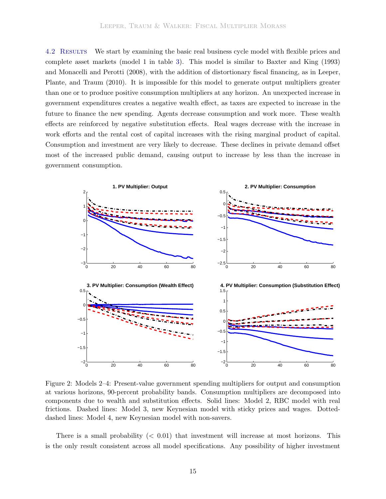4.2 Results We start by examining the basic real business cycle model with flexible prices and complete asset markets (model 1 in table [3\)](#page-17-0). This model is similar to [Baxter and King](#page-28-11) [\(1993](#page-28-11)) and [Monacelli and Perotti](#page-30-2)[\(2008](#page-30-2)[\), with the addition of distortionary fiscal financing, as in](#page-30-3) Leeper, Plante, and Traum [\(2010\)](#page-30-3). It is impossible for this model to generate output multipliers greater than one or to produce positive consumption multipliers at any horizon. An unexpected increase in government expenditures creates a negative wealth effect, as taxes are expected to increase in the future to finance the new spending. Agents decrease consumption and work more. These wealth effects are reinforced by negative substitution effects. Real wages decrease with the increase in work efforts and the rental cost of capital increases with the rising marginal product of capital. Consumption and investment are very likely to decrease. These declines in private demand offset most of the increased public demand, causing output to increase by less than the increase in government consumption.



<span id="page-16-0"></span>Figure 2: Models 2–4: Present-value government spending multipliers for output and consumption at various horizons, 90-percent probability bands. Consumption multipliers are decomposed into components due to wealth and substitution effects. Solid lines: Model 2, RBC model with real frictions. Dashed lines: Model 3, new Keynesian model with sticky prices and wages. Dotteddashed lines: Model 4, new Keynesian model with non-savers.

There is a small probability  $( $0.01$ ) that investment will increase at most horizons. This$ is the only result consistent across all model specifications. Any possibility of higher investment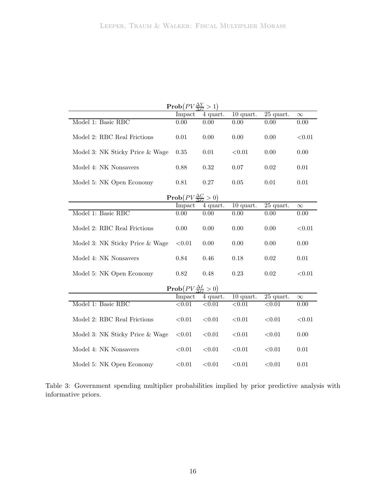|                                 | $\text{Prob}(PV \frac{\Delta Y}{\Delta G} > 1)$   |             |                        |             |          |
|---------------------------------|---------------------------------------------------|-------------|------------------------|-------------|----------|
|                                 | Impact                                            | 4 quart.    | $10$ quart.            | 25 quart.   | $\infty$ |
| Model 1: Basic RBC              | 0.00                                              | 0.00        | 0.00                   | 0.00        | 0.00     |
| Model 2: RBC Real Frictions     | 0.01                                              | 0.00        | 0.00                   | 0.00        | < 0.01   |
| Model 3: NK Sticky Price & Wage | $0.35\,$                                          | $0.01\,$    | < 0.01                 | 0.00        | 0.00     |
| Model 4: NK Nonsavers           | 0.88                                              | 0.32        | 0.07                   | 0.02        | 0.01     |
| Model 5: NK Open Economy        | 0.81                                              | 0.27        | 0.05                   | 0.01        | 0.01     |
|                                 | $\mathbf{Prob}(PV \frac{\Delta C}{\Delta G} > 0)$ |             |                        |             |          |
|                                 | Impact                                            | 4 quart.    | $10$ quart.            | 25 quart.   | $\infty$ |
| Model 1: Basic RBC              | 0.00                                              | 0.00        | 0.00                   | 0.00        | 0.00     |
| Model 2: RBC Real Frictions     | $0.00\,$                                          | 0.00        | 0.00                   | 0.00        | < 0.01   |
| Model 3: NK Sticky Price & Wage | $<\!\!0.01$                                       | 0.00        | 0.00                   | 0.00        | 0.00     |
| Model 4: NK Nonsavers           | 0.84                                              | 0.46        | 0.18                   | $\,0.02$    | 0.01     |
| Model 5: NK Open Economy        | 0.82                                              | 0.48        | 0.23                   | 0.02        | < 0.01   |
|                                 | $\text{Prob}(PV \frac{\Delta I}{\Delta G} > 0)$   |             |                        |             |          |
|                                 | Impact                                            | 4 quart.    | $\overline{10}$ quart. | 25 quart.   | $\infty$ |
| Model 1: Basic RBC              | < 0.01                                            | < 0.01      | < 0.01                 | < 0.01      | 0.00     |
| Model 2: RBC Real Frictions     | < 0.01                                            | < 0.01      | < 0.01                 | < 0.01      | < 0.01   |
| Model 3: NK Sticky Price & Wage | < 0.01                                            | < 0.01      | < 0.01                 | < 0.01      | 0.00     |
| Model 4: NK Nonsavers           | ${<}0.01$                                         | $<\!\!0.01$ | ${<}0.01$              | $<\!\!0.01$ | 0.01     |
| Model 5: NK Open Economy        | < 0.01                                            | < 0.01      | ${<}0.01$              | < 0.01      | 0.01     |

<span id="page-17-0"></span>Table 3: Government spending multiplier probabilities implied by prior predictive analysis with informative priors.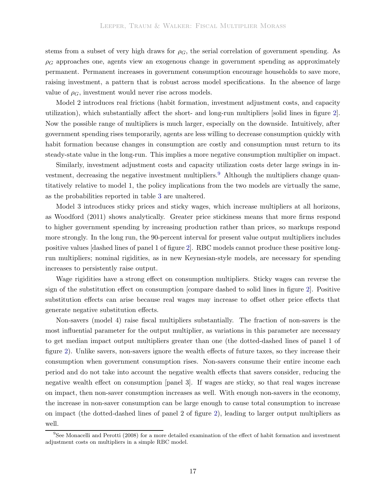stems from a subset of very high draws for  $\rho_G$ , the serial correlation of government spending. As  $\rho_G$  approaches one, agents view an exogenous change in government spending as approximately permanent. Permanent increases in government consumption encourage households to save more, raising investment, a pattern that is robust across model specifications. In the absence of large value of  $\rho_G$ , investment would never rise across models.

Model 2 introduces real frictions (habit formation, investment adjustment costs, and capacity utilization), which substantially affect the short- and long-run multipliers [solid lines in figure [2\]](#page-16-0). Now the possible range of multipliers is much larger, especially on the downside. Intuitively, after government spending rises temporarily, agents are less willing to decrease consumption quickly with habit formation because changes in consumption are costly and consumption must return to its steady-state value in the long-run. This implies a more negative consumption multiplier on impact.

Similarly, investment adjustment costs and capacity utilization costs deter large swings in in-vestment, decreasing the negative investment multipliers.<sup>[9](#page-18-0)</sup> Although the multipliers change quantitatively relative to model 1, the policy implications from the two models are virtually the same, as the probabilities reported in table [3](#page-17-0) are unaltered.

Model 3 introduces sticky prices and sticky wages, which increase multipliers at all horizons, as [Woodford](#page-30-7) [\(2011\)](#page-30-7) shows analytically. Greater price stickiness means that more firms respond to higher government spending by increasing production rather than prices, so markups respond more strongly. In the long run, the 90-percent interval for present value output multipliers includes positive values [dashed lines of panel 1 of figure [2\]](#page-16-0). RBC models cannot produce these positive longrun multipliers; nominal rigidities, as in new Keynesian-style models, are necessary for spending increases to persistently raise output.

Wage rigidities have a strong effect on consumption multipliers. Sticky wages can reverse the sign of the substitution effect on consumption [compare dashed to solid lines in figure [2\]](#page-16-0). Positive substitution effects can arise because real wages may increase to offset other price effects that generate negative substitution effects.

Non-savers (model 4) raise fiscal multipliers substantially. The fraction of non-savers is the most influential parameter for the output multiplier, as variations in this parameter are necessary to get median impact output multipliers greater than one (the dotted-dashed lines of panel 1 of figure [2\)](#page-16-0). Unlike savers, non-savers ignore the wealth effects of future taxes, so they increase their consumption when government consumption rises. Non-savers consume their entire income each period and do not take into account the negative wealth effects that savers consider, reducing the negative wealth effect on consumption [panel 3]. If wages are sticky, so that real wages increase on impact, then non-saver consumption increases as well. With enough non-savers in the economy, the increase in non-saver consumption can be large enough to cause total consumption to increase on impact (the dotted-dashed lines of panel 2 of figure [2\)](#page-16-0), leading to larger output multipliers as well.

<span id="page-18-0"></span><sup>&</sup>lt;sup>9</sup>See [Monacelli and Perotti](#page-30-2) [\(2008](#page-30-2)) for a more detailed examination of the effect of habit formation and investment adjustment costs on multipliers in a simple RBC model.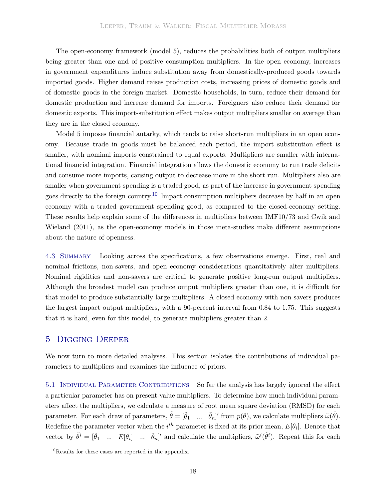The open-economy framework (model 5), reduces the probabilities both of output multipliers being greater than one and of positive consumption multipliers. In the open economy, increases in government expenditures induce substitution away from domestically-produced goods towards imported goods. Higher demand raises production costs, increasing prices of domestic goods and of domestic goods in the foreign market. Domestic households, in turn, reduce their demand for domestic production and increase demand for imports. Foreigners also reduce their demand for domestic exports. This import-substitution effect makes output multipliers smaller on average than they are in the closed economy.

Model 5 imposes financial autarky, which tends to raise short-run multipliers in an open economy. Because trade in goods must be balanced each period, the import substitution effect is smaller, with nominal imports constrained to equal exports. Multipliers are smaller with international financial integration. Financial integration allows the domestic economy to run trade deficits and consume more imports, causing output to decrease more in the short run. Multipliers also are smaller when government spending is a traded good, as part of the increase in government spending goes directly to the foreign country.[10](#page-19-0) Impact consumption multipliers decrease by half in an open economy with a traded government spending good, as compared to the closed-economy setting. These r[esults](#page-29-7) [help](#page-29-7) [explain](#page-29-7) [some](#page-29-7) [of](#page-29-7) [the](#page-29-7) [differences](#page-29-7) [in](#page-29-7) [multipliers](#page-29-7) [between](#page-29-7) [IMF10/73](#page-29-7) [and](#page-29-7) Cwik and Wieland [\(2011](#page-29-7)), as the open-economy models in those meta-studies make different assumptions about the nature of openness.

4.3 Summary Looking across the specifications, a few observations emerge. First, real and nominal frictions, non-savers, and open economy considerations quantitatively alter multipliers. Nominal rigidities and non-savers are critical to generate positive long-run output multipliers. Although the broadest model can produce output multipliers greater than one, it is difficult for that model to produce substantially large multipliers. A closed economy with non-savers produces the largest impact output multipliers, with a 90-percent interval from 0.84 to 1.75. This suggests that it is hard, even for this model, to generate multipliers greater than 2.

# 5 Digging Deeper

We now turn to more detailed analyses. This section isolates the contributions of individual parameters to multipliers and examines the influence of priors.

5.1 Individual Parameter Contributions So far the analysis has largely ignored the effect a particular parameter has on present-value multipliers. To determine how much individual parameters affect the multipliers, we calculate a measure of root mean square deviation (RMSD) for each parameter. For each draw of parameters,  $\tilde{\theta} = [\tilde{\theta}_1 \dots \tilde{\theta}_n]'$  from  $p(\theta)$ , we calculate multipliers  $\tilde{\omega}(\tilde{\theta})$ . Redefine the parameter vector when the  $i^{th}$  parameter is fixed at its prior mean,  $E[\theta_i]$ . Denote that vector by  $\tilde{\theta}^i = [\tilde{\theta}_1 \dots E[\theta_i] \dots \tilde{\theta}_n]'$  and calculate the multipliers,  $\tilde{\omega}^i(\tilde{\theta}^i)$ . Repeat this for each

<span id="page-19-0"></span> $10$ <sub>Results</sub> for these cases are reported in the appendix.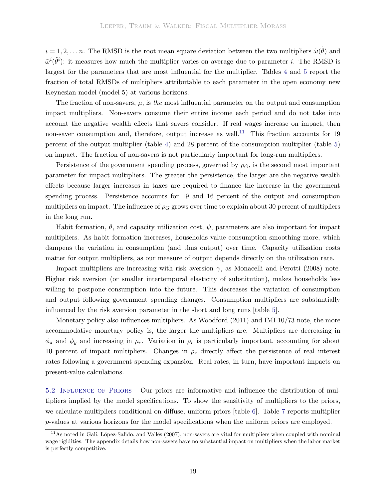$i = 1, 2, \ldots n$ . The RMSD is the root mean square deviation between the two multipliers  $\tilde{\omega}(\tilde{\theta})$  and  $\tilde{\omega}^{i}(\tilde{\theta}^{i})$ : it measures how much the multiplier varies on average due to parameter *i*. The RMSD is largest for the parameters that are most influential for the multiplier. Tables [4](#page-21-0) and [5](#page-22-0) report the fraction of total RMSDs of multipliers attributable to each parameter in the open economy new Keynesian model (model 5) at various horizons.

The fraction of non-savers, μ, is *the* most influential parameter on the output and consumption impact multipliers. Non-savers consume their entire income each period and do not take into account the negative wealth effects that savers consider. If real wages increase on impact, then non-saver consumption and, therefore, output increase as well.<sup>[11](#page-20-1)</sup> This fraction accounts for 19 percent of the output multiplier (table [4\)](#page-21-0) and 28 percent of the consumption multiplier (table [5\)](#page-22-0) on impact. The fraction of non-savers is not particularly important for long-run multipliers.

Persistence of the government spending process, governed by  $\rho_G$ , is the second most important parameter for impact multipliers. The greater the persistence, the larger are the negative wealth effects because larger increases in taxes are required to finance the increase in the government spending process. Persistence accounts for 19 and 16 percent of the output and consumption multipliers on impact. The influence of  $\rho_G$  grows over time to explain about 30 percent of multipliers in the long run.

Habit formation,  $\theta$ , and capacity utilization cost,  $\psi$ , parameters are also important for impact multipliers. As habit formation increases, households value consumption smoothing more, which dampens the variation in consumption (and thus output) over time. Capacity utilization costs matter for output multipliers, as our measure of output depends directly on the utilization rate.

Impact multipliers are increasing with risk aversion  $\gamma$ , as [Monacelli and Perotti](#page-30-2) [\(2008](#page-30-2)) note. Higher risk aversion (or smaller intertemporal elasticity of substitution), makes households less willing to postpone consumption into the future. This decreases the variation of consumption and output following government spending changes. Consumption multipliers are substantially influenced by the risk aversion parameter in the short and long runs [table [5\]](#page-22-0).

Monetary policy also influences multipliers. As [Woodford](#page-30-7) [\(2011\)](#page-30-7) and IMF10/73 note, the more accommodative monetary policy is, the larger the multipliers are. Multipliers are decreasing in  $\phi_{\pi}$  and  $\phi_{y}$  and increasing in  $\rho_{r}$ . Variation in  $\rho_{r}$  is particularly important, accounting for about 10 percent of impact multipliers. Changes in  $\rho_r$  directly affect the persistence of real interest rates following a government spending expansion. Real rates, in turn, have important impacts on present-value calculations.

<span id="page-20-0"></span>5.2 Influence of Priors Our priors are informative and influence the distribution of multipliers implied by the model specifications. To show the sensitivity of multipliers to the priors, we calculate multipliers conditional on diffuse, uniform priors [table [6\]](#page-24-0). Table [7](#page-25-0) reports multiplier p-values at various horizons for the model specifications when the uniform priors are employed.

<span id="page-20-1"></span> $11$ As noted in Galí, López-Salido, and Vallés [\(2007\)](#page-29-2), non-savers are vital for multipliers when coupled with nominal wage rigidities. The appendix details how non-savers have no substantial impact on multipliers when the labor market is perfectly competitive.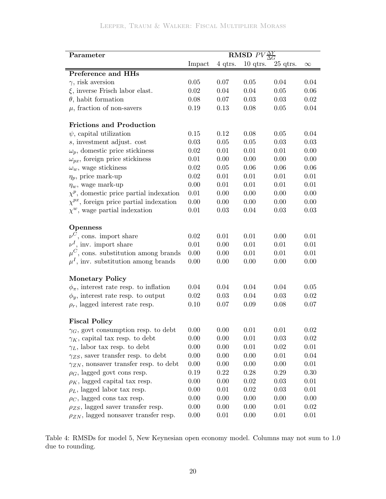| Parameter                                       |        |         | <b>RMSD</b> $PV \frac{\Delta Y}{\Delta G}$ |          |          |
|-------------------------------------------------|--------|---------|--------------------------------------------|----------|----------|
|                                                 | Impact | 4 qtrs. | $10$ qtrs.                                 | 25 qtrs. | $\infty$ |
| Preference and HHs                              |        |         |                                            |          |          |
| $\gamma$ , risk aversion                        | 0.05   | 0.07    | 0.05                                       | 0.04     | 0.04     |
| $\xi$ , inverse Frisch labor elast.             | 0.02   | 0.04    | 0.04                                       | 0.05     | 0.06     |
| $\theta$ , habit formation                      | 0.08   | 0.07    | 0.03                                       | 0.03     | 0.02     |
| $\mu$ , fraction of non-savers                  | 0.19   | 0.13    | 0.08                                       | 0.05     | 0.04     |
| <b>Frictions and Production</b>                 |        |         |                                            |          |          |
| $\psi$ , capital utilization                    | 0.15   | 0.12    | 0.08                                       | 0.05     | 0.04     |
| $s$ , investment adjust. $cost$                 | 0.03   | 0.05    | 0.05                                       | 0.03     | 0.03     |
| $\omega_p$ , domestic price stickiness          | 0.02   | 0.01    | 0.01                                       | 0.01     | 0.00     |
| $\omega_{px}$ , foreign price stickiness        | 0.01   | 0.00    | 0.00                                       | 0.00     | 0.00     |
| $\omega_w$ , wage stickiness                    | 0.02   | 0.05    | 0.06                                       | 0.06     | 0.06     |
| $\eta_p$ , price mark-up                        | 0.02   | 0.01    | 0.01                                       | 0.01     | 0.01     |
| $\eta_w$ , wage mark-up                         | 0.00   | 0.01    | 0.01                                       | 0.01     | 0.01     |
| $\chi^p$ , domestic price partial indexation    | 0.01   | 0.00    | 0.00                                       | 0.00     | 0.00     |
| $\chi^{px}$ , foreign price partial indexation  | 0.00   | 0.00    | 0.00                                       | 0.00     | 0.00     |
| $\chi^w$ , wage partial indexation              | 0.01   | 0.03    | 0.04                                       | 0.03     | 0.03     |
| <b>Openness</b>                                 |        |         |                                            |          |          |
| $\nu^C$ , cons. import share                    | 0.02   | 0.01    | 0.01                                       | 0.00     | 0.01     |
| $\nu^I$ , inv. import share                     | 0.01   | 0.00    | 0.01                                       | 0.01     | 0.01     |
| $\mu^C$ , cons. substitution among brands       | 0.00   | 0.00    | 0.01                                       | 0.01     | 0.01     |
| $\mu^I$ , inv. substitution among brands        | 0.00   | 0.00    | 0.00                                       | 0.00     | 0.00     |
| <b>Monetary Policy</b>                          |        |         |                                            |          |          |
| $\phi_{\pi}$ , interest rate resp. to inflation | 0.04   | 0.04    | 0.04                                       | 0.04     | $0.05\,$ |
| $\phi_y$ , interest rate resp. to output        | 0.02   | 0.03    | 0.04                                       | 0.03     | 0.02     |
| $\rho_r$ , lagged interest rate resp.           | 0.10   | 0.07    | 0.09                                       | 0.08     | 0.07     |
| <b>Fiscal Policy</b>                            |        |         |                                            |          |          |
| $\gamma_G$ , govt consumption resp. to debt     | 0.00   | 0.00    | 0.01                                       | 0.01     | 0.02     |
| $\gamma_K$ , capital tax resp. to debt          | 0.00   | 0.00    | 0.01                                       | 0.03     | 0.02     |
| $\gamma_L$ , labor tax resp. to debt            | 0.00   | 0.00    | 0.01                                       | 0.02     | 0.01     |
| $\gamma_{ZS}$ , saver transfer resp. to debt    | 0.00   | 0.00    | 0.00                                       | 0.01     | 0.04     |
| $\gamma_{ZN}$ , nonsaver transfer resp. to debt | 0.00   | 0.00    | 0.00                                       | 0.00     | 0.01     |
| $\rho_G$ , lagged govt cons resp.               | 0.19   | 0.22    | 0.28                                       | 0.29     | 0.30     |
| $\rho_K$ , lagged capital tax resp.             | 0.00   | 0.00    | 0.02                                       | 0.03     | 0.01     |
| $\rho_L$ , lagged labor tax resp.               | 0.00   | 0.01    | 0.02                                       | 0.03     | 0.01     |
| $\rho_C$ , lagged cons tax resp.                | 0.00   | 0.00    | 0.00                                       | 0.00     | 0.00     |
| $\rho_{ZS}$ , lagged saver transfer resp.       | 0.00   | 0.00    | 0.00                                       | 0.01     | 0.02     |
| $\rho_{ZN}$ , lagged nonsaver transfer resp.    | 0.00   | 0.01    | 0.00                                       | 0.01     | 0.01     |

<span id="page-21-0"></span>Table 4: RMSDs for model 5, New Keynesian open economy model. Columns may not sum to 1.0 due to rounding.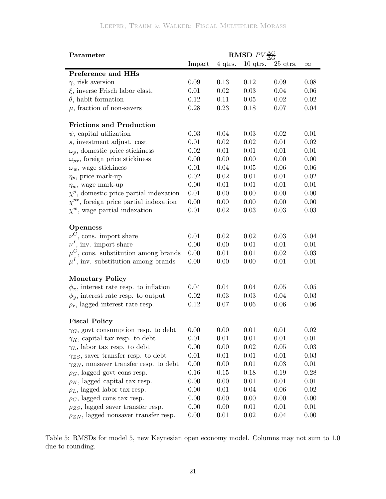| Parameter                                       |        |         | <b>RMSD</b> $PV\frac{\Delta C}{\Delta G}$ |            |          |
|-------------------------------------------------|--------|---------|-------------------------------------------|------------|----------|
|                                                 | Impact | 4 qtrs. | $10$ qtrs.                                | $25$ qtrs. | $\infty$ |
| Preference and HHs                              |        |         |                                           |            |          |
| $\gamma,$ risk aversion                         | 0.09   | 0.13    | 0.12                                      | 0.09       | 0.08     |
| $\xi$ , inverse Frisch labor elast.             | 0.01   | 0.02    | 0.03                                      | 0.04       | 0.06     |
| $\theta$ , habit formation                      | 0.12   | 0.11    | 0.05                                      | 0.02       | 0.02     |
| $\mu$ , fraction of non-savers                  | 0.28   | 0.23    | 0.18                                      | 0.07       | 0.04     |
| <b>Frictions and Production</b>                 |        |         |                                           |            |          |
| $\psi$ , capital utilization                    | 0.03   | 0.04    | 0.03                                      | 0.02       | 0.01     |
| s, investment adjust. cost                      | 0.01   | 0.02    | 0.02                                      | 0.01       | 0.02     |
| $\omega_p$ , domestic price stickiness          | 0.02   | 0.01    | 0.01                                      | 0.01       | 0.01     |
| $\omega_{px}$ , foreign price stickiness        | 0.00   | 0.00    | 0.00                                      | 0.00       | 0.00     |
| $\omega_w$ , wage stickiness                    | 0.01   | 0.04    | 0.05                                      | 0.06       | 0.06     |
| $\eta_p$ , price mark-up                        | 0.02   | 0.02    | 0.01                                      | 0.01       | 0.02     |
| $\eta_w$ , wage mark-up                         | 0.00   | 0.01    | 0.01                                      | 0.01       | 0.01     |
| $\chi^p$ , domestic price partial indexation    | 0.01   | 0.00    | 0.00                                      | 0.00       | 0.00     |
| $\chi^{px}$ , foreign price partial indexation  | 0.00   | 0.00    | 0.00                                      | 0.00       | 0.00     |
| $\chi^w$ , wage partial indexation              | 0.01   | 0.02    | 0.03                                      | 0.03       | 0.03     |
| <b>Openness</b>                                 |        |         |                                           |            |          |
| $\nu^C$ , cons. import share                    | 0.01   | 0.02    | 0.02                                      | 0.03       | 0.04     |
| $\nu^I$ , inv. import share                     | 0.00   | 0.00    | 0.01                                      | 0.01       | 0.01     |
| $\mu^C$ , cons. substitution among brands       | 0.00   | 0.01    | 0.01                                      | 0.02       | 0.03     |
| $\mu^I$ , inv. substitution among brands        | 0.00   | 0.00    | 0.00                                      | 0.01       | 0.01     |
| <b>Monetary Policy</b>                          |        |         |                                           |            |          |
| $\phi_{\pi}$ , interest rate resp. to inflation | 0.04   | 0.04    | 0.04                                      | 0.05       | $0.05\,$ |
| $\phi_y$ , interest rate resp. to output        | 0.02   | 0.03    | 0.03                                      | 0.04       | 0.03     |
| $\rho_r$ , lagged interest rate resp.           | 0.12   | 0.07    | 0.06                                      | 0.06       | 0.06     |
| <b>Fiscal Policy</b>                            |        |         |                                           |            |          |
| $\gamma_G$ , govt consumption resp. to debt     | 0.00   | 0.00    | 0.01                                      | 0.01       | 0.02     |
| $\gamma_K$ , capital tax resp. to debt          | 0.01   | 0.01    | 0.01                                      | 0.01       | 0.01     |
| $\gamma_L$ , labor tax resp. to debt            | 0.00   | 0.00    | 0.02                                      | 0.05       | 0.03     |
| $\gamma_{ZS}$ , saver transfer resp. to debt    | 0.01   | 0.01    | 0.01                                      | 0.01       | 0.03     |
| $\gamma_{ZN}$ , nonsaver transfer resp. to debt | 0.00   | 0.00    | 0.01                                      | 0.03       | 0.01     |
| $\rho_G$ , lagged govt cons resp.               | 0.16   | 0.15    | 0.18                                      | 0.19       | 0.28     |
| $\rho_K$ , lagged capital tax resp.             | 0.00   | 0.00    | 0.01                                      | 0.01       | 0.01     |
| $\rho_L$ , lagged labor tax resp.               | 0.00   | 0.01    | 0.04                                      | 0.06       | 0.02     |
| $\rho_C$ , lagged cons tax resp.                | 0.00   | 0.00    | 0.00                                      | 0.00       | 0.00     |
| $\rho_{ZS}$ , lagged saver transfer resp.       | 0.00   | 0.00    | 0.01                                      | 0.01       | 0.01     |
| $\rho_{ZN}$ , lagged nonsaver transfer resp.    | 0.00   | 0.01    | 0.02                                      | 0.04       | 0.00     |

<span id="page-22-0"></span>Table 5: RMSDs for model 5, new Keynesian open economy model. Columns may not sum to 1.0 due to rounding.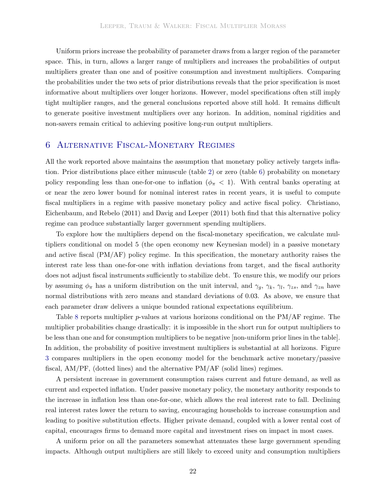Uniform priors increase the probability of parameter draws from a larger region of the parameter space. This, in turn, allows a larger range of multipliers and increases the probabilities of output multipliers greater than one and of positive consumption and investment multipliers. Comparing the probabilities under the two sets of prior distributions reveals that the prior specification is most informative about multipliers over longer horizons. However, model specifications often still imply tight multiplier ranges, and the general conclusions reported above still hold. It remains difficult to generate positive investment multipliers over any horizon. In addition, nominal rigidities and non-savers remain critical to achieving positive long-run output multipliers.

## <span id="page-23-0"></span>6 Alternative Fiscal-Monetary Regimes

All the work reported above maintains the assumption that monetary policy actively targets inflation. Prior distributions place either minuscule (table [2\)](#page-13-0) or zero (table [6\)](#page-24-0) probability on monetary policy responding less than one-for-one to inflation ( $\phi_{\pi}$  < 1). With central banks operating at or near the zero lower bound for nominal interest rates in recent years, it is useful to compute fiscal multipliers in a re[gime](#page-28-2) [with](#page-28-2) [passive](#page-28-2) [monetary](#page-28-2) [policy](#page-28-2) [and](#page-28-2) [active](#page-28-2) [fiscal](#page-28-2) [policy.](#page-28-2) Christiano, Eichenbaum, and Rebelo [\(2011\)](#page-28-2) and [Davig and Leeper](#page-29-0) [\(2011\)](#page-29-0) both find that this alternative policy regime can produce substantially larger government spending multipliers.

To explore how the multipliers depend on the fiscal-monetary specification, we calculate multipliers conditional on model 5 (the open economy new Keynesian model) in a passive monetary and active fiscal (PM/AF) policy regime. In this specification, the monetary authority raises the interest rate less than one-for-one with inflation deviations from target, and the fiscal authority does not adjust fiscal instruments sufficiently to stabilize debt. To ensure this, we modify our priors by assuming  $\phi_{\pi}$  has a uniform distribution on the unit interval, and  $\gamma_g$ ,  $\gamma_k$ ,  $\gamma_l$ ,  $\gamma_{zs}$ , and  $\gamma_{zn}$  have normal distributions with zero means and standard deviations of 0.03. As above, we ensure that each parameter draw delivers a unique bounded rational expectations equilibrium.

Table [8](#page-26-0) reports multiplier p-values at various horizons conditional on the PM/AF regime. The multiplier probabilities change drastically: it is impossible in the short run for output multipliers to be less than one and for consumption multipliers to be negative [non-uniform prior lines in the table]. In addition, the probability of positive investment multipliers is substantial at all horizons. Figure [3](#page-27-0) compares multipliers in the open economy model for the benchmark active monetary/passive fiscal, AM/PF, (dotted lines) and the alternative PM/AF (solid lines) regimes.

A persistent increase in government consumption raises current and future demand, as well as current and expected inflation. Under passive monetary policy, the monetary authority responds to the increase in inflation less than one-for-one, which allows the real interest rate to fall. Declining real interest rates lower the return to saving, encouraging households to increase consumption and leading to positive substitution effects. Higher private demand, coupled with a lower rental cost of capital, encourages firms to demand more capital and investment rises on impact in most cases.

A uniform prior on all the parameters somewhat attenuates these large government spending impacts. Although output multipliers are still likely to exceed unity and consumption multipliers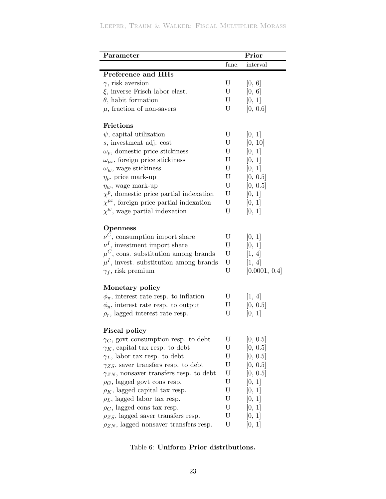# Leeper, Traum & Walker: Fiscal Multiplier Morass

| func.<br>interval<br>Preference and HHs<br>U<br>$\gamma$ , risk aversion<br>[0, 6]<br>$\xi$ , inverse Frisch labor elast.<br>U<br>[0, 6]<br>$\theta$ , habit formation<br>[0, 1]<br>U<br>$\mu$ , fraction of non-savers<br>U<br>[0, 0.6]<br><b>Frictions</b><br>[0, 1]<br>$\psi$ , capital utilization<br>U<br>U<br>[0, 10]<br>s, investment adj. cost<br>$\omega_p$ , domestic price stickiness<br>U<br>[0, 1]<br>$\omega_{px}$ , foreign price stickiness<br>U<br>[0, 1]<br>$\omega_w$ , wage stickiness<br>U<br>[0, 1]<br>$\eta_p$ , price mark-up<br>U<br>[0, 0.5]<br>U<br>[0, 0.5]<br>$\eta_w$ , wage mark-up<br>U<br>[0, 1]<br>$\chi^p$ , domestic price partial indexation<br>$\chi^{px}$ , foreign price partial indexation<br>U<br>[0, 1]<br>$\chi^w$ , wage partial indexation<br>U<br>[0, 1]<br><b>Openness</b><br>$\nu^C$ , consumption import share<br>U<br>[0, 1]<br>$\nu^I$ , investment import share<br>U<br>[0, 1]<br>$\mu^C$ , cons. substitution among brands<br>U<br>[1, 4]<br>$\mu^I$ , invest. substitution among brands<br>U<br>[1, 4]<br>U<br>[0.0001, 0.4]<br>$\gamma_f$ , risk premium<br>Monetary policy<br>$\phi_{\pi}$ , interest rate resp. to inflation<br>U<br>[1, 4]<br>[0, 0.5]<br>$\phi_y$ , interest rate resp. to output<br>U<br>$\rho_r$ , lagged interest rate resp.<br>U<br>[0, 1]<br><b>Fiscal policy</b><br>U<br>[0, 0.5]<br>$\gamma_G$ , govt consumption resp. to debt<br>$\gamma_K$ , capital tax resp. to debt<br>U<br>[0, 0.5]<br>U<br>$\gamma_L$ , labor tax resp. to debt<br>[0, 0.5]<br>$\gamma_{ZS}$ , saver transfers resp. to debt<br>U<br>[0, 0.5]<br>U<br>$\gamma_{ZN}$ , nonsaver transfers resp. to debt<br>[0, 0.5]<br>U<br>$\rho_G$ , lagged govt cons resp.<br>[0, 1]<br>U<br>$\rho_K$ , lagged capital tax resp.<br>[0, 1]<br>$\rho_L$ , lagged labor tax resp.<br>U<br>[0, 1]<br>$\rho_C$ , lagged cons tax resp.<br>U<br>[0, 1]<br>$\rho_{ZS}$ , lagged saver transfers resp.<br>U<br> 0, 1 <br>U | Parameter                                     | Prior  |
|------------------------------------------------------------------------------------------------------------------------------------------------------------------------------------------------------------------------------------------------------------------------------------------------------------------------------------------------------------------------------------------------------------------------------------------------------------------------------------------------------------------------------------------------------------------------------------------------------------------------------------------------------------------------------------------------------------------------------------------------------------------------------------------------------------------------------------------------------------------------------------------------------------------------------------------------------------------------------------------------------------------------------------------------------------------------------------------------------------------------------------------------------------------------------------------------------------------------------------------------------------------------------------------------------------------------------------------------------------------------------------------------------------------------------------------------------------------------------------------------------------------------------------------------------------------------------------------------------------------------------------------------------------------------------------------------------------------------------------------------------------------------------------------------------------------------------------------------------------------------------------------------------------------------------------------------------------------|-----------------------------------------------|--------|
|                                                                                                                                                                                                                                                                                                                                                                                                                                                                                                                                                                                                                                                                                                                                                                                                                                                                                                                                                                                                                                                                                                                                                                                                                                                                                                                                                                                                                                                                                                                                                                                                                                                                                                                                                                                                                                                                                                                                                                  |                                               |        |
|                                                                                                                                                                                                                                                                                                                                                                                                                                                                                                                                                                                                                                                                                                                                                                                                                                                                                                                                                                                                                                                                                                                                                                                                                                                                                                                                                                                                                                                                                                                                                                                                                                                                                                                                                                                                                                                                                                                                                                  |                                               |        |
|                                                                                                                                                                                                                                                                                                                                                                                                                                                                                                                                                                                                                                                                                                                                                                                                                                                                                                                                                                                                                                                                                                                                                                                                                                                                                                                                                                                                                                                                                                                                                                                                                                                                                                                                                                                                                                                                                                                                                                  |                                               |        |
|                                                                                                                                                                                                                                                                                                                                                                                                                                                                                                                                                                                                                                                                                                                                                                                                                                                                                                                                                                                                                                                                                                                                                                                                                                                                                                                                                                                                                                                                                                                                                                                                                                                                                                                                                                                                                                                                                                                                                                  |                                               |        |
|                                                                                                                                                                                                                                                                                                                                                                                                                                                                                                                                                                                                                                                                                                                                                                                                                                                                                                                                                                                                                                                                                                                                                                                                                                                                                                                                                                                                                                                                                                                                                                                                                                                                                                                                                                                                                                                                                                                                                                  |                                               |        |
|                                                                                                                                                                                                                                                                                                                                                                                                                                                                                                                                                                                                                                                                                                                                                                                                                                                                                                                                                                                                                                                                                                                                                                                                                                                                                                                                                                                                                                                                                                                                                                                                                                                                                                                                                                                                                                                                                                                                                                  |                                               |        |
|                                                                                                                                                                                                                                                                                                                                                                                                                                                                                                                                                                                                                                                                                                                                                                                                                                                                                                                                                                                                                                                                                                                                                                                                                                                                                                                                                                                                                                                                                                                                                                                                                                                                                                                                                                                                                                                                                                                                                                  |                                               |        |
|                                                                                                                                                                                                                                                                                                                                                                                                                                                                                                                                                                                                                                                                                                                                                                                                                                                                                                                                                                                                                                                                                                                                                                                                                                                                                                                                                                                                                                                                                                                                                                                                                                                                                                                                                                                                                                                                                                                                                                  |                                               |        |
|                                                                                                                                                                                                                                                                                                                                                                                                                                                                                                                                                                                                                                                                                                                                                                                                                                                                                                                                                                                                                                                                                                                                                                                                                                                                                                                                                                                                                                                                                                                                                                                                                                                                                                                                                                                                                                                                                                                                                                  |                                               |        |
|                                                                                                                                                                                                                                                                                                                                                                                                                                                                                                                                                                                                                                                                                                                                                                                                                                                                                                                                                                                                                                                                                                                                                                                                                                                                                                                                                                                                                                                                                                                                                                                                                                                                                                                                                                                                                                                                                                                                                                  |                                               |        |
|                                                                                                                                                                                                                                                                                                                                                                                                                                                                                                                                                                                                                                                                                                                                                                                                                                                                                                                                                                                                                                                                                                                                                                                                                                                                                                                                                                                                                                                                                                                                                                                                                                                                                                                                                                                                                                                                                                                                                                  |                                               |        |
|                                                                                                                                                                                                                                                                                                                                                                                                                                                                                                                                                                                                                                                                                                                                                                                                                                                                                                                                                                                                                                                                                                                                                                                                                                                                                                                                                                                                                                                                                                                                                                                                                                                                                                                                                                                                                                                                                                                                                                  |                                               |        |
|                                                                                                                                                                                                                                                                                                                                                                                                                                                                                                                                                                                                                                                                                                                                                                                                                                                                                                                                                                                                                                                                                                                                                                                                                                                                                                                                                                                                                                                                                                                                                                                                                                                                                                                                                                                                                                                                                                                                                                  |                                               |        |
|                                                                                                                                                                                                                                                                                                                                                                                                                                                                                                                                                                                                                                                                                                                                                                                                                                                                                                                                                                                                                                                                                                                                                                                                                                                                                                                                                                                                                                                                                                                                                                                                                                                                                                                                                                                                                                                                                                                                                                  |                                               |        |
|                                                                                                                                                                                                                                                                                                                                                                                                                                                                                                                                                                                                                                                                                                                                                                                                                                                                                                                                                                                                                                                                                                                                                                                                                                                                                                                                                                                                                                                                                                                                                                                                                                                                                                                                                                                                                                                                                                                                                                  |                                               |        |
|                                                                                                                                                                                                                                                                                                                                                                                                                                                                                                                                                                                                                                                                                                                                                                                                                                                                                                                                                                                                                                                                                                                                                                                                                                                                                                                                                                                                                                                                                                                                                                                                                                                                                                                                                                                                                                                                                                                                                                  |                                               |        |
|                                                                                                                                                                                                                                                                                                                                                                                                                                                                                                                                                                                                                                                                                                                                                                                                                                                                                                                                                                                                                                                                                                                                                                                                                                                                                                                                                                                                                                                                                                                                                                                                                                                                                                                                                                                                                                                                                                                                                                  |                                               |        |
|                                                                                                                                                                                                                                                                                                                                                                                                                                                                                                                                                                                                                                                                                                                                                                                                                                                                                                                                                                                                                                                                                                                                                                                                                                                                                                                                                                                                                                                                                                                                                                                                                                                                                                                                                                                                                                                                                                                                                                  |                                               |        |
|                                                                                                                                                                                                                                                                                                                                                                                                                                                                                                                                                                                                                                                                                                                                                                                                                                                                                                                                                                                                                                                                                                                                                                                                                                                                                                                                                                                                                                                                                                                                                                                                                                                                                                                                                                                                                                                                                                                                                                  |                                               |        |
|                                                                                                                                                                                                                                                                                                                                                                                                                                                                                                                                                                                                                                                                                                                                                                                                                                                                                                                                                                                                                                                                                                                                                                                                                                                                                                                                                                                                                                                                                                                                                                                                                                                                                                                                                                                                                                                                                                                                                                  |                                               |        |
|                                                                                                                                                                                                                                                                                                                                                                                                                                                                                                                                                                                                                                                                                                                                                                                                                                                                                                                                                                                                                                                                                                                                                                                                                                                                                                                                                                                                                                                                                                                                                                                                                                                                                                                                                                                                                                                                                                                                                                  |                                               |        |
|                                                                                                                                                                                                                                                                                                                                                                                                                                                                                                                                                                                                                                                                                                                                                                                                                                                                                                                                                                                                                                                                                                                                                                                                                                                                                                                                                                                                                                                                                                                                                                                                                                                                                                                                                                                                                                                                                                                                                                  |                                               |        |
|                                                                                                                                                                                                                                                                                                                                                                                                                                                                                                                                                                                                                                                                                                                                                                                                                                                                                                                                                                                                                                                                                                                                                                                                                                                                                                                                                                                                                                                                                                                                                                                                                                                                                                                                                                                                                                                                                                                                                                  |                                               |        |
|                                                                                                                                                                                                                                                                                                                                                                                                                                                                                                                                                                                                                                                                                                                                                                                                                                                                                                                                                                                                                                                                                                                                                                                                                                                                                                                                                                                                                                                                                                                                                                                                                                                                                                                                                                                                                                                                                                                                                                  |                                               |        |
|                                                                                                                                                                                                                                                                                                                                                                                                                                                                                                                                                                                                                                                                                                                                                                                                                                                                                                                                                                                                                                                                                                                                                                                                                                                                                                                                                                                                                                                                                                                                                                                                                                                                                                                                                                                                                                                                                                                                                                  |                                               |        |
|                                                                                                                                                                                                                                                                                                                                                                                                                                                                                                                                                                                                                                                                                                                                                                                                                                                                                                                                                                                                                                                                                                                                                                                                                                                                                                                                                                                                                                                                                                                                                                                                                                                                                                                                                                                                                                                                                                                                                                  |                                               |        |
|                                                                                                                                                                                                                                                                                                                                                                                                                                                                                                                                                                                                                                                                                                                                                                                                                                                                                                                                                                                                                                                                                                                                                                                                                                                                                                                                                                                                                                                                                                                                                                                                                                                                                                                                                                                                                                                                                                                                                                  |                                               |        |
|                                                                                                                                                                                                                                                                                                                                                                                                                                                                                                                                                                                                                                                                                                                                                                                                                                                                                                                                                                                                                                                                                                                                                                                                                                                                                                                                                                                                                                                                                                                                                                                                                                                                                                                                                                                                                                                                                                                                                                  |                                               |        |
|                                                                                                                                                                                                                                                                                                                                                                                                                                                                                                                                                                                                                                                                                                                                                                                                                                                                                                                                                                                                                                                                                                                                                                                                                                                                                                                                                                                                                                                                                                                                                                                                                                                                                                                                                                                                                                                                                                                                                                  |                                               |        |
|                                                                                                                                                                                                                                                                                                                                                                                                                                                                                                                                                                                                                                                                                                                                                                                                                                                                                                                                                                                                                                                                                                                                                                                                                                                                                                                                                                                                                                                                                                                                                                                                                                                                                                                                                                                                                                                                                                                                                                  |                                               |        |
|                                                                                                                                                                                                                                                                                                                                                                                                                                                                                                                                                                                                                                                                                                                                                                                                                                                                                                                                                                                                                                                                                                                                                                                                                                                                                                                                                                                                                                                                                                                                                                                                                                                                                                                                                                                                                                                                                                                                                                  |                                               |        |
|                                                                                                                                                                                                                                                                                                                                                                                                                                                                                                                                                                                                                                                                                                                                                                                                                                                                                                                                                                                                                                                                                                                                                                                                                                                                                                                                                                                                                                                                                                                                                                                                                                                                                                                                                                                                                                                                                                                                                                  |                                               |        |
|                                                                                                                                                                                                                                                                                                                                                                                                                                                                                                                                                                                                                                                                                                                                                                                                                                                                                                                                                                                                                                                                                                                                                                                                                                                                                                                                                                                                                                                                                                                                                                                                                                                                                                                                                                                                                                                                                                                                                                  |                                               |        |
|                                                                                                                                                                                                                                                                                                                                                                                                                                                                                                                                                                                                                                                                                                                                                                                                                                                                                                                                                                                                                                                                                                                                                                                                                                                                                                                                                                                                                                                                                                                                                                                                                                                                                                                                                                                                                                                                                                                                                                  |                                               |        |
|                                                                                                                                                                                                                                                                                                                                                                                                                                                                                                                                                                                                                                                                                                                                                                                                                                                                                                                                                                                                                                                                                                                                                                                                                                                                                                                                                                                                                                                                                                                                                                                                                                                                                                                                                                                                                                                                                                                                                                  |                                               |        |
|                                                                                                                                                                                                                                                                                                                                                                                                                                                                                                                                                                                                                                                                                                                                                                                                                                                                                                                                                                                                                                                                                                                                                                                                                                                                                                                                                                                                                                                                                                                                                                                                                                                                                                                                                                                                                                                                                                                                                                  |                                               |        |
|                                                                                                                                                                                                                                                                                                                                                                                                                                                                                                                                                                                                                                                                                                                                                                                                                                                                                                                                                                                                                                                                                                                                                                                                                                                                                                                                                                                                                                                                                                                                                                                                                                                                                                                                                                                                                                                                                                                                                                  |                                               |        |
|                                                                                                                                                                                                                                                                                                                                                                                                                                                                                                                                                                                                                                                                                                                                                                                                                                                                                                                                                                                                                                                                                                                                                                                                                                                                                                                                                                                                                                                                                                                                                                                                                                                                                                                                                                                                                                                                                                                                                                  |                                               |        |
|                                                                                                                                                                                                                                                                                                                                                                                                                                                                                                                                                                                                                                                                                                                                                                                                                                                                                                                                                                                                                                                                                                                                                                                                                                                                                                                                                                                                                                                                                                                                                                                                                                                                                                                                                                                                                                                                                                                                                                  | $\rho_{ZN}$ , lagged nonsaver transfers resp. | [0, 1] |

<span id="page-24-0"></span>Table 6: **Uniform Prior distributions.**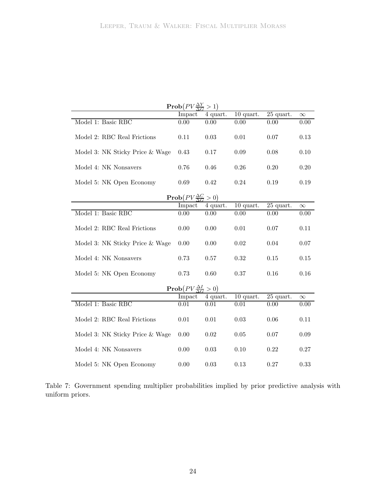|                                 | $\mathbf{Prob}(PV\frac{\Delta Y}{\Delta G}>1)$    |            |             |                        |          |
|---------------------------------|---------------------------------------------------|------------|-------------|------------------------|----------|
|                                 | Impact                                            | 4 quart.   | $10$ quart. | 25 quart.              | $\infty$ |
| Model 1: Basic RBC              | 0.00                                              | 0.00       | 0.00        | 0.00                   | 0.00     |
| Model 2: RBC Real Frictions     | 0.11                                              | $\,0.03\,$ | 0.01        | 0.07                   | 0.13     |
| Model 3: NK Sticky Price & Wage | 0.43                                              | 0.17       | 0.09        | 0.08                   | 0.10     |
| Model 4: NK Nonsavers           | 0.76                                              | 0.46       | 0.26        | 0.20                   | 0.20     |
| Model 5: NK Open Economy        | 0.69                                              | 0.42       | 0.24        | 0.19                   | 0.19     |
|                                 | $\text{Prob}(PV \frac{\Delta C}{\Delta G} > 0)$   |            |             |                        |          |
|                                 | Impact                                            | 4 quart.   | $10$ quart. | $\overline{25}$ quart. | $\infty$ |
| Model 1: Basic RBC              | 0.00                                              | 0.00       | 0.00        | 0.00                   | 0.00     |
| Model 2: RBC Real Frictions     | 0.00                                              | 0.00       | $0.01\,$    | 0.07                   | 0.11     |
| Model 3: NK Sticky Price & Wage | 0.00                                              | 0.00       | $0.02\,$    | $0.04\,$               | 0.07     |
| Model 4: NK Nonsavers           | 0.73                                              | 0.57       | $\rm 0.32$  | 0.15                   | $0.15\,$ |
| Model 5: NK Open Economy        | 0.73                                              | 0.60       | 0.37        | 0.16                   | 0.16     |
|                                 | $\mathbf{Prob}(PV \frac{\Delta I}{\Delta C} > 0)$ |            |             |                        |          |
|                                 | Impact                                            | 4 quart.   | $10$ quart. | 25 quart.              | $\infty$ |
| Model 1: Basic RBC              | 0.01                                              | 0.01       | 0.01        | 0.00                   | 0.00     |
| Model 2: RBC Real Frictions     | 0.01                                              | 0.01       | 0.03        | 0.06                   | 0.11     |
| Model 3: NK Sticky Price & Wage | 0.00                                              | $0.02\,$   | $0.05\,$    | 0.07                   | 0.09     |
| Model 4: NK Nonsavers           | 0.00                                              | $\,0.03\,$ | 0.10        | 0.22                   | 0.27     |
| Model 5: NK Open Economy        | 0.00                                              | 0.03       | 0.13        | 0.27                   | 0.33     |

<span id="page-25-0"></span>Table 7: Government spending multiplier probabilities implied by prior predictive analysis with uniform priors.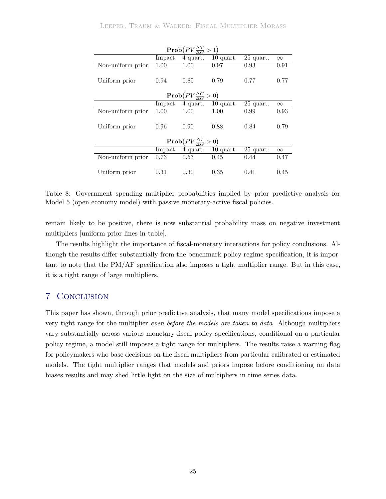|                   |        | $\text{Prob}(PV \frac{\Delta Y}{\Delta G} > 1)$ |                      |             |          |
|-------------------|--------|-------------------------------------------------|----------------------|-------------|----------|
|                   | Impact | 4 quart.                                        | $10$ quart.          | $25$ quart. | $\infty$ |
| Non-uniform prior | 1.00   | 1.00                                            | 0.97                 | 0.93        | 0.91     |
| Uniform prior     | 0.94   | 0.85                                            | 0.79                 | 0.77        | 0.77     |
|                   |        | $\text{Prob}(PV \frac{\Delta C}{\Delta G} > 0)$ |                      |             |          |
|                   | Impact |                                                 | $4$ quart. 10 quart. | $25$ quart. | $\infty$ |
| Non-uniform prior | 1.00   | 1.00                                            | 1.00                 | 0.99        | 0.93     |
| Uniform prior     | 0.96   | 0.90                                            | 0.88                 | 0.84        | 0.79     |
|                   |        | $\text{Prob}(PV \frac{\Delta I}{\Delta G} > 0)$ |                      |             |          |
|                   | Impact | 4 quart.                                        | $10$ quart.          | $25$ quart. | $\infty$ |
| Non-uniform prior | 0.73   | 0.53                                            | 0.45                 | 0.44        | 0.47     |
| Uniform prior     | 0.31   | 0.30                                            | 0.35                 | 0.41        | 0.45     |

<span id="page-26-0"></span>Table 8: Government spending multiplier probabilities implied by prior predictive analysis for Model 5 (open economy model) with passive monetary-active fiscal policies.

remain likely to be positive, there is now substantial probability mass on negative investment multipliers [uniform prior lines in table].

The results highlight the importance of fiscal-monetary interactions for policy conclusions. Although the results differ substantially from the benchmark policy regime specification, it is important to note that the PM/AF specification also imposes a tight multiplier range. But in this case, it is a tight range of large multipliers.

## 7 Conclusion

This paper has shown, through prior predictive analysis, that many model specifications impose a very tight range for the multiplier *even before the models are taken to data*. Although multipliers vary substantially across various monetary-fiscal policy specifications, conditional on a particular policy regime, a model still imposes a tight range for multipliers. The results raise a warning flag for policymakers who base decisions on the fiscal multipliers from particular calibrated or estimated models. The tight multiplier ranges that models and priors impose before conditioning on data biases results and may shed little light on the size of multipliers in time series data.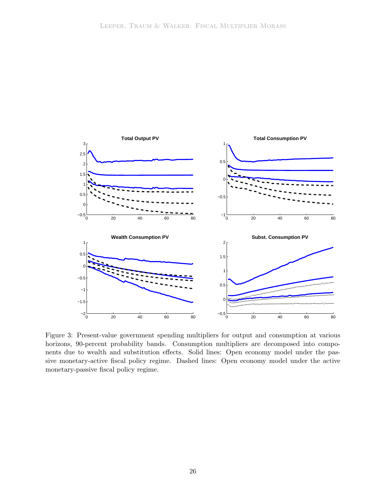

<span id="page-27-0"></span>Figure 3: Present-value government spending multipliers for output and consumption at various horizons, 90-percent probability bands. Consumption multipliers are decomposed into components due to wealth and substitution effects. Solid lines: Open economy model under the passive monetary-active fiscal policy regime. Dashed lines: Open economy model under the active monetary-passive fiscal policy regime.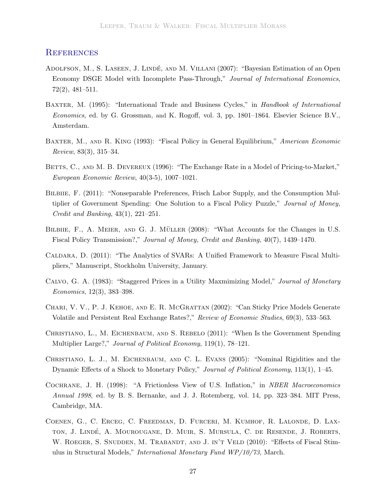### **REFERENCES**

- <span id="page-28-4"></span>ADOLFSON, M., S. LASEEN, J. LINDÉ, AND M. VILLANI (2007): "Bayesian Estimation of an Open Economy DSGE Model with Incomplete Pass-Through," *Journal of International Economics*, 72(2), 481–511.
- <span id="page-28-10"></span>Baxter, M. (1995): "International Trade and Business Cycles," in *Handbook of International Economics*, ed. by G. Grossman, and K. Rogoff, vol. 3, pp. 1801–1864. Elsevier Science B.V., Amsterdam.
- <span id="page-28-11"></span>Baxter, M., and R. King (1993): "Fiscal Policy in General Equilibrium," *American Economic Review*, 83(3), 315–34.
- <span id="page-28-6"></span>BETTS, C., AND M. B. DEVEREUX (1996): "The Exchange Rate in a Model of Pricing-to-Market," *European Economic Review*, 40(3-5), 1007–1021.
- <span id="page-28-0"></span>BILBIIE, F. (2011): "Nonseparable Preferences, Frisch Labor Supply, and the Consumption Multiplier of Government Spending: One Solution to a Fiscal Policy Puzzle," *Journal of Money, Credit and Banking*, 43(1), 221–251.
- <span id="page-28-1"></span>BILBIIE, F., A. MEIER, AND G. J. MÜLLER (2008): "What Accounts for the Changes in U.S. Fiscal Policy Transmission?," *Journal of Money, Credit and Banking*, 40(7), 1439–1470.
- <span id="page-28-12"></span>Caldara, D. (2011): "The Analytics of SVARs: A Unified Framework to Measure Fiscal Multipliers," Manuscript, Stockholm University, January.
- <span id="page-28-7"></span>Calvo, G. A. (1983): "Staggered Prices in a Utility Maxmimizing Model," *Journal of Monetary Economics*, 12(3), 383–398.
- <span id="page-28-8"></span>Chari, V. V., P. J. Kehoe, and E. R. McGrattan (2002): "Can Sticky Price Models Generate Volatile and Persistent Real Exchange Rates?," *Review of Economic Studies*, 69(3), 533–563.
- <span id="page-28-2"></span>Christiano, L., M. Eichenbaum, and S. Rebelo (2011): "When Is the Government Spending Multiplier Large?," *Journal of Political Economy*, 119(1), 78–121.
- <span id="page-28-5"></span>Christiano, L. J., M. Eichenbaum, and C. L. Evans (2005): "Nominal Rigidities and the Dynamic Effects of a Shock to Monetary Policy," *Journal of Political Economy*, 113(1), 1–45.
- <span id="page-28-9"></span>Cochrane, J. H. (1998): "A Frictionless View of U.S. Inflation," in *NBER Macroeconomics Annual 1998*, ed. by B. S. Bernanke, and J. J. Rotemberg, vol. 14, pp. 323–384. MIT Press, Cambridge, MA.
- <span id="page-28-3"></span>Coenen, G., C. Erceg, C. Freedman, D. Furceri, M. Kumhof, R. Lalonde, D. Laxton, J. Lindé, A. Mourougane, D. Muir, S. Mursula, C. de Resende, J. Roberts, W. ROEGER, S. SNUDDEN, M. TRABANDT, AND J. IN'T VELD (2010): "Effects of Fiscal Stimulus in Structural Models," *International Monetary Fund WP/10/73*, March.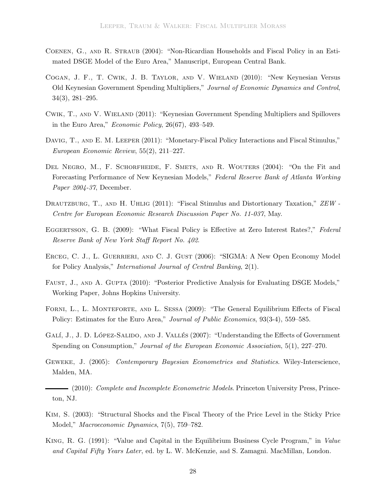- <span id="page-29-13"></span>Coenen, G., and R. Straub (2004): "Non-Ricardian Households and Fiscal Policy in an Estimated DSGE Model of the Euro Area," Manuscript, European Central Bank.
- <span id="page-29-6"></span>Cogan, J. F., T. Cwik, J. B. Taylor, and V. Wieland (2010): "New Keynesian Versus Old Keynesian Government Spending Multipliers," *Journal of Economic Dynamics and Control*, 34(3), 281–295.
- <span id="page-29-7"></span>Cwik, T., and V. Wieland (2011): "Keynesian Government Spending Multipliers and Spillovers in the Euro Area," *Economic Policy*, 26(67), 493–549.
- <span id="page-29-0"></span>DAVIG, T., AND E. M. LEEPER (2011): "Monetary-Fiscal Policy Interactions and Fiscal Stimulus," *European Economic Review*, 55(2), 211–227.
- <span id="page-29-11"></span>DEL NEGRO, M., F. SCHORFHEIDE, F. SMETS, AND R. WOUTERS (2004): "On the Fit and Forecasting Performance of New Keynesian Models," *Federal Reserve Bank of Atlanta Working Paper 2004-37*, December.
- <span id="page-29-1"></span>Drautzburg, T., and H. Uhlig (2011): "Fiscal Stimulus and Distortionary Taxation," *ZEW - Centre for European Economic Research Discussion Paper No. 11-037*, May.
- <span id="page-29-5"></span>Eggertsson, G. B. (2009): "What Fiscal Policy is Effective at Zero Interest Rates?," *Federal Reserve Bank of New York Staff Report No. 402*.
- <span id="page-29-10"></span>Erceg, C. J., L. Guerrieri, and C. J. Gust (2006): "SIGMA: A New Open Economy Model for Policy Analysis," *International Journal of Central Banking*, 2(1).
- <span id="page-29-12"></span>Faust, J., and A. Gupta (2010): "Posterior Predictive Analysis for Evaluating DSGE Models," Working Paper, Johns Hopkins University.
- <span id="page-29-3"></span>FORNI, L., L. MONTEFORTE, AND L. SESSA (2009): "The General Equilibrium Effects of Fiscal Policy: Estimates for the Euro Area," *Journal of Public Economics*, 93(3-4), 559–585.
- <span id="page-29-2"></span>GALÍ, J., J. D. LÓPEZ-SALIDO, AND J. VALLÉS (2007): "Understanding the Effects of Government Spending on Consumption," *Journal of the European Economic Association*, 5(1), 227–270.
- <span id="page-29-8"></span>Geweke, J. (2005): *Contemporary Bayesian Econometrics and Statistics*. Wiley-Interscience, Malden, MA.

<span id="page-29-9"></span>(2010): *Complete and Incomplete Econometric Models*. Princeton University Press, Princeton, NJ.

- <span id="page-29-4"></span>Kim, S. (2003): "Structural Shocks and the Fiscal Theory of the Price Level in the Sticky Price Model," *Macroeconomic Dynamics*, 7(5), 759–782.
- <span id="page-29-14"></span>King, R. G. (1991): "Value and Capital in the Equilibrium Business Cycle Program," in *Value and Capital Fifty Years Later*, ed. by L. W. McKenzie, and S. Zamagni. MacMillan, London.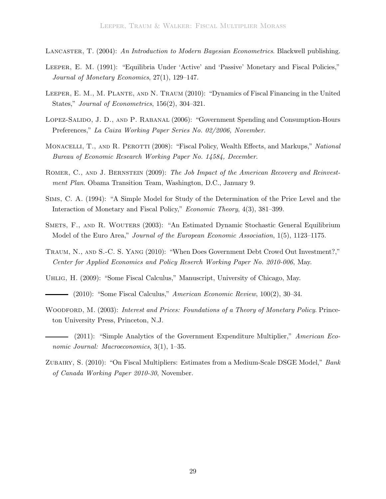<span id="page-30-5"></span>Lancaster, T. (2004): *An Introduction to Modern Bayesian Econometrics*. Blackwell publishing.

- <span id="page-30-11"></span>Leeper, E. M. (1991): "Equilibria Under 'Active' and 'Passive' Monetary and Fiscal Policies," *Journal of Monetary Economics*, 27(1), 129–147.
- <span id="page-30-3"></span>Leeper, E. M., M. Plante, and N. Traum (2010): "Dynamics of Fiscal Financing in the United States," *Journal of Econometrics*, 156(2), 304–321.
- <span id="page-30-10"></span>Lopez-Salido, J. D., and P. Rabanal (2006): "Government Spending and Consumption-Hours Preferences," *La Caixa Working Paper Series No. 02/2006, November*.
- <span id="page-30-2"></span>MONACELLI, T., AND R. PEROTTI (2008): "Fiscal Policy, Wealth Effects, and Markups," *National Bureau of Economic Research Working Paper No. 14584, December*.
- <span id="page-30-8"></span>Romer, C., and J. Bernstein (2009): *The Job Impact of the American Recovery and Reinvestment Plan*. Obama Transition Team, Washington, D.C., January 9.
- <span id="page-30-12"></span>Sims, C. A. (1994): "A Simple Model for Study of the Determination of the Price Level and the Interaction of Monetary and Fiscal Policy," *Economic Theory*, 4(3), 381–399.
- <span id="page-30-6"></span>Smets, F., and R. Wouters (2003): "An Estimated Dynamic Stochastic General Equilibrium Model of the Euro Area," *Journal of the European Economic Association*, 1(5), 1123–1175.
- <span id="page-30-9"></span>Traum, N., and S.-C. S. Yang (2010): "When Does Government Debt Crowd Out Investment?," *Center for Applied Economics and Policy Reserch Working Paper No. 2010-006*, May.
- <span id="page-30-0"></span>Uhlig, H. (2009): "Some Fiscal Calculus," Manuscript, University of Chicago, May.
- <span id="page-30-1"></span>(2010): "Some Fiscal Calculus," *American Economic Review*, 100(2), 30–34.
- <span id="page-30-13"></span>WOODFORD, M. (2003): *Interest and Prices: Foundations of a Theory of Monetary Policy*. Princeton University Press, Princeton, N.J.
- <span id="page-30-7"></span>(2011): "Simple Analytics of the Government Expenditure Multiplier," *American Economic Journal: Macroeconomics*, 3(1), 1–35.
- <span id="page-30-4"></span>Zubairy, S. (2010): "On Fiscal Multipliers: Estimates from a Medium-Scale DSGE Model," *Bank of Canada Working Paper 2010-30*, November.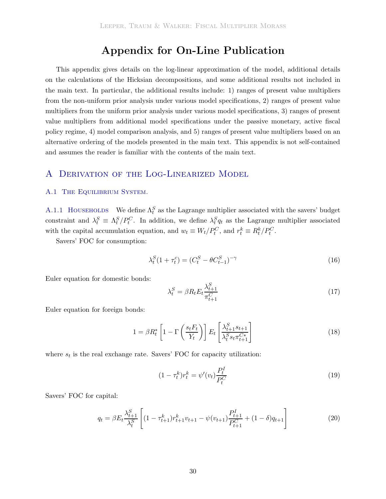# **Appendix for On-Line Publication**

This appendix gives details on the log-linear approximation of the model, additional details on the calculations of the Hicksian decompositions, and some additional results not included in the main text. In particular, the additional results include: 1) ranges of present value multipliers from the non-uniform prior analysis under various model specifications, 2) ranges of present value multipliers from the uniform prior analysis under various model specifications, 3) ranges of present value multipliers from additional model specifications under the passive monetary, active fiscal policy regime, 4) model comparison analysis, and 5) ranges of present value multipliers based on an alternative ordering of the models presented in the main text. This appendix is not self-contained and assumes the reader is familiar with the contents of the main text.

### A Derivation of the Log-Linearized Model

#### A.1 THE EQUILIBRIUM SYSTEM.

A.1.1 HOUSEHOLDS We define  $\Lambda_t^S$  as the Lagrange multiplier associated with the savers' budget constraint and  $\lambda_t^S \equiv \Lambda_t^S/P_t^C$ . In addition, we define  $\lambda_t^S q_t$  as the Lagrange multiplier associated with the capital accumulation equation, and  $w_t \equiv W_t/P_t^C$ , and  $r_t^k \equiv R_t^k/P_t^C$ .

Savers' FOC for consumption:

$$
\lambda_t^S (1 + \tau_t^c) = (C_t^S - \theta C_{t-1}^S)^{-\gamma}
$$
\n(16)

Euler equation for domestic bonds:

$$
\lambda_t^S = \beta R_t E_t \frac{\lambda_{t+1}^S}{\pi_{t+1}^C} \tag{17}
$$

Euler equation for foreign bonds:

$$
1 = \beta R_t^* \left[ 1 - \Gamma \left( \frac{s_t F_t}{Y_t} \right) \right] E_t \left[ \frac{\lambda_{t+1}^S s_{t+1}}{\lambda_t^S s_t \pi_{t+1}^{C*}} \right] \tag{18}
$$

where  $s_t$  is the real exchange rate. Savers' FOC for capacity utilization:

$$
(1 - \tau_t^k)r_t^k = \psi'(v_t)\frac{P_t^I}{P_t^C}
$$
\n(19)

Savers' FOC for capital:

$$
q_t = \beta E_t \frac{\lambda_{t+1}^S}{\lambda_t^S} \left[ (1 - \tau_{t+1}^k) r_{t+1}^k v_{t+1} - \psi(v_{t+1}) \frac{P_{t+1}^I}{P_{t+1}^C} + (1 - \delta) q_{t+1} \right]
$$
(20)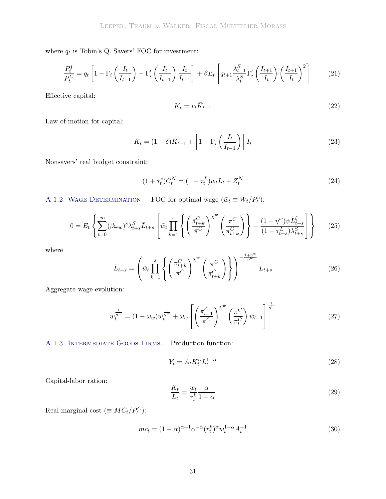where  $q_t$  is Tobin's Q. Savers' FOC for investment:

$$
\frac{P_t^I}{P_t^C} = q_t \left[ 1 - \Gamma_i \left( \frac{I_t}{I_{t-1}} \right) - \Gamma'_i \left( \frac{I_t}{I_{t-1}} \right) \frac{I_t}{I_{t-1}} \right] + \beta E_t \left[ q_{t+1} \frac{\lambda_{t+1}^S}{\lambda_t^S} \Gamma'_i \left( \frac{I_{t+1}}{I_t} \right) \left( \frac{I_{t+1}}{I_t} \right)^2 \right] \tag{21}
$$

Effective capital:

$$
K_t = v_t \bar{K}_{t-1} \tag{22}
$$

Law of motion for capital:

$$
\bar{K}_t = (1 - \delta)\bar{K}_{t-1} + \left[1 - \Gamma_i \left(\frac{I_t}{I_{t-1}}\right)\right] I_t \tag{23}
$$

Nonsavers' real budget constraint:

$$
(1 + \tau_t^c)C_t^N = (1 - \tau_t^L)w_t L_t + Z_t^N
$$
\n(24)

A.1.2 WAGE DETERMINATION. FOC for optimal wage  $(\tilde{w}_t \equiv W_t/P_t^c)$ :

<span id="page-32-0"></span>
$$
0 = E_t \left\{ \sum_{t=0}^{\infty} (\beta \omega_w)^s \lambda_{t+s}^S \bar{L}_{t+s} \left[ \tilde{w}_t \prod_{k=1}^s \left\{ \left( \frac{\pi_{t+k}^C}{\pi^C} \right)^{\chi^w} \left( \frac{\pi^C}{\pi_{t+k}^C} \right) \right\} - \frac{(1+\eta^w)\psi \bar{L}_{t+s}^{\xi}}{(1-\tau_{t+s}^L)\lambda_{t+s}^S} \right] \right\}
$$
(25)

where

<span id="page-32-1"></span>
$$
\bar{L}_{t+s} = \left(\tilde{w}_t \prod_{k=1}^s \left\{ \left(\frac{\pi_{t+k}^C}{\pi^C}\right)^{\chi^w} \left(\frac{\pi^C}{\pi_{t+k}^C}\right) \right\} \right)^{-\frac{1+\eta^w}{\eta^w}} L_{t+s}
$$
(26)

Aggregate wage evolution:

<span id="page-32-2"></span>
$$
w_t^{\frac{1}{\eta^w}} = (1 - \omega_w)\tilde{w}_t^{\frac{1}{\eta^w}} + \omega_w \left[ \left( \frac{\pi_{t-1}^C}{\pi^C} \right)^{\chi^w} \left( \frac{\pi^C}{\pi_t^C} \right) w_{t-1} \right]^{\frac{1}{\eta^w}}
$$
(27)

A.1.3 INTERMEDIATE GOODS FIRMS. Production function:

$$
Y_t = A_t K_t^{\alpha} L_t^{1-\alpha} \tag{28}
$$

Capital-labor ration:

$$
\frac{K_t}{L_t} = \frac{w_t}{r_t^k} \frac{\alpha}{1 - \alpha} \tag{29}
$$

Real marginal cost  $(\equiv MC_t/P_t^C)$ :

$$
mc_t = (1 - \alpha)^{\alpha - 1} \alpha^{-\alpha} (r_t^k)^{\alpha} w_t^{1 - \alpha} A_t^{-1}
$$
\n(30)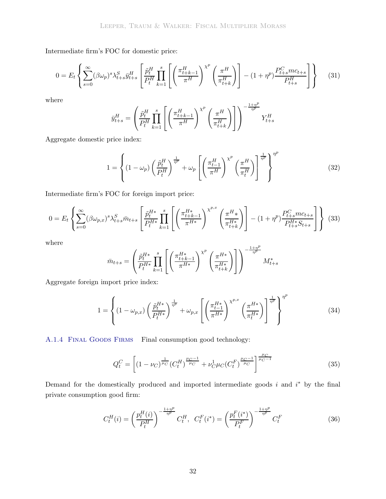Intermediate firm's FOC for domestic price:

<span id="page-33-0"></span>
$$
0 = E_t \left\{ \sum_{s=0}^{\infty} (\beta \omega_p)^s \lambda_{t+s}^S \bar{y}_{t+s}^H \left[ \frac{\tilde{p}_t^H}{P_t^H} \prod_{k=1}^s \left[ \left( \frac{\pi_{t+k-1}^H}{\pi^H} \right)^{\chi^p} \left( \frac{\pi^H}{\pi_{t+k}^H} \right) \right] - (1+\eta^p) \frac{P_{t+s}^C mc_{t+s}}{P_{t+s}^H} \right] \right\}
$$
(31)

where

$$
\bar{y}^H_{t+s} = \left(\frac{\tilde{p}^H_t}{P^H_t} \prod_{k=1}^s \left[ \left(\frac{\pi^H_{t+k-1}}{\pi^H}\right)^{\chi^p} \left(\frac{\pi^H}{\pi^H_{t+k}}\right) \right] \right)^{-\frac{1+\eta^p}{\eta^p}} Y^H_{t+s}
$$

Aggregate domestic price index:

<span id="page-33-1"></span>
$$
1 = \left\{ (1 - \omega_p) \left( \frac{\tilde{p}_t^H}{P_t^H} \right)^{\frac{1}{\eta^p}} + \omega_p \left[ \left( \frac{\pi_{t-1}^H}{\pi^H} \right)^{\chi^p} \left( \frac{\pi^H}{\pi_t^H} \right) \right]^{\frac{1}{\eta^p}} \right\}^{\eta^p}
$$
(32)

Intermediate firm's FOC for foreign import price:

<span id="page-33-2"></span>
$$
0 = E_t \left\{ \sum_{s=0}^{\infty} (\beta \omega_{p,x})^s \lambda_{t+s}^S \bar{m}_{t+s} \left[ \frac{\tilde{p}_t^{H*}}{P_t^{H*}} \prod_{k=1}^s \left[ \left( \frac{\pi_{t+k-1}^{H*}}{\pi^{H*}} \right)^{\chi^{p,x}} \left( \frac{\pi^H \ast}{\pi_{t+k}^{H*}} \right) \right] - (1+\eta^p) \frac{P_{t+s}^C m c_{t+s}}{P_{t+s}^{H*} S_{t+s}} \right] \right\} \tag{33}
$$

where

$$
\bar{m}_{t+s} = \left(\frac{\tilde{p}_{t}^{H*}}{P_{t}^{H*}}\prod_{k=1}^{s}\left[\left(\frac{\pi_{t+k-1}^{H*}}{\pi^{H*}}\right)^{\chi^{p}}\left(\frac{\pi^{H*}}{\pi_{t+k}^{H*}}\right)\right]\right)^{-\frac{1+\eta^{p}}{\eta^{p}}}M_{t+s}^{*}
$$

Aggregate foreign import price index:

<span id="page-33-3"></span>
$$
1 = \left\{ (1 - \omega_{p,x}) \left( \frac{\tilde{p}_t^{H*}}{P_t^{H*}} \right)^{\frac{1}{\eta^p}} + \omega_{p,x} \left[ \left( \frac{\pi_{t-1}^{H*}}{\pi^{H*}} \right)^{\chi^{p,x}} \left( \frac{\pi^{H*}}{\pi_t^{H*}} \right) \right]^{\frac{1}{\eta^p}} \right\}^{\eta^p}
$$
(34)

A.1.4 FINAL GOODS FIRMS Final consumption good technology:

<span id="page-33-4"></span>
$$
Q_t^C = \left[ (1 - \nu_C)^{\frac{1}{\mu_C}} (C_t^H)^{\frac{\mu_C - 1}{\mu_C}} + \nu_C^1 \mu_C (C_t^F)^{\frac{\mu_C - 1}{\mu_C}} \right]^{\frac{\mu_C}{\mu_C - 1}}
$$
(35)

Demand for the domestically produced and imported intermediate goods  $i$  and  $i^*$  by the final private consumption good firm:

$$
C_t^H(i) = \left(\frac{p_t^H(i)}{P_t^H}\right)^{-\frac{1+\eta^p}{\eta^p}} C_t^H, \ C_t^F(i^*) = \left(\frac{p_t^F(i^*)}{P_t^F}\right)^{-\frac{1+\eta^p}{\eta^p}} C_t^F
$$
(36)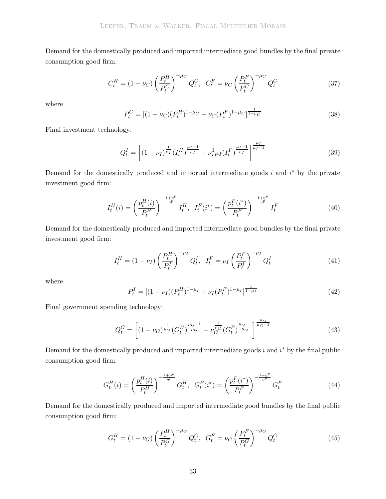Demand for the domestically produced and imported intermediate good bundles by the final private consumption good firm:

<span id="page-34-1"></span>
$$
C_t^H = (1 - \nu_C) \left(\frac{P_t^H}{P_t^C}\right)^{-\mu_C} Q_t^C, \ \ C_t^F = \nu_C \left(\frac{P_t^F}{P_t^C}\right)^{-\mu_C} Q_t^C \tag{37}
$$

where

<span id="page-34-0"></span>
$$
P_t^C = [(1 - \nu_C)(P_t^H)^{1 - \mu_C} + \nu_C (P_t^F)^{1 - \mu_C}]^{\frac{1}{1 - \mu_C}}
$$
\n(38)

Final investment technology:

<span id="page-34-2"></span>
$$
Q_t^I = \left[ (1 - \nu_I)^{\frac{1}{\mu_I}} (I_t^H)^{\frac{\mu_I - 1}{\mu_I}} + \nu_I^1 \mu_I (I_t^F)^{\frac{\mu_I - 1}{\mu_I}} \right]^{\frac{\mu_I}{\mu_I - 1}}
$$
(39)

Demand for the domestically produced and imported intermediate goods  $i$  and  $i^*$  by the private investment good firm:

$$
I_t^H(i) = \left(\frac{p_t^H(i)}{P_t^H}\right)^{-\frac{1+\eta^p}{\eta^p}} I_t^H, \quad I_t^F(i^*) = \left(\frac{p_t^F(i^*)}{P_t^F}\right)^{-\frac{1+\eta^p}{\eta^p}} I_t^F
$$
(40)

Demand for the domestically produced and imported intermediate good bundles by the final private investment good firm:

<span id="page-34-4"></span>
$$
I_t^H = (1 - \nu_I) \left(\frac{P_t^H}{P_t^I}\right)^{-\mu_I} Q_t^I, \quad I_t^F = \nu_I \left(\frac{P_t^F}{P_t^I}\right)^{-\mu_I} Q_t^I \tag{41}
$$

where

<span id="page-34-3"></span>
$$
P_t^I = [(1 - \nu_I)(P_t^H)^{1 - \mu_I} + \nu_I (P_t^F)^{1 - \mu_I}]^{\frac{1}{1 - \mu_I}}
$$
\n(42)

Final government spending technology:

<span id="page-34-5"></span>
$$
Q_t^G = \left[ (1 - \nu_G)^{\frac{1}{\mu_G}} (G_t^H)^{\frac{\mu_G - 1}{\mu_G}} + \nu_G^{\frac{1}{\mu_G}} (G_t^F)^{\frac{\mu_G - 1}{\mu_G}} \right]^{\frac{\mu_G}{\mu_G - 1}}
$$
(43)

Demand for the domestically produced and imported intermediate goods  $i$  and  $i^*$  by the final public consumption good firm:

$$
G_t^H(i) = \left(\frac{p_t^H(i)}{P_t^H}\right)^{-\frac{1+\eta^p}{\eta^p}} G_t^H, \ \ G_t^F(i^*) = \left(\frac{p_t^F(i^*)}{P_t^F}\right)^{-\frac{1+\eta^p}{\eta^p}} G_t^F
$$
\n(44)

Demand for the domestically produced and imported intermediate good bundles by the final public consumption good firm:

<span id="page-34-6"></span>
$$
G_t^H = (1 - \nu_G) \left(\frac{P_t^H}{P_t^G}\right)^{-\mu_G} Q_t^G, \ \ G_t^F = \nu_G \left(\frac{P_t^F}{P_t^G}\right)^{-\mu_G} Q_t^G \tag{45}
$$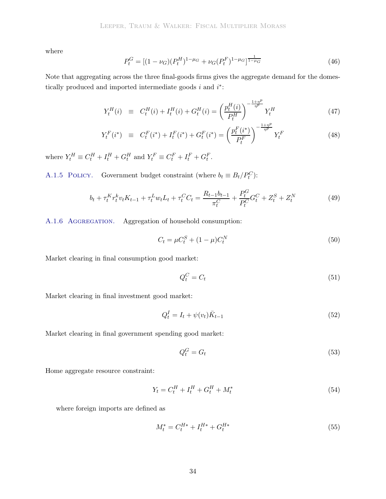where

<span id="page-35-3"></span>
$$
P_t^G = [(1 - \nu_G)(P_t^H)^{1 - \mu_G} + \nu_G(P_t^F)^{1 - \mu_G}]^{\frac{1}{1 - \mu_G}}
$$
\n(46)

Note that aggregating across the three final-goods firms gives the aggregate demand for the domestically produced and imported intermediate goods  $i$  and  $i^*$ :

$$
Y_t^H(i) \equiv C_t^H(i) + I_t^H(i) + G_t^H(i) = \left(\frac{p_t^H(i)}{P_t^H}\right)^{-\frac{1+\eta^p}{\eta^p}} Y_t^H
$$
\n(47)

$$
Y_t^F(i^*) \equiv C_t^F(i^*) + I_t^F(i^*) + G_t^F(i^*) = \left(\frac{p_t^F(i^*)}{P_t^F}\right)^{-\frac{1+\eta^p}{\eta^p}} Y_t^F
$$
\n(48)

where  $Y_t^H \equiv C_t^H + I_t^H + G_t^H$  and  $Y_t^F \equiv C_t^F + I_t^F + G_t^F$ .

A.1.5 POLICY. Government budget constraint (where  $b_t \equiv B_t/P_t^C$ ):

$$
b_t + \tau_t^K r_t^k v_t K_{t-1} + \tau_t^L w_t L_t + \tau_t^C C_t = \frac{R_{t-1} b_{t-1}}{\pi_t^C} + \frac{P_t^G}{P_t^C} G_t^C + Z_t^S + Z_t^N \tag{49}
$$

A.1.6 Aggregation. Aggregation of household consumption:

$$
C_t = \mu C_t^S + (1 - \mu) C_t^N \tag{50}
$$

Market clearing in final consumption good market:

<span id="page-35-0"></span>
$$
Q_t^C = C_t \tag{51}
$$

Market clearing in final investment good market:

<span id="page-35-1"></span>
$$
Q_t^I = I_t + \psi(v_t)\bar{K}_{t-1}
$$
\n(52)

Market clearing in final government spending good market:

<span id="page-35-2"></span>
$$
Q_t^G = G_t \tag{53}
$$

Home aggregate resource constraint:

$$
Y_t = C_t^H + I_t^H + G_t^H + M_t^* \tag{54}
$$

where foreign imports are defined as

$$
M_t^* = C_t^{H*} + I_t^{H*} + G_t^{H*}
$$
\n(55)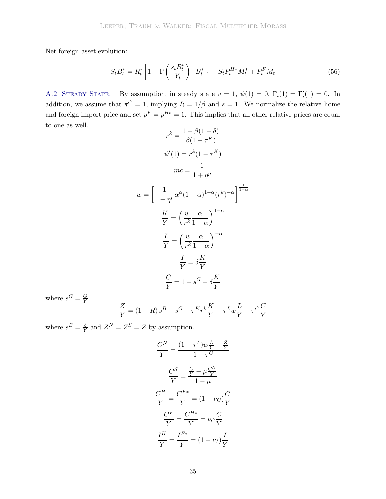Net foreign asset evolution:

$$
S_t B_t^* = R_t^* \left[ 1 - \Gamma \left( \frac{s_t B_t^*}{Y_t} \right) \right] B_{t-1}^* + S_t P_t^{H*} M_t^* + P_t^F M_t \tag{56}
$$

A.2 STEADY STATE. By assumption, in steady state  $v = 1$ ,  $\psi(1) = 0$ ,  $\Gamma_i(1) = \Gamma'_i(1) = 0$ . In addition, we assume that  $\pi^C = 1$ , implying  $R = 1/\beta$  and  $s = 1$ . We normalize the relative home and foreign import price and set  $p^F = p^{H*} = 1$ . This implies that all other relative prices are equal to one as well.

$$
r^{k} = \frac{1 - \beta(1 - \delta)}{\beta(1 - \tau^{K})}
$$

$$
\psi'(1) = r^{k}(1 - \tau^{K})
$$

$$
mc = \frac{1}{1 + \eta^{p}}
$$

$$
w = \left[\frac{1}{1 + \eta^{p}}\alpha^{\alpha}(1 - \alpha)^{1 - \alpha}(r^{k})^{-\alpha}\right]^{\frac{1}{1 - \alpha}}
$$

$$
\frac{K}{Y} = \left(\frac{w}{r^{k}}\frac{\alpha}{1 - \alpha}\right)^{1 - \alpha}
$$

$$
\frac{L}{Y} = \left(\frac{w}{r^{k}}\frac{\alpha}{1 - \alpha}\right)^{-\alpha}
$$

$$
\frac{I}{Y} = \delta\frac{K}{Y}
$$

$$
\frac{C}{Y} = 1 - s^{G} - \delta\frac{K}{Y}
$$

where  $s^G = \frac{G}{Y}$ .

$$
\frac{Z}{Y}=\left(1-R\right)s^{B}-s^{G}+\tau^{K}r^{k}\frac{K}{Y}+\tau^{L}w\frac{L}{Y}+\tau^{C}\frac{C}{Y}
$$

where  $s^B = \frac{b}{Y}$  and  $Z^N = Z^S = Z$  by assumption.

$$
\frac{C^N}{Y} = \frac{(1 - \tau^L)w\frac{L}{Y} - \frac{Z}{Y}}{1 + \tau^C}
$$

$$
\frac{C^S}{Y} = \frac{\frac{C}{Y} - \mu\frac{C^N}{Y}}{1 - \mu}
$$

$$
\frac{C^H}{Y} = \frac{C^{F*}}{Y} = (1 - \nu_C)\frac{C}{Y}
$$

$$
\frac{C^F}{Y} = \frac{C^{H*}}{Y} = \nu_C\frac{C}{Y}
$$

$$
\frac{I^H}{Y} = \frac{I^{F*}}{Y} = (1 - \nu_I)\frac{I}{Y}
$$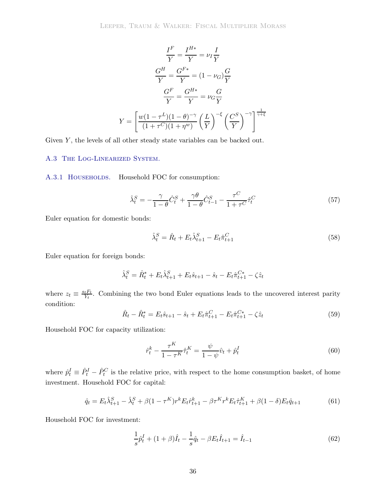$$
\frac{I^F}{Y} = \frac{I^{H*}}{Y} = \nu_I \frac{I}{Y}
$$

$$
\frac{G^H}{Y} = \frac{G^{F*}}{Y} = (1 - \nu_G) \frac{G}{Y}
$$

$$
\frac{G^F}{Y} = \frac{G^{H*}}{Y} = \nu_G \frac{G}{Y}
$$

$$
Y = \left[ \frac{w(1 - \tau^L)(1 - \theta)^{-\gamma}}{(1 + \tau^C)(1 + \eta^w)} \left(\frac{L}{Y}\right)^{-\xi} \left(\frac{C^S}{Y}\right)^{-\gamma} \right]^{\frac{1}{\gamma + \xi}}
$$

Given  $Y$ , the levels of all other steady state variables can be backed out.

#### A.3 The Log-Linearized System.

A.3.1 HOUSEHOLDS. Household FOC for consumption:

$$
\hat{\lambda}_t^S = -\frac{\gamma}{1-\theta}\hat{C}_t^S + \frac{\gamma\theta}{1-\theta}\hat{C}_{t-1}^S - \frac{\tau^C}{1+\tau^C}\hat{\tau}_t^C
$$
\n(57)

Euler equation for domestic bonds:

$$
\hat{\lambda}_t^S = \hat{R}_t + E_t \hat{\lambda}_{t+1}^S - E_t \hat{\pi}_{t+1}^C
$$
\n
$$
(58)
$$

Euler equation for foreign bonds:

$$
\hat{\lambda}_t^S = \hat{R}_t^* + E_t \hat{\lambda}_{t+1}^S + E_t \hat{s}_{t+1} - \hat{s}_t - E_t \hat{\pi}_{t+1}^{C*} - \zeta \hat{z}_t
$$

where  $z_t \equiv \frac{s_t F_t}{Y_t}$ . Combining the two bond Euler equations leads to the uncovered interest parity condition:

$$
\hat{R}_t - \hat{R}_t^* = E_t \hat{s}_{t+1} - \hat{s}_t + E_t \hat{\pi}_{t+1}^C - E_t \hat{\pi}_{t+1}^{C*} - \zeta \hat{z}_t
$$
\n(59)

Household FOC for capacity utilization:

$$
\hat{r}_t^k - \frac{\tau^K}{1 - \tau^K} \hat{r}_t^K = \frac{\psi}{1 - \psi} \hat{v}_t + \hat{p}_t^I \tag{60}
$$

where  $\hat{p}_t^I \equiv \hat{P}_t^I - \hat{P}_t^C$  is the relative price, with respect to the home consumption basket, of home investment. Household FOC for capital:

$$
\hat{q}_t = E_t \hat{\lambda}_{t+1}^S - \hat{\lambda}_t^S + \beta (1 - \tau^K) r^k E_t \hat{r}_{t+1}^k - \beta \tau^K r^k E_t \hat{\tau}_{t+1}^K + \beta (1 - \delta) E_t \hat{q}_{t+1} \tag{61}
$$

Household FOC for investment:

$$
\frac{1}{s}\hat{p}_t^I + (1+\beta)\hat{I}_t - \frac{1}{s}\hat{q}_t - \beta E_t \hat{I}_{t+1} = \hat{I}_{t-1}
$$
\n(62)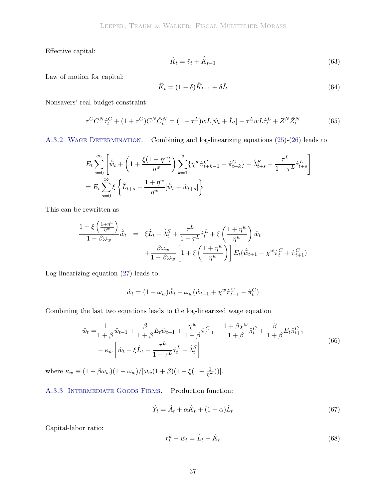Effective capital:

$$
\hat{K}_t = \hat{v}_t + \hat{\bar{K}}_{t-1} \tag{63}
$$

Law of motion for capital:

$$
\hat{\bar{K}}_t = (1 - \delta)\hat{\bar{K}}_{t-1} + \delta\hat{I}_t
$$
\n(64)

Nonsavers' real budget constraint:

$$
\tau^C C^N \hat{\tau}_t^C + (1 + \tau^C) C^N \hat{C}_t^N = (1 - \tau^L) w L[\hat{w}_t + \hat{L}_t] - \tau^L w L \hat{\tau}_t^L + Z^N \hat{Z}_t^N
$$
(65)

A.3.2 WAGE DETERMINATION. Combining and log-linearizing equations [\(25\)](#page-32-0)-[\(26\)](#page-32-1) leads to

$$
E_t \sum_{s=0}^{\infty} \left[ \hat{\tilde{w}}_t + \left( 1 + \frac{\xi(1+\eta^w)}{\eta^w} \right) \sum_{k=1}^s \{ \chi^w \hat{\pi}_{t+k-1}^C - \hat{\pi}_{t+k}^C \} + \hat{\lambda}_{t+s}^S - \frac{\tau^L}{1 - \tau^L} \hat{\tau}_{t+s}^L \right]
$$
  
=  $E_t \sum_{s=0}^{\infty} \xi \left\{ \hat{L}_{t+s} - \frac{1 + \eta^w}{\eta^w} [\hat{\tilde{w}}_t - \hat{w}_{t+s}] \right\}$ 

This can be rewritten as

$$
\frac{1+\xi\left(\frac{1+\eta^w}{\eta^w}\right)}{1-\beta\omega_w}\hat{\tilde{w}}_t = \xi \hat{L}_t - \hat{\lambda}_t^S + \frac{\tau^L}{1-\tau^L}\hat{\tau}_t^L + \xi\left(\frac{1+\eta^w}{\eta^w}\right)\hat{w}_t \n+ \frac{\beta\omega_w}{1-\beta\omega_w}\left[1+\xi\left(\frac{1+\eta^w}{\eta^w}\right)\right]E_t(\hat{\tilde{w}}_{t+1} - \chi^w\hat{\pi}_t^C + \hat{\pi}_{t+1}^C)
$$

Log-linearizing equation [\(27\)](#page-32-2) leads to

$$
\hat{w}_t = (1 - \omega_w)\hat{\tilde{w}}_t + \omega_w(\hat{w}_{t-1} + \chi^w \hat{\pi}_{t-1}^C - \hat{\pi}_t^C)
$$

Combining the last two equations leads to the log-linearized wage equation

$$
\hat{w}_t = \frac{1}{1+\beta}\hat{w}_{t-1} + \frac{\beta}{1+\beta}E_t\hat{w}_{t+1} + \frac{\chi^w}{1+\beta}\hat{\pi}_{t-1}^C - \frac{1+\beta\chi^w}{1+\beta}\hat{\pi}_t^C + \frac{\beta}{1+\beta}E_t\hat{\pi}_{t+1}^C \n- \kappa_w \left[ \hat{w}_t - \xi \hat{L}_t - \frac{\tau^L}{1-\tau^L}\hat{\tau}_t^L + \hat{\lambda}_t^S \right]
$$
\n(66)

where  $\kappa_w \equiv (1 - \beta \omega_w)(1 - \omega_w)/[\omega_w(1 + \beta)(1 + \xi(1 + \frac{1}{\eta^w}))].$ 

A.3.3 Intermediate Goods Firms. Production function:

$$
\hat{Y}_t = \hat{A}_t + \alpha \hat{K}_t + (1 - \alpha)\hat{L}_t \tag{67}
$$

Capital-labor ratio:

$$
\hat{r}_t^k - \hat{w}_t = \hat{L}_t - \hat{K}_t \tag{68}
$$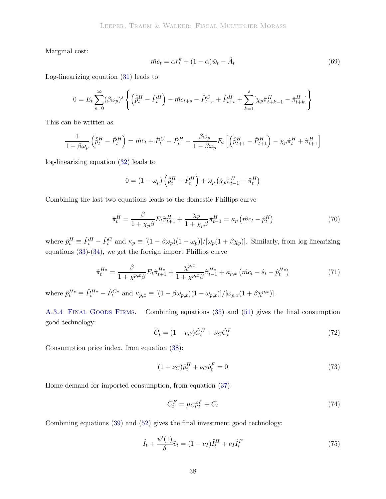Marginal cost:

$$
\hat{mc}_t = \alpha \hat{r}_t^k + (1 - \alpha)\hat{w}_t - \hat{A}_t \tag{69}
$$

Log-linearizing equation [\(31\)](#page-33-0) leads to

$$
0 = E_t \sum_{s=0}^{\infty} (\beta \omega_p)^s \left\{ \left( \hat{p}_t^H - \hat{P}_t^H \right) - \hat{mc}_{t+s} - \hat{P}_{t+s}^C + \hat{P}_{t+s}^H + \sum_{k=1}^s [\chi_p \hat{\pi}_{t+k-1}^H - \hat{\pi}_{t+k}^H] \right\}
$$

This can be written as

$$
\frac{1}{1-\beta\omega_p}\left(\hat{\tilde{p}}_t^H-\hat{P}_t^H\right)=\hat{mc}_t+\hat{P}_t^C-\hat{P}_t^H-\frac{\beta\omega_p}{1-\beta\omega_p}E_t\left[\left(\hat{\tilde{p}}_{t+1}^H-\hat{P}_{t+1}^H\right)-\chi_p\hat{\pi}_t^H+\hat{\pi}_{t+1}^H\right]
$$

log-linearizing equation [\(32\)](#page-33-1) leads to

$$
0 = \left(1-\omega_p\right)\left(\hat{\bar{p}}^H_t - \hat{P}^H_t\right) + \omega_p\left(\chi_p\hat{\pi}^H_{t-1} - \hat{\pi}^H_t\right)
$$

Combining the last two equations leads to the domestic Phillips curve

$$
\hat{\pi}_t^H = \frac{\beta}{1 + \chi_p \beta} E_t \hat{\pi}_{t+1}^H + \frac{\chi_p}{1 + \chi_p \beta} \hat{\pi}_{t-1}^H = \kappa_p \left( \hat{mc}_t - \hat{p}_t^H \right) \tag{70}
$$

where  $\hat{p}_t^H \equiv \hat{P}_t^H - \hat{P}_t^C$  and  $\kappa_p \equiv [(1 - \beta \omega_p)(1 - \omega_p)]/[\omega_p(1 + \beta \chi_p)]$ . Similarly, from log-linearizing equations [\(33\)](#page-33-2)-[\(34\)](#page-33-3), we get the foreign import Phillips curve

$$
\hat{\pi}_t^{H*} = \frac{\beta}{1 + \chi^{p,x}\beta} E_t \hat{\pi}_{t+1}^{H*} + \frac{\chi^{p,x}}{1 + \chi^{p,x}\beta} \hat{\pi}_{t-1}^{H*} + \kappa_{p,x} \left( \hat{mc}_t - \hat{s}_t - \hat{p}_t^{H*} \right)
$$
(71)

where  $\hat{p}_t^{H*} \equiv \hat{P}_t^{H*} - \hat{P}_t^{C*}$  and  $\kappa_{p,x} \equiv [(1 - \beta \omega_{p,x})(1 - \omega_{p,x})]/[\omega_{p,x}(1 + \beta \chi^{p,x})].$ 

A.3.4 FINAL GOODS FIRMS. Combining equations [\(35\)](#page-33-4) and [\(51\)](#page-35-0) gives the final consumption good technology:

$$
\hat{C}_t = (1 - \nu_C)\hat{C}_t^H + \nu_C \hat{C}_t^F
$$
\n(72)

Consumption price index, from equation [\(38\)](#page-34-0):

$$
(1 - \nu_C)\hat{p}_t^H + \nu_C \hat{p}_t^F = 0
$$
\n(73)

Home demand for imported consumption, from equation [\(37\)](#page-34-1):

$$
\hat{C}_t^F = \mu_C \hat{p}_t^F + \hat{C}_t \tag{74}
$$

Combining equations [\(39\)](#page-34-2) and [\(52\)](#page-35-1) gives the final investment good technology:

$$
\hat{I}_t + \frac{\psi'(1)}{\delta} \hat{v}_t = (1 - \nu_I) \hat{I}_t^H + \nu_I \hat{I}_t^F
$$
\n(75)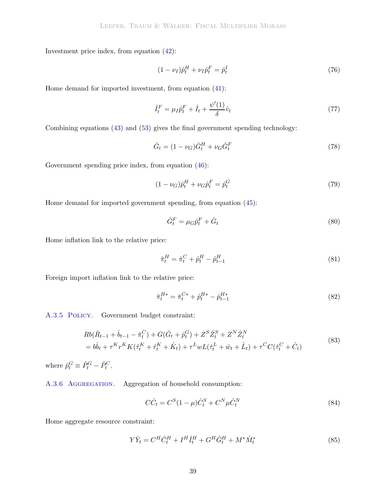Investment price index, from equation [\(42\)](#page-34-3):

$$
(1 - \nu_I)\hat{p}_t^H + \nu_I \hat{p}_t^F = \hat{p}_t^I \tag{76}
$$

Home demand for imported investment, from equation [\(41\)](#page-34-4):

$$
\hat{I}_t^F = \mu_I \hat{p}_t^F + \hat{I}_t + \frac{\psi'(1)}{\delta} \hat{v}_t \tag{77}
$$

Combining equations [\(43\)](#page-34-5) and [\(53\)](#page-35-2) gives the final government spending technology:

$$
\hat{G}_t = (1 - \nu_G)\hat{G}_t^H + \nu_G \hat{G}_t^F
$$
\n(78)

Government spending price index, from equation [\(46\)](#page-35-3):

$$
(1 - \nu_G)\hat{p}_t^H + \nu_G \hat{p}_t^F = \hat{p}_t^G \tag{79}
$$

Home demand for imported government spending, from equation [\(45\)](#page-34-6):

$$
\hat{G}_t^F = \mu_G \hat{p}_t^F + \hat{G}_t \tag{80}
$$

Home inflation link to the relative price:

$$
\hat{\pi}_t^H = \hat{\pi}_t^C + \hat{p}_t^H - \hat{p}_{t-1}^H
$$
\n(81)

Foreign import inflation link to the relative price:

$$
\hat{\pi}_t^{H*} = \hat{\pi}_t^{C*} + \hat{p}_t^{H*} - \hat{p}_{t-1}^{H*} \tag{82}
$$

A.3.5 Policy. Government budget constraint:

$$
Rb(\hat{R}_{t-1} + \hat{b}_{t-1} - \hat{\pi}_t^C) + G(\hat{G}_t + \hat{p}_t^G) + Z^S \hat{Z}_t^S + Z^N \hat{Z}_t^N
$$
  
=  $b\hat{b}_t + \tau^K r^K K(\hat{\tau}_t^K + \hat{r}_t^K + \hat{K}_t) + \tau^L w L(\hat{\tau}_t^L + \hat{w}_t + \hat{L}_t) + \tau^C C(\hat{\tau}_t^C + \hat{C}_t)$  (83)

where  $\hat{p}_t^G \equiv \hat{P}_t^G - \hat{P}_t^C$ .

A.3.6 Aggregation. Aggregation of household consumption:

$$
C\hat{C}_t = C^S (1 - \mu) \hat{C}_t^S + C^N \mu \hat{C}_t^N
$$
\n(84)

Home aggregate resource constraint:

$$
Y\hat{Y}_t = C^H \hat{C}_t^H + I^H \hat{I}_t^H + G^H \hat{G}_t^H + M^* \hat{M}_t^* \tag{85}
$$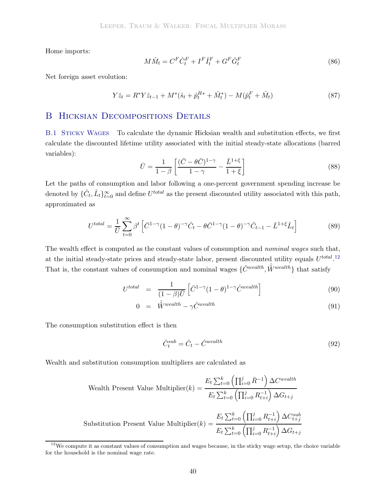Home imports:

$$
M\hat{M}_t = C^F \hat{C}_t^F + I^F \hat{I}_t^F + G^F \hat{G}_t^F
$$
\n
$$
(86)
$$

Net foreign asset evolution:

$$
Y\hat{z}_t = R^* Y \hat{z}_{t-1} + M^* (\hat{s}_t + \hat{p}_t^{H*} + \hat{M}_t^*) - M(\hat{p}_t^F + \hat{M}_t)
$$
\n(87)

# B HICKSIAN DECOMPOSITIONS DETAILS

B.1 Sticky Wages To calculate the dynamic Hicksian wealth and substitution effects, we first calculate the discounted lifetime utility associated with the initial steady-state allocations (barred variables):

$$
\bar{U} = \frac{1}{1-\beta} \left[ \frac{(\bar{C} - \theta \bar{C})^{1-\gamma}}{1-\gamma} - \frac{\bar{L}^{1+\xi}}{1+\xi} \right]
$$
(88)

Let the paths of consumption and labor following a one-percent government spending increase be denoted by  $\{\hat{C}_t, \hat{L}_t\}_{t=0}^{\infty}$  and define  $U^{total}$  as the present discounted utility associated with this path, approximated as

$$
U^{total} = \frac{1}{\overline{U}} \sum_{t=0}^{\infty} \beta^t \left[ \overline{C}^{1-\gamma} (1-\theta)^{-\gamma} \hat{C}_t - \theta \overline{C}^{1-\gamma} (1-\theta)^{-\gamma} \hat{C}_{t-1} - \overline{L}^{1+\xi} \hat{L}_t \right]
$$
(89)

The wealth effect is computed as the constant values of consumption and *nominal wages* such that, at the initial steady-state prices and steady-state labor, present discounted utility equals  $U^{total}$ .<sup>[12](#page-41-0)</sup> That is, the constant values of consumption and nominal wages  $\{\hat{C}^{wealth}, \hat{\tilde{W}}^{wealth}\}$  that satisfy

$$
U^{total} = \frac{1}{(1-\beta)\bar{U}} \left[ \bar{C}^{1-\gamma} (1-\theta)^{1-\gamma} \hat{C}^{weakth} \right]
$$
\n(90)

$$
0 = \hat{\tilde{W}}^{wealth} - \gamma \hat{C}^{wealth} \tag{91}
$$

The consumption substitution effect is then

$$
\hat{C}_t^{sub} = \hat{C}_t - \hat{C}^{weakth} \tag{92}
$$

Wealth and substitution consumption multipliers are calculated as

Wealth Present Value Multiplier(k) = 
$$
\frac{E_t \sum_{t=0}^k \left(\prod_{i=0}^j \bar{R}^{-1}\right) \Delta C^{wealth}}{E_t \sum_{t=0}^k \left(\prod_{i=0}^j R_{t+i}^{-1}\right) \Delta G_{t+j}}
$$
  
Substitution Present Value Multiplier(k) = 
$$
\frac{E_t \sum_{t=0}^k \left(\prod_{i=0}^j R_{t+i}^{-1}\right) \Delta C_{t+j}^{sub}}{E_t \sum_{t=0}^k \left(\prod_{i=0}^j R_{t+i}^{-1}\right) \Delta G_{t+j}}
$$

<span id="page-41-0"></span> $12$ We compute it as constant values of consumption and wages because, in the sticky wage setup, the choice variable for the household is the nominal wage rate.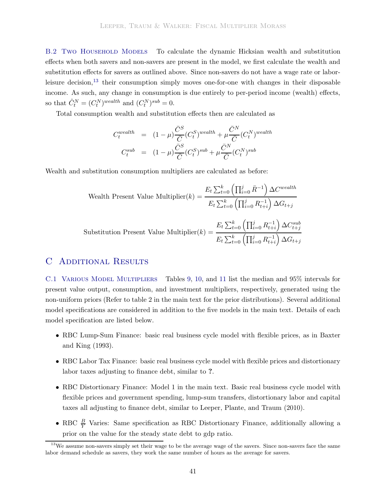B.2 Two Household Models To calculate the dynamic Hicksian wealth and substitution effects when both savers and non-savers are present in the model, we first calculate the wealth and substitution effects for savers as outlined above. Since non-savers do not have a wage rate or labor-leisure decision,<sup>[13](#page-42-0)</sup> their consumption simply moves one-for-one with changes in their disposable income. As such, any change in consumption is due entirely to per-period income (wealth) effects, so that  $\hat{C}_t^N = (C_t^N)^{weakth}$  and  $(C_t^N)^{sub} = 0$ .

Total consumption wealth and substitution effects then are calculated as

$$
C_t^{weakth} = (1 - \mu) \frac{\bar{C}^S}{\bar{C}} (C_t^S)^{weakth} + \mu \frac{\bar{C}^N}{\bar{C}} (C_t^N)^{weakth}
$$

$$
C_t^{sub} = (1 - \mu) \frac{\bar{C}^S}{\bar{C}} (C_t^S)^{sub} + \mu \frac{\bar{C}^N}{\bar{C}} (C_t^N)^{sub}
$$

Wealth and substitution consumption multipliers are calculated as before:

Wealth Present Value Multiplier(k) = 
$$
\frac{E_t \sum_{t=0}^k \left(\prod_{i=0}^j \bar{R}^{-1}\right) \Delta C^{wealth}}{E_t \sum_{t=0}^k \left(\prod_{i=0}^j R_{t+i}^{-1}\right) \Delta G_{t+j}}
$$
Substitution Present Value Multiplier(k) = 
$$
\frac{E_t \sum_{t=0}^k \left(\prod_{i=0}^j R_{t+i}^{-1}\right) \Delta C_{t+j}^{sub}}{E_t \sum_{t=0}^k \left(\prod_{i=0}^j R_{t+i}^{-1}\right) \Delta G_{t+j}}
$$

# C Additional Results

C.1 Various Model Multipliers Tables [9,](#page-46-0) [10,](#page-47-0) and [11](#page-48-0) list the median and 95% intervals for present value output, consumption, and investment multipliers, respectively, generated using the non-uniform priors (Refer to table 2 in the main text for the prior distributions). Several additional model specifications are considered in addition to the five models in the main text. Details of each model specification are listed below.

- RBC Lu[mp-Sum](#page-28-11) [Finance:](#page-28-11) [basic](#page-28-11) [real](#page-28-11) [business](#page-28-11) [cycle](#page-28-11) [model](#page-28-11) [with](#page-28-11) [flexible](#page-28-11) [prices,](#page-28-11) [as](#page-28-11) [in](#page-28-11) Baxter and King [\(1993\)](#page-28-11).
- RBC Labor Tax Finance: basic real business cycle model with flexible prices and distortionary labor taxes adjusting to finance debt, similar to **?**.
- RBC Distortionary Finance: Model 1 in the main text. Basic real business cycle model with flexible prices and government spending, lump-sum transfers, distortionary labor and capital taxes all adjusting to finance debt, similar to [Leeper, Plante, and Traum](#page-30-3) [\(2010](#page-30-3)).
- RBC  $\frac{B}{Y}$  Varies: Same specification as RBC Distortionary Finance, additionally allowing a prior on the value for the steady state debt to gdp ratio.

<span id="page-42-0"></span><sup>&</sup>lt;sup>13</sup>We assume non-savers simply set their wage to be the average wage of the savers. Since non-savers face the same labor demand schedule as savers, they work the same number of hours as the average for savers.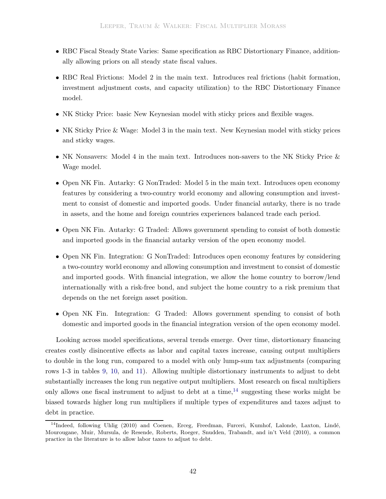- RBC Fiscal Steady State Varies: Same specification as RBC Distortionary Finance, additionally allowing priors on all steady state fiscal values.
- RBC Real Frictions: Model 2 in the main text. Introduces real frictions (habit formation, investment adjustment costs, and capacity utilization) to the RBC Distortionary Finance model.
- NK Sticky Price: basic New Keynesian model with sticky prices and flexible wages.
- NK Sticky Price & Wage: Model 3 in the main text. New Keynesian model with sticky prices and sticky wages.
- NK Nonsavers: Model 4 in the main text. Introduces non-savers to the NK Sticky Price & Wage model.
- Open NK Fin. Autarky: G NonTraded: Model 5 in the main text. Introduces open economy features by considering a two-country world economy and allowing consumption and investment to consist of domestic and imported goods. Under financial autarky, there is no trade in assets, and the home and foreign countries experiences balanced trade each period.
- Open NK Fin. Autarky: G Traded: Allows government spending to consist of both domestic and imported goods in the financial autarky version of the open economy model.
- Open NK Fin. Integration: G NonTraded: Introduces open economy features by considering a two-country world economy and allowing consumption and investment to consist of domestic and imported goods. With financial integration, we allow the home country to borrow/lend internationally with a risk-free bond, and subject the home country to a risk premium that depends on the net foreign asset position.
- Open NK Fin. Integration: G Traded: Allows government spending to consist of both domestic and imported goods in the financial integration version of the open economy model.

Looking across model specifications, several trends emerge. Over time, distortionary financing creates costly disincentive effects as labor and capital taxes increase, causing output multipliers to double in the long run, compared to a model with only lump-sum tax adjustments (comparing rows 1-3 in tables [9,](#page-46-0) [10,](#page-47-0) and [11\)](#page-48-0). Allowing multiple distortionary instruments to adjust to debt substantially increases the long run negative output multipliers. Most research on fiscal multipliers only allows one fiscal instrument to adjust to debt at a time,  $^{14}$  $^{14}$  $^{14}$  suggesting these works might be biased towards higher long run multipliers if multiple types of expenditures and taxes adjust to debt in practice.

<span id="page-43-0"></span><sup>&</sup>lt;sup>14</sup>Indeed, following [Uhlig](#page-30-1) [\(2010\)](#page-30-1) and [Coenen, Erceg, Freedman, Furceri, Kumhof, Lalond](#page-28-3)e, Laxton, Lindé, Mourougane, Muir, Mursula, de Resende, Roberts, Roeger, Snudden, Trabandt, and in't Veld [\(2010](#page-28-3)), a common practice in the literature is to allow labor taxes to adjust to debt.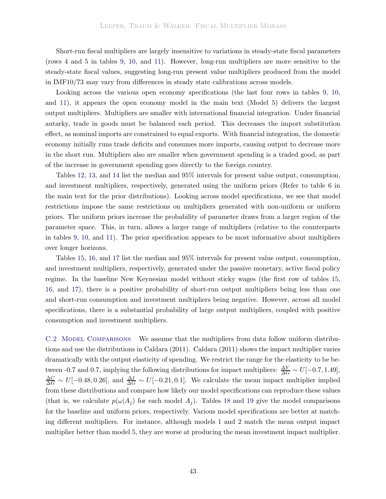Short-run fiscal multipliers are largely insensitive to variations in steady-state fiscal parameters (rows 4 and 5 in tables [9,](#page-46-0) [10,](#page-47-0) and [11\)](#page-48-0). However, long-run multipliers are more sensitive to the steady-state fiscal values, suggesting long-run present value multipliers produced from the model in IMF10/73 may vary from differences in steady state calibrations across models.

Looking across the various open economy specifications (the last four rows in tables [9,](#page-46-0) [10,](#page-47-0) and [11\)](#page-48-0), it appears the open economy model in the main text (Model 5) delivers the largest output multipliers. Multipliers are smaller with international financial integration. Under financial autarky, trade in goods must be balanced each period. This decreases the import substitution effect, as nominal imports are constrained to equal exports. With financial integration, the domestic economy initially runs trade deficits and consumes more imports, causing output to decrease more in the short run. Multipliers also are smaller when government spending is a traded good, as part of the increase in government spending goes directly to the foreign country.

Tables [12,](#page-49-0) [13,](#page-50-0) and [14](#page-51-0) list the median and 95% intervals for present value output, consumption, and investment multipliers, respectively, generated using the uniform priors (Refer to table 6 in the main text for the prior distributions). Looking across model specifications, we see that model restrictions impose the same restrictions on multipliers generated with non-uniform or uniform priors. The uniform priors increase the probability of parameter draws from a larger region of the parameter space. This, in turn, allows a larger range of multipliers (relative to the counterparts in tables [9,](#page-46-0) [10,](#page-47-0) and [11\)](#page-48-0). The prior specification appears to be most informative about multipliers over longer horizons.

Tables [15,](#page-52-0) [16,](#page-53-0) and [17](#page-54-0) list the median and 95% intervals for present value output, consumption, and investment multipliers, respectively, generated under the passive monetary, active fiscal policy regime. In the baseline New Keynesian model without sticky wages (the first row of tables [15,](#page-52-0) [16,](#page-53-0) and [17\)](#page-54-0), there is a positive probability of short-run output multipliers being less than one and short-run consumption and investment multipliers being negative. However, across all model specifications, there is a substantial probability of large output multipliers, coupled with positive consumption and investment multipliers.

C.2 MODEL COMPARISONS We assume that the multipliers from data follow uniform distributions and use the distributions in [Caldara](#page-28-12) [\(2011\)](#page-28-12). [Caldara](#page-28-12) [\(2011](#page-28-12)) shows the impact multiplier varies dramatically with the output elasticity of spending. We restrict the range for the elasticity to be between -0.7 and 0.7, implying the following distributions for impact multipliers:  $\frac{\Delta Y}{\Delta G} \sim U[-0.7, 1.49]$ ,  $\frac{\Delta C}{\Delta G} \sim U[-0.48, 0.26],$  and  $\frac{\Delta I}{\Delta G} \sim U[-0.21, 0.1].$  We calculate the mean impact multiplier implied from these distributions and compare how likely our model specifications can reproduce these values (that is, we calculate  $p(\omega|A_i)$  for each model  $A_i$ ). Tables [18](#page-55-0) and [19](#page-55-1) give the model comparisons for the baseline and uniform priors, respectively. Various model specifications are better at matching different multipliers. For instance, although models 1 and 2 match the mean output impact multiplier better than model 5, they are worse at producing the mean investment impact multiplier.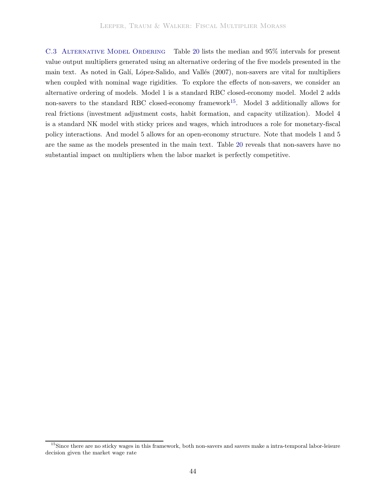C.3 ALTERNATIVE MODEL ORDERING Table [20](#page-56-0) lists the median and 95% intervals for present value output multipliers generated using an alternative ordering of the five models presented in the main text. As noted in Galí, López-Salido, and Vallés [\(2007\)](#page-29-2), non-savers are vital for multipliers when coupled with nominal wage rigidities. To explore the effects of non-savers, we consider an alternative ordering of models. Model 1 is a standard RBC closed-economy model. Model 2 adds non-savers to the standard RBC closed-economy framework<sup>[15](#page-45-0)</sup>. Model 3 additionally allows for real frictions (investment adjustment costs, habit formation, and capacity utilization). Model 4 is a standard NK model with sticky prices and wages, which introduces a role for monetary-fiscal policy interactions. And model 5 allows for an open-economy structure. Note that models 1 and 5 are the same as the models presented in the main text. Table [20](#page-56-0) reveals that non-savers have no substantial impact on multipliers when the labor market is perfectly competitive.

<span id="page-45-0"></span><sup>&</sup>lt;sup>15</sup>Since there are no sticky wages in this framework, both non-savers and savers make a intra-temporal labor-leisure decision given the market wage rate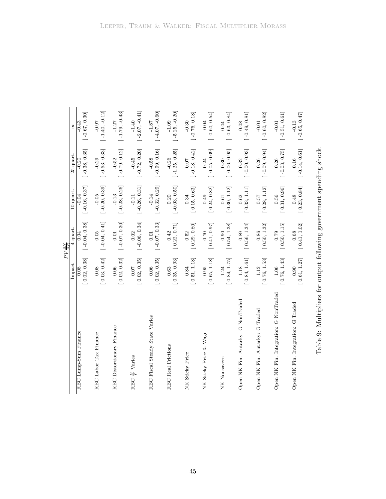|                                       |              | PV AY                   |                            |                            |                            |
|---------------------------------------|--------------|-------------------------|----------------------------|----------------------------|----------------------------|
|                                       | Impact       | 4 quart                 | 10 quart.                  | 25 quart.                  | 8                          |
| RBC Lump-Sum Finance                  | [0.02, 0.38] | $[-0.04, 0.38]$<br>0.04 | $[-0.16, 0.37]$<br>$-0.04$ | $[-0.38, 0.35]$<br>$-0.20$ | $[-0.67, 0.30]$<br>$-0.43$ |
| RBC Labor Tax Finance                 | [0.03, 0.42] | $[-0.04, 0.41]$         | $[-0.20, 0.39]$            | $[-0.53, 0.33]$            | $[-1.40, -0.12]$           |
|                                       | 0.08         | 0.05                    | $-0.05$                    | $-0.29$                    | $-0.0 -$                   |
| RBC Distortionary Finance             | [0.02, 0.32] | $[-0.07, 0.30]$         | $[-0.28, 0.26]$            | $[-0.79, 0.12]$            | $[-1.79, -0.43]$           |
|                                       | 0.06         | 0.01                    | $-0.13$                    | $-0.52$                    | $-1.27$                    |
| $\frac{B}{V}$ Varies                  | [0.02, 0.35] | $[-0.06, 0.34]$         | $[-0.26, 0.31]$            | $[-0.72, 0.20]$            | $[-2.07, -0.41]$           |
| <b>RBC</b>                            | 0.07         | 0.02                    | $-0.11$                    | $-0.45$                    | $-1.40$                    |
| RBC Fiscal Steady State Varies        | [0.02, 0.35] | $[-0.07, 0.33]$         | $[-0.32, 0.29]$            | $[-0.99, 0.16]$            | $[-4.07, -0.60]$           |
|                                       | 0.06         | $0.01\,$                | $-0.14$                    | $-0.58$                    | $-1.87$                    |
| <b>RBC</b> Real Frictions             | [0.35, 0.93] | $[\,0.22,\,0.71]$       | $[-0.03, 0.50]$            | $[-1.25, 0.25]$            | $[-5.25, -0.20]$           |
|                                       | 0.63         | 0.42                    | 0.20                       | $-0.26$                    | $-1.09$                    |
| NK Sticky Price                       | [0.51, 1.18] | [0.29, 0.80]            | [0.15, 0.63]               | $[-0.18, 0.42]$            | $[-0.76, 0.18]$            |
|                                       | 0.84         | 0.52                    | 0.34                       | 0.07                       | $-0.30$                    |
| NK Sticky Price & Wage                | [0.65, 1.18] | [0.41, 0.97]            | [0.24, 0.82]               | $[-0.05, 0.69]$            | $[-0.60, 0.54]$            |
|                                       | 0.95         | 0.70                    | 0.49                       | 0.24                       | $-0.04$                    |
| NK<br>Nonsavers                       | [0.84, 1.75] | [0.54, 1.38]            | [0.30, 1.12]               | $[-0.06, 0.95]$            | $[-0.63, 0.84]$            |
|                                       | 1.24         | 0.90                    | 0.61                       | 0.30                       | 0.04                       |
| Open NK Fin. Autarky: G NonTraded     | [0.84, 1.61] | [0.56, 1.34]            | [0.33, 1.11]               | $[-0.00, 0.93]$            | $[-0.49, 0.81]$            |
|                                       | 1.18         | 0.89                    | 0.62                       | 0.32                       | 0.08                       |
| Open NK Fin. Autarky: G Traded        | [0.76, 1.53] | [0.50, 1.32]            | [0.28, 1.12]               | $[-0.09, 0.94]$            | $[-0.60, 0.82]$            |
|                                       | 1.12         | 0.86                    | 0.57                       | 0.26                       | $-0.01$                    |
| Open NK Fin. Integration: G NonTraded | [0.76, 1.43] | [0.50, 1.15]            | [ 0.31, 0.96]              | $[-0.03, 0.75]$            | $[-0.51, 0.61]$            |
|                                       | 1.06         | 0.79                    | 0.56                       | 0.26                       | $-0.01$                    |
| Open NK Fin. Integration: G Traded    | [0.61, 1.27] | [0.41, 1.02]            | [0.23, 0.84]               | $[-0.14, 0.61]$            | $[-0.65, 0.47]$            |
|                                       | 0.90         | 0.68                    | 0.48                       | 0.16                       | $-0.13$                    |

<span id="page-46-0"></span>Table 9: Multipliers for output following government spending shock. Table 9: Multipliers for output following government spending shock.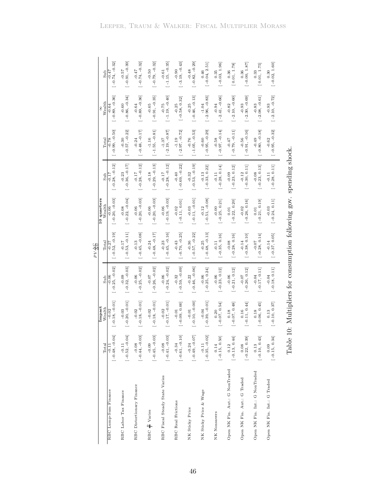| $-0.89, -0.36$<br>$[-0.86, -0.34]$<br>$[-0.89, -0.36]$<br>$[-0.91, -0.35]$<br>$[-1.19, -0.40]$<br>$[-0.46, -0.13]$<br>$[-2.96, -0.83]$<br>$[-2.41, -0.66]$<br>$[-2.10, -0.60]$<br>$[-2.30, -0.69]$<br>$[-2.08, -0.61]$<br>$[-2.10, -0.72]$<br>$[-0.58, 0.32]$<br>Wealth<br>$-0.65$<br>$-0.75$<br>$-0.82$<br>$-0.93$<br>$-0.64$<br>$-0.25$<br>$-0.25$<br>$-1.04$<br>$-0.83$<br>$-0.93$<br>$-0.60$<br>$-0.94$<br>$-0.64$<br>$-0.99, -0.50$<br>$[-1.55, -0.81]$<br>$[-0.97, -0.14]$<br>$[-0.57, -0.22]$<br>$[-0.48, -0.17]$<br>$[-2.19, -0.87]$<br>$[-1.05, -0.53]$<br>$[-0.95, -0.29]$<br>$[-0.79, -0.11]$<br>$[-0.95, -0.32]$<br>$[-2.97, -0.72]$<br>$[-0.91, -0.16]$<br>$[-0.80, -0.18]$<br>$-1.16$<br>$-1.19$<br>$-0.56$<br>$-0.62$<br>$-0.76$<br>$-0.60$<br>$-0.49$<br>Total<br>$-0.78$<br>$-0.30$<br>$-0.24$<br>$-1.37$<br>$-0.58$<br>$-0.47$<br>$[-0.36, -0.17]$<br>$[-0.53, -0.19]$<br>$[-0.28, -0.12]$<br>$[-0.28, -0.12]$<br>$[-0.29, -0.13]$<br>$[-0.28, -0.12]$<br>$[-0.69, -0.22]$<br>$[-0.28, 0.14]$<br>$[-0.30, 0.11]$<br>$[-0.28, 0.11]$<br>$[-0.33, 0.22]$<br>$[-0.23, 0.13]$<br>$[-0.23, 0.12]$<br>$-0.18$<br>$-0.17$<br>$-0.40$<br>$-0.32$<br>$-0.13$<br>$-0.09$<br>$-0.12$<br>$-0.08$<br>$-0.23$<br>$-0.17$<br>$-0.11$<br>$-0.11$<br>$\sin b$<br>$-0.17$<br>$[-0.20, -0.03]$<br>$[-0.22, -0.04]$<br>$[-0.11, -0.01]$<br>10 quarters<br>$[-0.20, -0.03]$<br>$[-0.19, -0.03]$<br>$[-0.20, -0.03]$<br>$[-0.51, -0.08]$<br>$[-0.11, 0.01]$<br>$[-0.25, 0.21]$<br>$[-0.22, 0.20]$<br>$[-0.26, 0.16]$<br>$[-0.21, 0.19]$<br>$[-0.24, 0.11]$<br>Wealth<br>$-0.06$<br>$-0.06$<br>$-0.00$<br>$-0.08$<br>$-0.06$<br>$-0.06$<br>$-0.02$<br>$-0.03$<br>$-0.12$<br>$-0.02$<br>$-0.03$<br>0.01<br>0.01<br>$[-0.53, -0.11]$<br>$[-0.52, -0.19]$<br>$[-0.45, -0.16]$<br>$[-0.48, -0.13]$<br>$[-0.45, -0.08]$<br>$[-0.48, -0.17]$<br>$[-0.70, -0.25]$<br>$[-0.57, -0.22]$<br>$[-0.35, 0.16]$<br>$[-0.37, 0.05]$<br>$[-0.28, 0.16]$<br>$[-0.38, 0.10]$<br>$[-0.28, 0.14]$<br>$-0.43$<br>$-0.25$<br>$-0.08$<br>$-0.17$<br>$-0.13$<br>$-0.23$<br>$-0.36$<br>$-0.14$<br>$-0.07$<br>$-0.14$<br>Total<br>$-0.24$<br>$-0.11$<br>$-0.27$<br>$[-0.25, -0.02]$<br>$[-0.32, -0.03]$<br>$[-0.24, -0.02]$<br>$[-0.59, -0.09]$<br>$[-0.46, -0.06]$<br>$[-0.25, -0.02]$<br>$[-0.26, -0.02]$<br>$[-0.21, 0.12]$<br>$[-0.17, 0.11]$<br>$[-0.18, 0.11]$<br>$[-0.25, 0.24]$<br>$[-0.23, 0.12]$<br>$[-0.26, 0.12]$<br>$-0.06$<br>$-0.32$<br>$-0.06$<br>$-0.06$<br>$-0.06$<br>$-0.09$<br>$-0.06$<br>$-0.22$<br>$-0.04$<br>$-0.04$<br>$-0.0 -$<br>$-0.07$<br>$-0.06$<br>$\sin b$<br>$[-0.18, -0.01]$<br>$[-0.20, -0.01]$<br>$[-0.18, -0.01]$<br>$[-0.17, -0.01]$<br>$[-0.10, -0.00]$<br>$[-0.18, -0.01]$<br>$[-0.39, -0.01]$<br>$[-0.09, 0.00]$<br>$[-0.07, 0.54]$<br>$[-0.07, 0.48]$<br>$[-0.11, 0.44]$<br>$[-0.06, 0.45]$<br>$[-0.10, 0.37]$<br>Impact<br>Wealth<br>$-0.02$<br>$-0.02$<br>$-0.03$<br>$-0.02$<br>$-0.02$<br>$-0.04$<br>$-0.01$<br>0.13<br>$-0.01$<br>0.20<br>0.18<br>0.16<br>0.18<br>$[-0.52, -0.04]$<br>$[-0.61, -0.10]$<br>$[-0.49, -0.07]$<br>64<br>$[-0.44, -0.03]$<br>$[-0.45, -0.03]$<br>$\begin{bmatrix} -0.08 \\ -0.41, -0.03 \end{bmatrix}$<br>$[-0.35, -0.02]$<br>$[ -0.15, \; 0.50 ]$<br>$[ -0.12$<br>[-0.13, 0.44]<br>$[-0.15, 0.34]$<br>$[ \, -0.22, \, 0.39 ]$<br>$[ -0.10, \; 0.43 ]$<br>$[-0.48, -0.$<br>$-0.24$<br>Total<br>$-0.09$<br>$-0.11$<br>$-0.08$<br>$-0.34$<br>0.09<br>$-0.11$<br>$-0.11$<br>Open NK Fin. Aut.: G NonTraded<br>Open NK Fin. Int.: G NonTraded<br>RBC Fiscal Steady State Varies<br>Open NK Fin. Aut.: G Traded<br>Open NK Fin. Int.: G Traded<br>RBC Distortionary Finance<br>RBC Lump-Sum Finance<br>NK Sticky Price & Wage<br>RBC Labor Tax Finance<br><b>RBC</b> Real Frictions<br>NK Sticky Price<br>RBC & Varies<br>NK Nonsavers |  |  | $PV\frac{\Delta C}{\Delta G}$ |  |  |                             |
|----------------------------------------------------------------------------------------------------------------------------------------------------------------------------------------------------------------------------------------------------------------------------------------------------------------------------------------------------------------------------------------------------------------------------------------------------------------------------------------------------------------------------------------------------------------------------------------------------------------------------------------------------------------------------------------------------------------------------------------------------------------------------------------------------------------------------------------------------------------------------------------------------------------------------------------------------------------------------------------------------------------------------------------------------------------------------------------------------------------------------------------------------------------------------------------------------------------------------------------------------------------------------------------------------------------------------------------------------------------------------------------------------------------------------------------------------------------------------------------------------------------------------------------------------------------------------------------------------------------------------------------------------------------------------------------------------------------------------------------------------------------------------------------------------------------------------------------------------------------------------------------------------------------------------------------------------------------------------------------------------------------------------------------------------------------------------------------------------------------------------------------------------------------------------------------------------------------------------------------------------------------------------------------------------------------------------------------------------------------------------------------------------------------------------------------------------------------------------------------------------------------------------------------------------------------------------------------------------------------------------------------------------------------------------------------------------------------------------------------------------------------------------------------------------------------------------------------------------------------------------------------------------------------------------------------------------------------------------------------------------------------------------------------------------------------------------------------------------------------------------------------------------------------------------------------------------------------------------------------------------------------------------------------------------------------------------------------------------------------------------------------------------------------------------------------------------------------------------------------------------------------------------------------------------------------------------------------------------------------------------------------------------------------------------------------------------------------------------------------------------------------------------|--|--|-------------------------------|--|--|-----------------------------|
|                                                                                                                                                                                                                                                                                                                                                                                                                                                                                                                                                                                                                                                                                                                                                                                                                                                                                                                                                                                                                                                                                                                                                                                                                                                                                                                                                                                                                                                                                                                                                                                                                                                                                                                                                                                                                                                                                                                                                                                                                                                                                                                                                                                                                                                                                                                                                                                                                                                                                                                                                                                                                                                                                                                                                                                                                                                                                                                                                                                                                                                                                                                                                                                                                                                                                                                                                                                                                                                                                                                                                                                                                                                                                                                                                                            |  |  |                               |  |  | $\sinh$                     |
|                                                                                                                                                                                                                                                                                                                                                                                                                                                                                                                                                                                                                                                                                                                                                                                                                                                                                                                                                                                                                                                                                                                                                                                                                                                                                                                                                                                                                                                                                                                                                                                                                                                                                                                                                                                                                                                                                                                                                                                                                                                                                                                                                                                                                                                                                                                                                                                                                                                                                                                                                                                                                                                                                                                                                                                                                                                                                                                                                                                                                                                                                                                                                                                                                                                                                                                                                                                                                                                                                                                                                                                                                                                                                                                                                                            |  |  |                               |  |  | $[-0.74, -0.32]$<br>$-0.47$ |
|                                                                                                                                                                                                                                                                                                                                                                                                                                                                                                                                                                                                                                                                                                                                                                                                                                                                                                                                                                                                                                                                                                                                                                                                                                                                                                                                                                                                                                                                                                                                                                                                                                                                                                                                                                                                                                                                                                                                                                                                                                                                                                                                                                                                                                                                                                                                                                                                                                                                                                                                                                                                                                                                                                                                                                                                                                                                                                                                                                                                                                                                                                                                                                                                                                                                                                                                                                                                                                                                                                                                                                                                                                                                                                                                                                            |  |  |                               |  |  | $[-0.91, -0.39]$<br>$-0.57$ |
|                                                                                                                                                                                                                                                                                                                                                                                                                                                                                                                                                                                                                                                                                                                                                                                                                                                                                                                                                                                                                                                                                                                                                                                                                                                                                                                                                                                                                                                                                                                                                                                                                                                                                                                                                                                                                                                                                                                                                                                                                                                                                                                                                                                                                                                                                                                                                                                                                                                                                                                                                                                                                                                                                                                                                                                                                                                                                                                                                                                                                                                                                                                                                                                                                                                                                                                                                                                                                                                                                                                                                                                                                                                                                                                                                                            |  |  |                               |  |  | $[-0.74, -0.32]$<br>$-0.47$ |
|                                                                                                                                                                                                                                                                                                                                                                                                                                                                                                                                                                                                                                                                                                                                                                                                                                                                                                                                                                                                                                                                                                                                                                                                                                                                                                                                                                                                                                                                                                                                                                                                                                                                                                                                                                                                                                                                                                                                                                                                                                                                                                                                                                                                                                                                                                                                                                                                                                                                                                                                                                                                                                                                                                                                                                                                                                                                                                                                                                                                                                                                                                                                                                                                                                                                                                                                                                                                                                                                                                                                                                                                                                                                                                                                                                            |  |  |                               |  |  | $[-0.79, -0.32]$<br>$-0.50$ |
|                                                                                                                                                                                                                                                                                                                                                                                                                                                                                                                                                                                                                                                                                                                                                                                                                                                                                                                                                                                                                                                                                                                                                                                                                                                                                                                                                                                                                                                                                                                                                                                                                                                                                                                                                                                                                                                                                                                                                                                                                                                                                                                                                                                                                                                                                                                                                                                                                                                                                                                                                                                                                                                                                                                                                                                                                                                                                                                                                                                                                                                                                                                                                                                                                                                                                                                                                                                                                                                                                                                                                                                                                                                                                                                                                                            |  |  |                               |  |  | $[-1.15, -0.35]$<br>$-0.61$ |
|                                                                                                                                                                                                                                                                                                                                                                                                                                                                                                                                                                                                                                                                                                                                                                                                                                                                                                                                                                                                                                                                                                                                                                                                                                                                                                                                                                                                                                                                                                                                                                                                                                                                                                                                                                                                                                                                                                                                                                                                                                                                                                                                                                                                                                                                                                                                                                                                                                                                                                                                                                                                                                                                                                                                                                                                                                                                                                                                                                                                                                                                                                                                                                                                                                                                                                                                                                                                                                                                                                                                                                                                                                                                                                                                                                            |  |  |                               |  |  | $[-3.19, -0.43]$<br>$-0.90$ |
|                                                                                                                                                                                                                                                                                                                                                                                                                                                                                                                                                                                                                                                                                                                                                                                                                                                                                                                                                                                                                                                                                                                                                                                                                                                                                                                                                                                                                                                                                                                                                                                                                                                                                                                                                                                                                                                                                                                                                                                                                                                                                                                                                                                                                                                                                                                                                                                                                                                                                                                                                                                                                                                                                                                                                                                                                                                                                                                                                                                                                                                                                                                                                                                                                                                                                                                                                                                                                                                                                                                                                                                                                                                                                                                                                                            |  |  |                               |  |  | $[-0.82, -0.29]$<br>$-0.48$ |
|                                                                                                                                                                                                                                                                                                                                                                                                                                                                                                                                                                                                                                                                                                                                                                                                                                                                                                                                                                                                                                                                                                                                                                                                                                                                                                                                                                                                                                                                                                                                                                                                                                                                                                                                                                                                                                                                                                                                                                                                                                                                                                                                                                                                                                                                                                                                                                                                                                                                                                                                                                                                                                                                                                                                                                                                                                                                                                                                                                                                                                                                                                                                                                                                                                                                                                                                                                                                                                                                                                                                                                                                                                                                                                                                                                            |  |  |                               |  |  | $[-0.04, 2.51]$<br>0.46     |
|                                                                                                                                                                                                                                                                                                                                                                                                                                                                                                                                                                                                                                                                                                                                                                                                                                                                                                                                                                                                                                                                                                                                                                                                                                                                                                                                                                                                                                                                                                                                                                                                                                                                                                                                                                                                                                                                                                                                                                                                                                                                                                                                                                                                                                                                                                                                                                                                                                                                                                                                                                                                                                                                                                                                                                                                                                                                                                                                                                                                                                                                                                                                                                                                                                                                                                                                                                                                                                                                                                                                                                                                                                                                                                                                                                            |  |  |                               |  |  | $[-0.03, 1.96]$<br>0.35     |
|                                                                                                                                                                                                                                                                                                                                                                                                                                                                                                                                                                                                                                                                                                                                                                                                                                                                                                                                                                                                                                                                                                                                                                                                                                                                                                                                                                                                                                                                                                                                                                                                                                                                                                                                                                                                                                                                                                                                                                                                                                                                                                                                                                                                                                                                                                                                                                                                                                                                                                                                                                                                                                                                                                                                                                                                                                                                                                                                                                                                                                                                                                                                                                                                                                                                                                                                                                                                                                                                                                                                                                                                                                                                                                                                                                            |  |  |                               |  |  | [0.01, 1.78]<br>0.36        |
|                                                                                                                                                                                                                                                                                                                                                                                                                                                                                                                                                                                                                                                                                                                                                                                                                                                                                                                                                                                                                                                                                                                                                                                                                                                                                                                                                                                                                                                                                                                                                                                                                                                                                                                                                                                                                                                                                                                                                                                                                                                                                                                                                                                                                                                                                                                                                                                                                                                                                                                                                                                                                                                                                                                                                                                                                                                                                                                                                                                                                                                                                                                                                                                                                                                                                                                                                                                                                                                                                                                                                                                                                                                                                                                                                                            |  |  |                               |  |  | $[-0.00, 1.87]$<br>0.36     |
|                                                                                                                                                                                                                                                                                                                                                                                                                                                                                                                                                                                                                                                                                                                                                                                                                                                                                                                                                                                                                                                                                                                                                                                                                                                                                                                                                                                                                                                                                                                                                                                                                                                                                                                                                                                                                                                                                                                                                                                                                                                                                                                                                                                                                                                                                                                                                                                                                                                                                                                                                                                                                                                                                                                                                                                                                                                                                                                                                                                                                                                                                                                                                                                                                                                                                                                                                                                                                                                                                                                                                                                                                                                                                                                                                                            |  |  |                               |  |  | [0.01, 1.75]<br>0.33        |
|                                                                                                                                                                                                                                                                                                                                                                                                                                                                                                                                                                                                                                                                                                                                                                                                                                                                                                                                                                                                                                                                                                                                                                                                                                                                                                                                                                                                                                                                                                                                                                                                                                                                                                                                                                                                                                                                                                                                                                                                                                                                                                                                                                                                                                                                                                                                                                                                                                                                                                                                                                                                                                                                                                                                                                                                                                                                                                                                                                                                                                                                                                                                                                                                                                                                                                                                                                                                                                                                                                                                                                                                                                                                                                                                                                            |  |  |                               |  |  | $[-0.02, 1.60]$<br>0.30     |

<span id="page-47-0"></span>Table 10: Multipliers for consumption following gov. spending shock. Table 10: Multipliers for consumption following gov. spending shock.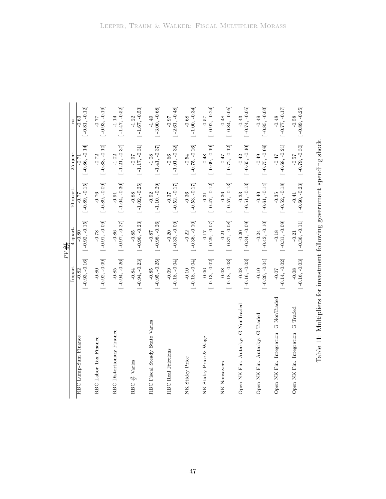|                                       |                  | $PV\frac{\Delta I}{\Delta G}$ |                  |                  |                  |
|---------------------------------------|------------------|-------------------------------|------------------|------------------|------------------|
|                                       | Impact           | 4 quart                       | 10 quart.        | 25 quart.        | 8                |
| RBC Lump-Sum Finance                  | $[-0.93, -0.16]$ | $[-0.92, -0.15]$              | $[-0.89, -0.15]$ | $[-0.86, -0.14]$ | $[-0.81, -0.12]$ |
|                                       | $-0.82$          | $-0.80$                       | -0.77            | $-0.71$          | $-0.63$          |
| RBC Labor Tax Finance                 | $[-0.92, -0.09]$ | $[-0.91, -0.09]$              | $[-0.89, -0.09]$ | $[-0.88, -0.10]$ | $[-0.93, -0.19]$ |
|                                       | $-0.80$          | $-0.78$                       | $-0.76$          | $-0.72$          | $-0.77$          |
| RBC Distortionary Finance             | $[-0.94, -0.26]$ | $[-0.97, -0.27]$              | $[-1.04, -0.30]$ | $[-1.21, -0.37]$ | $[-1.47, -0.52]$ |
|                                       | $-0.85$          | $-0.86$                       | $-0.91$          | $-1.02$          | $-1.14$          |
| $\frac{B}{V}$ Varies                  | $[-0.94, -0.23]$ | $[-0.96, -0.23]$              | $[-1.02, -0.25]$ | $[-1.17, -0.31]$ | $[-1.67, -0.53]$ |
| RBC.                                  | $-0.84$          | $-0.85$                       | $-0.88$          | $-0.0 -$         | $-1.22$          |
| RBC Fiscal Steady State Varies        | $[-0.95, -0.25]$ | $[-0.98, -0.26]$              | $[-1.10, -0.29]$ | $[-1.41, -0.37]$ | $[-3.00, -0.68]$ |
|                                       | $-0.85$          | $-0.87$                       | $-0.92$          | $-1.08$          | $-1.49$          |
| <b>RBC</b> Real Frictions             | $[-0.18, -0.04]$ | $[-0.33, -0.09]$              | $[-0.52, -0.17]$ | $[-1.01, -0.32]$ | $[-2.61, -0.48]$ |
|                                       | $-0.09$          | $-0.20$                       | $-0.37$          | $-0.66$          | $-0.97$          |
| NK Sticky Price                       | $[-0.18, -0.04]$ | $[-0.36, -0.10]$              | $[-0.53, -0.17]$ | $[-0.75, -0.26]$ | $[-1.00, -0.34]$ |
|                                       | $-0.10$          | $-0.22$                       | $-0.36$          | $-0.54$          | $-0.68$          |
| NK Sticky Price & Wage                | $[-0.13, -0.02]$ | $[-0.29, -0.07]$              | $[-0.47, -0.12]$ | $[-0.69, -0.19]$ | $[-0.92, -0.24]$ |
|                                       | $-0.06$          | $-0.17$                       | $-0.31$          | $-0.48$          | $-0.57$          |
| NK<br>Nonsavers                       | $[-0.18, -0.03]$ | $[-0.37, -0.08]$              | $[-0.57, -0.13]$ | $[-0.72, -0.12]$ | $[-0.84, -0.05]$ |
|                                       | $-0.08$          | $-0.21$                       | $-0.36$          | $-0.47$          | $-0.48$          |
| Open NK Fin. Autarky: G NonTraded     | $[-0.16, -0.03]$ | $[-0.34, -0.09]$              | $[-0.51, -0.13]$ | $[-0.65, -0.10]$ | $[-0.74, -0.05]$ |
|                                       | $-0.08$          | $-0.20$                       | $-0.33$          | $-0.42$          | $-0.43$          |
| Open NK Fin. Autarky: G Traded        | $[-0.20, -0.04]$ | $[-0.42, -0.10]$              | $[-0.61, -0.14]$ | $[-0.75, -0.09]$ | $[-0.85, -0.03]$ |
|                                       | $-0.10$          | $-0.24$                       | $-0.40$          | $-0.49$          | $-0.49$          |
| Open NK Fin. Integration: G NonTraded | $[-0.14, -0.02]$ | $[-0.31, -0.09]$              | $[-0.52, -0.18]$ | $[-0.68, -0.21]$ | $[-0.77, -0.17]$ |
|                                       | $-0.07$          | $-0.18$                       | $-0.35$          | $-0.47$          | $-0.48$          |
| Open NK Fin. Integration: G Traded    | $[-0.16, -0.03]$ | $[-0.36, -0.11]$              | $[-0.60, -0.23]$ | $[-0.79, -0.30]$ | $[-0.89, -0.25]$ |
|                                       | $-0.08$          | $-0.21$                       | $-0.41$          | $-0.57$          | $-0.58$          |

<span id="page-48-0"></span>Table 11: Multipliers for investment following government spending shock. Table 11: Multipliers for investment following government spending shock.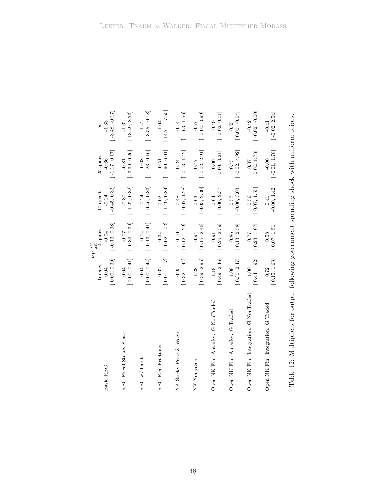|                                       |              | $PV \frac{\Delta Y}{\Delta G}$ |                 |                 |                   |
|---------------------------------------|--------------|--------------------------------|-----------------|-----------------|-------------------|
|                                       | Impact       | 4 quart.                       | 10 quart.       | 25 quart.       | 8                 |
| Basic RBC                             | [0.00, 0.39] | $[-0.13, 0.38]$                | $[-0.45, 0.32]$ | $[-1.17, 0.17]$ | $[-3.48, -0.17]$  |
|                                       | 0.04         | $-0.04$                        | $-0.24$         | $-0.66$         | $-1.33$           |
| RBC Fiscal Steady State               | [0.00, 0.41] | $[-0.39, 0.39]$                | $[-1.22, 0.32]$ | $[-3.39, 0.26]$ | $[-13.49, 8.73]$  |
|                                       | 0.04         | $-0.07$                        | $-0.30$         | $-0.81$         | $-1.62$           |
| RBC w/habit                           | [0.00, 0.44] | $[-0.13, 0.41]$                | $[-0.46, 0.33]$ | $[-1.23, 0.16]$ | $[-3.55, -0.18]$  |
|                                       | 0.04         | $-0.04$                        | $-0.24$         | $-0.68$         | $-1.42$           |
| <b>RBC Real Frictions</b>             | [0.07, 1.17] | $[-0.02, 1.02]$                | $[-1.49, 0.84]$ | $[-7.90, 6.01]$ | $[-14.71, 17.55]$ |
|                                       | 0.62         | 0.34                           | 0.02            | $-0.51$         | $-1.04$           |
| NK Sticky Price & Wage                | [0.32, 1.44] | [0.12, 1.29]                   | $[-0.07, 1.28]$ | $[-0.73, 1.42]$ | $[-1.63, 1.56]$   |
|                                       | 0.95         | $0.70$                         | 0.48            | 0.24            | 0.14              |
| NK Nonsavers                          | [0.39, 2.95] | [0.15, 2.46]                   | [0.03, 2.30]    | $[-0.02, 2.91]$ | $[-0.00, 3.99]$   |
|                                       | 1.28         | 0.94                           | 0.63            | 0.47            | 0.57              |
| Open NK Fin. Autarky: G NonTraded     | [0.49, 2.46] | [0.25, 2.39]                   | $[-0.00, 2.37]$ | [0.00, 3.21]    | $[-0.02, 0.01]$   |
|                                       | 1.18         | 0.91                           | 0.64            | 0.00            | $-0.49$           |
| Open NK Fin. Autarky: G Traded        | [0.30, 2.47] | [0.13, 2.58]                   | $[-0.00, 3.03]$ | $[-0.02, 4.92]$ | $[0.00, -0.04]$   |
|                                       | 1.08         | 0.86                           | 0.57            | 0.45            | 0.55              |
| Open NK Fin. Integration: G NonTraded | [0.44, 1.92] | [0.23, 1.67]                   | [0.07, 1.55]    | [0.00, 1.73]    | $[-0.02, -0.00]$  |
|                                       | $1.00$       | 77.0                           | 0.56            | 0.37            | $-0.42$           |
| Open NK Fin. Integration: G Traded    | [0.15, 1.63] | [0.07, 1.51]                   | $[-0.00, 1.42]$ | $[-0.01, 1.78]$ | $[-0.02, 2.54]$   |
|                                       | 0.72         | 0.58                           | 0.41            | $-0.00$         | $-0.41$           |

<span id="page-49-0"></span>Table 12: Multipliers for output following government spending shock with uniform priors. Table 12: Multipliers for output following government spending shock with uniform priors.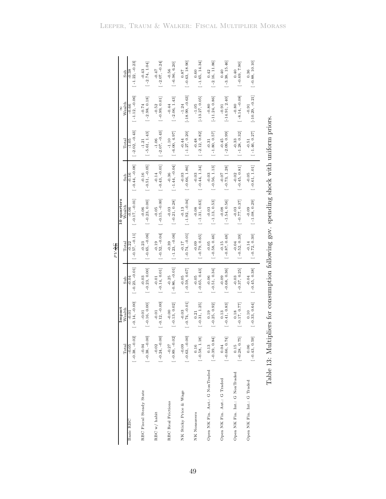|                                |                  |                  |                  | PV AC                                  |                       |                                     |                  |                   |                  |
|--------------------------------|------------------|------------------|------------------|----------------------------------------|-----------------------|-------------------------------------|------------------|-------------------|------------------|
|                                | Total            | Impact<br>Wealth | Sub              | Total                                  | 10 quarters<br>Wealth | Sub                                 | Total            | Wealth<br>8       | Sub              |
| Basic RBC                      | $[-0.38, -0.02]$ | $-0.14, -0.00$   | $[-0.23, -0.01]$ | $[-0.57, -0.11]$                       | $[-0.17, -0.01]$      | $[-0.44, -0.08]$                    | $[-2.02, -0.43]$ | $[-1.12, -0.06]$  | $[-1.22, -0.23]$ |
|                                | $-0.05$          | $-0.01$          | $-0.04$          | $-0.22$                                | $-0.06$               | $-0.16$                             | -1.05            | $-0.66$           | $-0.38$          |
| RBC Fiscal Steady State        | $[-0.38, -0.00]$ | $[-0.16, 0.00]$  | $[-0.23, 0.00]$  | $[-0.65, -0.06]$                       | $[-0.23, 0.00]$       | $[-0.51, -0.05]$                    | $[-5.61, 1.43]$  | $[-2.98, 0.18]$   | $[-2.74, 1.04]$  |
|                                | $-0.04$          | $-0.01$          | $-0.03$          | $-0.23$                                | $-0.06$               | $-0.16$                             | $-1.21$          | $-0.74$           | $-0.43$          |
| RBC w/ habit                   | $[-0.24, -0.00]$ | $-0.12, -0.00]$  | $[-0.14, 0.01]$  | $[-0.52, -0.04]$                       | $[-0.15, -0.00]$      | $[-0.43, -0.01]$                    | $[-2.07, -0.43]$ | $[-0.99, 0.01]$   | $[-2.07, -0.24]$ |
|                                | $-0.02$          | $-0.01$          | $-0.01$          | $-0.19$                                | $-0.05$               | $-0.14$                             | $-1.06$          | $-0.52$           | $-0.47$          |
| <b>RBC</b> Real Frictions      | $[-0.89, -0.02]$ | $[-0.13, 0.02]$  | $[-0.86, -0.01]$ | $[-1.23, -0.06]$                       | $[-0.21, 0.28]$       | $[-1.44, -0.04]$                    | $[-6.00, 4.97]$  | $[-2.06, 1.43]$   | $[-6.96, 6.20]$  |
|                                | $-0.27$          | $-0.00$          | $-0.25$          | $-0.39$                                | $-0.03$               | $-0.36$                             | $-1.10$          | $-0.44$           | $-0.56$          |
| NK Sticky Price & Wage         | $[-0.63, -0.00]$ | $-0.74, -0.01$   | $[-0.59, 0.67]$  | $[-0.74, -0.01]$                       | $[-1.92, -0.04]$      | $[-0.66, 1.86]$                     | $[-1.27, 0.20]$  | $[-18.99, -0.63]$ | $[-0.63, 18.90]$ |
|                                | $-0.09$          | $-0.03$          | $-0.05$          | $-0.17$                                | $-0.13$               | $-0.03$                             | $-0.44$          | $-1.24$           | 0.87             |
| NK Nonsavers                   | $[-0.58, 1.18]$  | $[-0.31, 1.25]$  | $[-0.65, 0.43]$  | $[-0.79, 0.65]$                        | $[-1.31, 0.63]$       | $[-0.44, 1.34]$                     | $[-2.12, 0.82]$  | $[-13.27, 0.05]$  | $[-1.65, 14.34]$ |
|                                | $0.16\,$         | 0.21             | $-0.05$          | $-0.09$                                | $-0.08$               | $-0.03$                             | $-0.48$          | $-1.05$           | $_{0.60}$        |
| Open NK Fin. Aut.: G NonTraded | $[-0.39, 0.84]$  | $[-0.25, 0.92]$  | $[-0.51, 0.34]$  | $[-0.58, 0.46]$                        | $[-1.13, 0.53]$       | $[-0.56, 1.13]$                     | $[-1.80, 0.57]$  | $[-11.24, 0.86]$  | $[-2.16, 11.86]$ |
|                                | 0.13             | 0.19             | $-0.06$          | $-0.05$                                | $-0.03$               | $-0.03$                             | $-0.31$          | $-0.80$           | 0.42             |
| Open NK Fin. Aut.: G Traded    | $[-0.66, 0.74]$  | $[-0.41, 0.83]$  | $[-0.68, 0.36]$  | $[-0.87, 0.48]$                        | $[-1.54, 0.56]$       | $[-0.73, 1.28]$                     | $[-2.09, 0.99]$  | $[-14.91, 2.40]$  | $[-3.38, 15.46]$ |
|                                | 0.04             | 0.13             | $-0.09$          | $-0.15$                                | $-0.08$               | $-0.07$                             | $-0.45$          | $-0.91$           | 0.40             |
| Open NK Fin. Int.: G NonTraded | $[-0.28, 0.75]$  | $[-0.17, 0.77]$  | $[-0.37, 0.25]$  | $[-0.52, 0.39]$                        | $[-0.77, 0.37]$       | $[-0.45, 0.81]$                     | $[-1.28, 0.32]$  | $[-8.14, -0.08]$  | $[-0.69, 7.90]$  |
|                                | 0.15             | 0.18             | $-0.03$          | $-0.04$                                | $-0.03$               | $-0.02$                             | $-0.33$          | $-0.80$           | 0.40             |
| Open NK Fin. Int.: G Traded    | $[-0.43, 0.59]$  | $[-0.33, 0.64]$  | $[-0.45, 0.38]$  | $[-0.72, 0.30]$                        | $[-1.08, 0.29]$       | $[-0.61, 1.01]$                     | $[-1.46, 0.27]$  | $[-10.29, -0.21]$ | $[-0.88, 10.10]$ |
|                                | 0.06             | 0.10             | $-0.04$          | $-0.14$                                | $-0.09$               | $-0.05$                             | $-0.51$          | $-0.91$           | 0.36             |
|                                | Table 13: Multi  |                  |                  | ipliers for consumption following gov. |                       | spending shock with uniform priors. |                  |                   |                  |

<span id="page-50-0"></span>

| いきり くうきょう しょうしょう くう<br>l                                                                   |
|--------------------------------------------------------------------------------------------|
| l<br>$\frac{1}{2}$                                                                         |
| :<br>:<br>ׇ֦֡֡                                                                             |
| -<br>-<br>-                                                                                |
| ١                                                                                          |
|                                                                                            |
| Î<br>l                                                                                     |
| ֧֧ׅ֧֧֧֧֧ׅ֧֧ׅ֧֧ׅ֧֧֧ׅ֧֧֧֧֧֚֚֚֚֚֚֚֚֚֚֚֚֚֚֚֚֚֚֚֚֚֚֚֚֚֚֚֚֚֚֟֝֝֓֝֓֝֓֝֬֜֓֝֬֜֓֝֬֜֓֝֬֝֬֜֝֬֝֬֝֬֝֬    |
| j<br>こくりょう こくしょく こうじょう<br>l<br>$\frac{1}{2}$<br>J                                          |
| ֧֧֧֧֧֧֧֦֧֧֧֧֦֧ׅ֧֛֛֚֚֚֚֚֚֚֚֚֚֚֚֚֚֚֝֓֝֓֝֓֝֓֝֓֝֓֝֬֝֓֝֓֝֓֜֓<br>֧֧֧֧֛֧֧֧֧֦֧֧֪֦֧֦֧֦֧֝֩֩֓֝֬֝֬֝֝֬֝ |
| j<br>i<br>$\ddot{\phantom{0}}$<br>-<br>-<br>-<br>-                                         |
|                                                                                            |
| ֦<br>l<br>l<br>I<br>l                                                                      |
| Ś                                                                                          |
| I<br>I                                                                                     |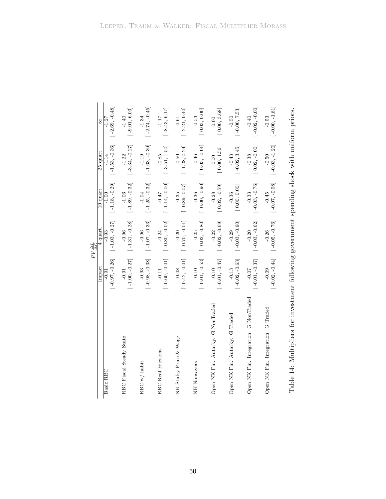|                                       |                  | $PV\frac{\Delta I}{\Delta G}$ |                  |                  |                  |
|---------------------------------------|------------------|-------------------------------|------------------|------------------|------------------|
|                                       | Impact           | 4 quart.                      | 10 quart.        | 25 quart.        | 8                |
| Basic RBC                             | $-0.97, -0.26$   | $[-1.03, -0.27]$              | $[-1.18, -0.29]$ | $[-1.53, -0.36]$ | $-2.69, -0.48$   |
|                                       | $-0.91$          | $-0.93$                       | $-1.00$          | $-1.14$          | $-1.27$          |
| RBC Fiscal Steady State               | $[-1.00, -0.27]$ | $[-1.31, -0.28]$              | $[-1.89, -0.32]$ | $[-3.34, -0.27]$ | $[-9.01, 6.03]$  |
|                                       | $-0.91$          | $-0.96$                       | $-1.06$          | $-1.22$          | $-1.40$          |
| RBC w/habit                           | $[-0.98, -0.38]$ | $[-1.07, -0.33]$              | $[-1.25, -0.32]$ | $[-1.63, -0.39]$ | $[-2.74, -0.45]$ |
|                                       | $-0.93$          | $-0.96$                       | $-1.04$          | $-1.19$          | $-1.34$          |
| <b>RBC</b> Real Frictions             | $[-0.60, -0.01]$ | $[-0.80, -0.02]$              | $[-1.14, -0.00]$ | $[-3.51, 1.50]$  | $[-8.43, 6.17]$  |
|                                       | $-0.11$          | $-0.24$                       | $-0.47$          | $-0.85$          | $-1.17$          |
| NK Sticky Price & Wage                | $[-0.42, -0.01]$ | $[-0.70, -0.01]$              | $[-0.89, 0.07]$  | $[-1.28, 0.24]$  | $[-2.21, 0.40]$  |
|                                       | $-0.08$          | $-0.20$                       | $-0.35$          | $-0.50$          | $-0.61$          |
| NK Nonsavers                          | $[-0.01, -0.53]$ | $[-0.02, -0.80]$              | $[-0.00, -0.90]$ | $[-0.03, -0.01]$ | [0.03, 0.00]     |
|                                       | $-0.10$          | $-0.25$                       | $-0.36$          | $-0.46$          | $-0.53$          |
| Open NK Fin. Autarky: G NonTraded     | $[-0.01, -0.47]$ | $[-0.02, -0.69]$              | $[0.02, -0.79]$  | [0.00, 1.56]     | [0.00, 3.68]     |
|                                       | $-0.10$          | $-0.22$                       | $-0.28$          | 0.00             | 0.00             |
| Open NK Fin. Autarky: G Traded        | $[-0.02, -0.63]$ | $[-0.03, -0.90]$              | [0.00, 0.00]     | $[-0.02, 3.45]$  | $[-0.00, 7.53]$  |
|                                       | $-0.13$          | $-0.29$                       | $-0.36$          | $-0.43$          | $-0.50$          |
| Open NK Fin. Integration: G NonTraded | $[-0.01, -0.37]$ | $[-0.03, -0.62]$              | $[-0.03, -0.76]$ | $[0.02, -0.00]$  | $[-0.02, -0.00]$ |
|                                       | $-0.07$          | $-0.20$                       | $-0.33$          | $-0.38$          | $-0.40$          |
| Open NK Fin. Integration: G Traded    | $[-0.02, -0.44]$ | $[-0.05, -0.76]$              | $[-0.07, -0.98]$ | $[-0.03, -1.20]$ | $[-0.00, -1.81]$ |
|                                       | $-0.09$          | $-0.26$                       | $-0.45$          | $-0.50$          | $-0.53$          |

<span id="page-51-0"></span>Table 14: Multipliers for investment following government spending shock with uniform priors. Table 14: Multipliers for investment following government spending shock with uniform priors.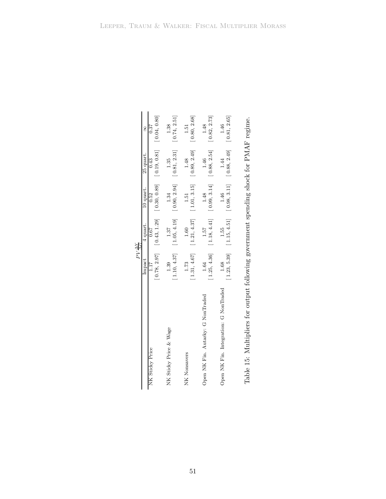|                                                                                 | $PV \frac{\Delta Y}{\Delta G}$ |                                                                                                                                  |              |                               |              |
|---------------------------------------------------------------------------------|--------------------------------|----------------------------------------------------------------------------------------------------------------------------------|--------------|-------------------------------|--------------|
|                                                                                 | Impact                         | 4 quart.                                                                                                                         | 10 quart.    | 25 quart.                     | 8            |
| NK Sticky Price                                                                 | 1.17                           | 0.67                                                                                                                             | 0.52         | 0.43                          | 0.37         |
|                                                                                 |                                | $\begin{bmatrix} 0.78, 2.97 \end{bmatrix}$ $\begin{bmatrix} 0.43, 1.29 \end{bmatrix}$ $\begin{bmatrix} 0.30, 0.89 \end{bmatrix}$ |              | [0.19, 0.81]                  | [0.04, 0.80] |
| NK Sticky Price & Wage                                                          | 1.39                           | 1.37                                                                                                                             | 1.34         | 1.35                          | 1.38         |
|                                                                                 | [1.10, 4.37]                   | [1.05, 4.19]                                                                                                                     | [0.90, 2.94] | [0.81, 2.31]                  | [0.74, 2.51] |
| NK<br>Nonsavers                                                                 | 1.73                           | 1.60                                                                                                                             | 1.51         | 1.48                          | 1.51         |
|                                                                                 | [1.31, 4.67]                   | [1.21, 4.37]                                                                                                                     | [1.01, 3.15] | [0.89, 2.49]                  | [0.80, 2.68] |
| Open NK Fin. Autarky: G NonTraded                                               | 1.64                           | 1.57                                                                                                                             | 1.48         | 1.46                          | 1.48         |
|                                                                                 | [1.25, 4.36]                   | [1.18, 4.41]                                                                                                                     | [0.99, 3.14] | [0.88, 2.54]                  | [0.82, 2.73] |
| Open NK Fin. Integration: G NonTraded                                           | 1.68                           | 1.55                                                                                                                             | 1.46         | 1.44                          | 1.46         |
|                                                                                 | [1.23, 5.39]                   | [1.15, 4.51]                                                                                                                     | [0.98, 3.11] | $[0.88, 2.49]$ $[0.81, 2.65]$ |              |
|                                                                                 |                                |                                                                                                                                  |              |                               |              |
| Takis 15. Multiplican familian introduce according and analysis alone. DMAD was |                                |                                                                                                                                  |              |                               |              |

<span id="page-52-0"></span>Table 15: Multipliers for output following government spending shock for PMAF regime. Table 15: Multipliers for output following government spending shock for PMAF regime.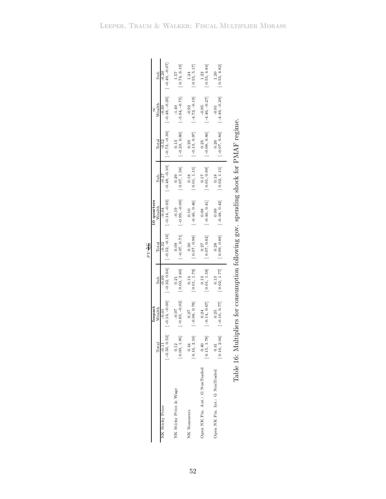|                                | Sub<br>Wealth<br>Total | $[-0.40, -0.07]$<br>$-0.20$<br>$[-0.48, -0.20]$<br>$-0.30$<br>$[-0.73, -0.30]$<br>$-0.52$ | [0.74, 6.19]<br>1.57<br>$[-5.94, -0.75]$<br>$-1.40$<br>$-0.23, 0.80]$<br>0.13 | [0.55, 5.17]<br>1.24<br>$[-4.73, -0.19]$<br>$-0.92$<br>$-0.13, 0.97$<br>0.29 | [0.55, 4.84]<br>1.22<br>$[-4.46, -0.27]$<br>$-0.95$<br>$-0.08, 0.86$<br>0.25 | [0.55, 4.82]<br>1.20<br>$[-4.49, -0.29]$<br>$-0.91$<br>$-0.07, 0.84$<br>0.26 |  |
|--------------------------------|------------------------|-------------------------------------------------------------------------------------------|-------------------------------------------------------------------------------|------------------------------------------------------------------------------|------------------------------------------------------------------------------|------------------------------------------------------------------------------|--|
|                                | Sub                    | $[-0.48, -0.10]$<br>$-0.27$                                                               | 0.07, 1.58<br>0.29                                                            | $[ \begin{array}{c} 0.18 \\ 0.01, \; 1.15 \end{array} ]$                     | 0.01, 0.99<br>0.17                                                           | 0.02, 1.15<br>0.18                                                           |  |
|                                | 10 quarters<br>Wealth  | $[-0.14, -0.02]$<br>$-0.04$                                                               | $-0.99, -0.09$<br>$-0.19$                                                     | $[-0.46, 0.46]$<br>0.10                                                      | [146, 0.41]                                                                  | $-0.48, 0.42$<br>0.09                                                        |  |
| $PV \frac{\Delta C}{\Delta G}$ | Total                  | $-0.52, -0.16$ ]<br>$-0.32$                                                               | $[-0.07, 0.71]$<br>0.09                                                       | 0.07, 0.98]<br>0.30                                                          | 0.07, 0.82<br>0.27                                                           | 0.09, 0.88]<br>0.28                                                          |  |
|                                | Sub                    | $[-0.32, 0.64]$<br>$-0.09$                                                                | 0.03, 2.60]<br>0.21                                                           | $\begin{bmatrix} 0.14 \\ 0.01, 1.79 \end{bmatrix}$                           | $\begin{bmatrix} 0.13 \\ 0.01, 1.58 \end{bmatrix}$                           | 0.02, 1.77<br>0.13                                                           |  |
|                                | Impact<br>Wealth       | $[-0.13, -0.00]$<br>$-0.01$                                                               | $[-0.65, -0.02]$<br>$-0.07$                                                   | $-0.08, 0.78$<br>0.27                                                        | $-0.14, 0.67$<br>0.24                                                        | $-0.10, 0.77$<br>0.25                                                        |  |
|                                | Total                  | $[-0.33, 0.52]$<br>$-0.11$                                                                | 0.00, 1.95<br>0.12                                                            | [0.16, 2.10]<br>0.44                                                         | 0.15, 1.78<br>0.40                                                           | [0.16, 2.04]<br>0.41                                                         |  |
|                                |                        | NK Sticky Price                                                                           | NK Sticky Price & Wage                                                        | NK Nonsavers                                                                 | Open NK Fin. Aut.: G NonTraded                                               | Open NK Fin. Int.: G NonTraded                                               |  |

<span id="page-53-0"></span>Table 16: Multipliers for consumption following gov. spending shock for PMAF regime. Table 16: Multipliers for consumption following gov. spending shock for PMAF regime.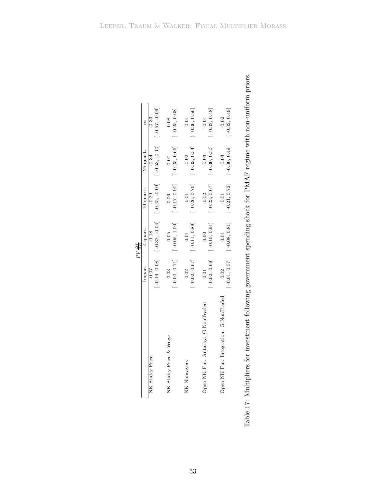|                                | 8<br>25 quart.        | $[-0.45, -0.09]$ $[-0.53, -0.10]$ $[-0.57, -0.09]$<br>$-0.33$<br>$-0.34$ | $-0.25, 0.68$<br>0.08<br>$[-0.25, 0.66]$<br>0.07<br>$[-0.17, 0.90]$ | $-0.36, 0.56$<br>$-0.01$<br>$[-0.33, 0.54]$<br>$-0.02$<br>$[-0.26, 0.76]$<br>$-0.01$ | $-0.32, 0.48$<br>$-0.01$<br>$-0.30, 0.50$<br>$-0.03$<br>$-0.23, 0.67$<br>$-0.02$ | $-0.32, 0.49$<br>$-0.02$<br>$[-0.30, 0.49]$<br>$-0.03$<br>$[-0.21, 0.72]$ |
|--------------------------------|-----------------------|--------------------------------------------------------------------------|---------------------------------------------------------------------|--------------------------------------------------------------------------------------|----------------------------------------------------------------------------------|---------------------------------------------------------------------------|
| $PV \frac{\Delta I}{\Delta G}$ | 10 quart.<br>4 quart. | $-0.29$<br>$[-0.32, -0.04]$<br>$-0.18$                                   | 0.06<br>$[-0.05, 1.00]$<br>0.05                                     | $[-0.11, 0.89]$<br>0.01                                                              | $[-0.10, 0.91]$<br>0.00                                                          | $-0.01$<br>$[-0.08, 0.81]$<br>0.01                                        |
|                                | Impact                | $[-0.14, 0.08]$<br>$-0.07$<br>NK Sticky Price                            | $[-0.00, 0.71]$<br>0.03<br>NK Sticky Price & Wage                   | $-0.02, 0.67$<br>0.02<br>NK Nonsavers                                                | $-0.02, 0.69$<br>0.01<br>Open NK Fin. Autarky: G NonTraded                       | $[-0.01, 0.57]$<br>0.02<br>Open NK Fin. Integration: G NonTraded          |

<span id="page-54-0"></span>

| j<br>֚֘֝<br>ׇ֚֓֡                                               |
|----------------------------------------------------------------|
| i<br>S<br>i                                                    |
|                                                                |
| $\frac{1}{2}$<br>١                                             |
| 「・・・・」                                                         |
|                                                                |
|                                                                |
| ֖֧֧֧֧֧֧֧֧֧֧֚֚֚֚֚֚֚֚֚֚֚֚֚֚֚֚֚֚֚֚֚֚֚֚֚֚֚֚֚֡֬֝֓֝֬֝֓֝֬֝֓֝֬֝֬֝֬֝֬֝֬ |
|                                                                |
|                                                                |
| J                                                              |
| 一 なんせん うんこう<br>l                                               |
|                                                                |
| <b>Contract that contract contracts of the contract</b>        |
|                                                                |
|                                                                |
|                                                                |
|                                                                |
| ֚֚֚֚֚֚֚֚֚֚֬֝֝֕֝֝<br>こくこく くくこし にくしゅくこう                          |
| ׇ֚֡                                                            |
| ١<br>l                                                         |
|                                                                |
| ֚֘֝֬<br>֕                                                      |
| ו<br>נ                                                         |
| $\overline{a}$<br>l                                            |
| i                                                              |
|                                                                |
| ì                                                              |
| -<br>E<br>ì<br>j                                               |
| l                                                              |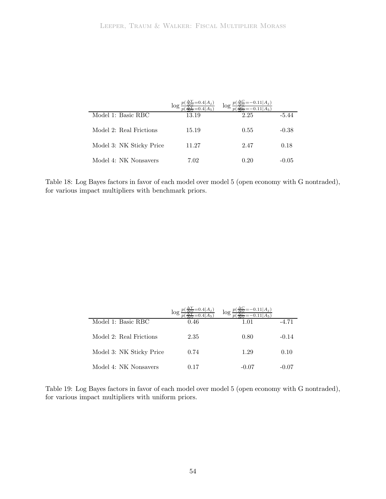|                          | log   | log  |         |
|--------------------------|-------|------|---------|
| Model 1: Basic RBC       | 13.19 | 2.25 | -5.44   |
| Model 2: Real Frictions  | 15.19 | 0.55 | $-0.38$ |
| Model 3: NK Sticky Price | 11.27 | 2.47 | 0.18    |
| Model 4: NK Nonsavers    | 7.02  | 0.20 | $-0.05$ |

<span id="page-55-0"></span>Table 18: Log Bayes factors in favor of each model over model 5 (open economy with G nontraded), for various impact multipliers with benchmark priors.

|                          | log  | $\log r$ |         |
|--------------------------|------|----------|---------|
| Model 1: Basic RBC       | 0.46 | 1.01     | $-4.71$ |
| Model 2: Real Frictions  | 2.35 | 0.80     | $-0.14$ |
| Model 3: NK Sticky Price | 0.74 | 1.29     | 0.10    |
| Model 4: NK Nonsavers    | 0.17 | $-0.07$  | -0.07   |

<span id="page-55-1"></span>Table 19: Log Bayes factors in favor of each model over model 5 (open economy with G nontraded), for various impact multipliers with uniform priors.